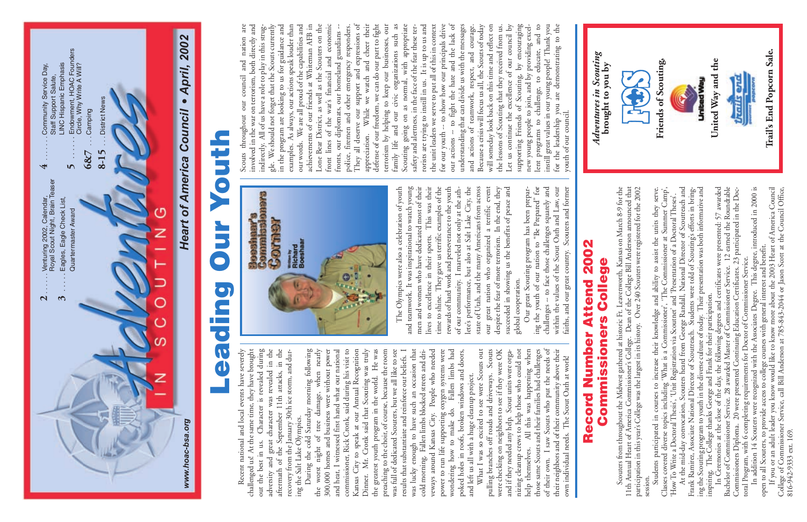

were checking on neighbors to see if they were OK<br>and if they needed any help. Scout units were orgahelp themselves. All this was happening when<br>those same Scouts and their families had challenges of their own. I saw Scouts who put the needs of What I was so excited to see were Scouts out pulling branches off roads and driveways. Scouts nizing cleanup crews to help those who could not their neighbors and of their community above their What I was so excited to see were Scouts out pulling branches off roads and driveways. Scouts were checking on neighbors to see if they were OK and if they needed any help. Scout units were organizing cleanup crews to help those who could not help themselves. All this was happening when those same Scouts and their families had challenges of their own. I saw Scouts who put the needs of their neighbors and of their community above their own individual needs. The Scout Oath at work! own individual needs. The Scout Oath at work!

Booshaar's<br>Commissioners Corner wrawn by<br>Richard<br>Boeshaar Ø

and teamwork. It was inspirational to watch young<br>men and women who have dedicated most of their This was their time to shine. They gave us terrific examples of the rewards of hard work and perseverance to the youth of our community. I marveled not only at the athlete's performance, but also at Salt Lake City, the great nation who organized a terrific event succeeded in showing us the benefits of peace and The Olympics were also a celebration of youth The Olympics were also a celebration of youth and teamwork. It was inspirational to watch young men and women who have dedicated most of their lives to excellence in their sports. This was their time to shine. They gave us terrific examples of the rewards of hard work and perseverance to the youth of our community. I marveled not only at the athlete's performance, but also at Salt Lake City, the state of Utah, and the many Americans from across state of Utah, and the many Americans from across our great nation who organized a terrific event despite the fear of more terrorism. In the end, they despite the fear of more terrorism. In the end, they succeeded in showing us the benefits of peace and to excellence in their sports. global cooperation. global cooperation. lives our

Our great Scouting program has been preparing the youth of our nation to "Be Prepared" for challenges -- to face those challenges squarely and within the values of the Scout Oath and Law, our faiths, and our great country. Scouters and former Our great Scouting program has been preparing the youth of our nation to "Be Prepared" for challenges -- to face those challenges squarely and within the values of the Scout Oath and Law, our faiths, and our great country. Scouters and former

Lone Bear District, as well as the Scouters on the front lines of the war's financial and economic They all deserve our support and expressions of defense of our freedom, we can do our part to fight Scouting going on as normal, with appropriate for our youth -- to show how our principals drive and to for the leadership you are demonstrating to the Scouts throughout our council and nation are involved in the war on terrorism, both directly and<br>indirectly. All of us have a role to play in this strug-We should not forget that the Scouts currently in the program are looking to us for guidance and As always, our actions speak louder than We are all proud of the capabilities and achievements of our friends at Whiteman AFB in police, firemen and other emergency responders. While we watch and cheer their terrorism by helping to keep our businesses, our family life and our civic organizations such as safety and alertness, in the face of the fear these ter-It is up to us and the unit leaders we serve to put all of this in context -- to fight the hate and the lack of understanding that can divide us with the messages and actions of teamwork, respect, and courage. Because a crisis will focus us all, the Scouts of today will someday look back on this time and reflect on the lessons of Scouting that they received from us. Let us continue the excellence of our council by supporting Friends of Scouting, by encouraging new young people to join, and by providing excelinstill great values in our young people! Thank you Scouts throughout our council and nation are involved in the war on terrorism, both directly and indirectly. All of us have a role to play in this struggle. We should not forget that the Scouts currently in the program are looking to us for guidance and examples. As always, our actions speak louder than our words. We are all proud of the capabilities and achievements of our friends at Whiteman AFB in Lone Bear District, as well as the Scouters on the front lines of the war's financial and economic fronts, our diplomats, our homeland guardians - police, firemen and other emergency responders. They all deserve our support and expressions of appreciation. While we watch and cheer their defense of our freedom, we can do our part to fight terrorism by helping to keep our businesses, our family life and our civic organizations such as Scouting going on as normal, with appropriate safety and alertness, in the face of the fear these terrorists are trying to instill in us. It is up to us and the unit leaders we serve to put all of this in context for our youth -- to show how our principals drive our actions -- to fight the hate and the lack of understanding that can divide us with the messages and actions of teamwork, respect, and courage. Because a crisis will focus us all, the Scouts of today will someday look back on this time and reflect on the lessons of Scouting that they received from us. Let us continue the excellence of our council by supporting Friends of Scouting, by encouraging new young people to join, and by providing excellent programs to challenge, to educate, and to instill great values in our young people! Thank you for the leadership you are demonstrating to the fronts, our diplomats, our homeland guardians programs to challenge, to educate, rorists are trying to instill in us. youth of our council. youth of our council. appreciation. actions our words. examples. lent our க்

# **Record Number Attend 2002**  Record Number Attend 2002

| Scouters from throughout the Midwest gathered at historic Ft. Leavenworth, Kansas on March 8-9 for the<br><b>Commissioners College</b>                                                                                           | Adventures in Scouting<br>brought to you by |
|----------------------------------------------------------------------------------------------------------------------------------------------------------------------------------------------------------------------------------|---------------------------------------------|
| Dean of the College Bill Anderson announced that<br>participation in this year's College was the largest in its history. Over 240 Scouters were registered for the 2002<br>11th Annual Heart of America Commissioner's College.  | 中国                                          |
| Classes covered diverse topics including 'What is a Commissioner', 'The Commissioner at Summer Camp',<br>Students participated in courses to increase their knowledge and ability to assist the units they serve.                | Friends of Scouting,                        |
| At the mid-day convocation, Scouters heard from George Randall, National Director of Scoutreach and<br>'How To Write a Doctoral Thesis', 'Unit Registration via Scoutnet' and 'Presentation of a Doctoral Theses'.               |                                             |
| Students were told of Scouting's efforts in bring-<br>ing the Scouting program to youth in the diverse culture of today. Their presentation was both informative and<br>Frank Ramirez, Associate National Director of Scoutreach | United Way                                  |
| In Ceremonies at the close of the day, the following degrees and certificates were presented: 57 awarded<br>inspiring. The College thanks George and Frank for their participation.                                              | United Way and the                          |
| Bachelor of Commissioner Service. 28 awarded Master of Commissioner Service. 12 earned the Roundtable<br>Commissioners Diploma. 20 were presented Continuing Education Certificates. 23 participated in the Doc-                 |                                             |
| In addition 14 Scouters were recognized with the Associates Degree. This degree, introduced in 2000 is<br>toral Program, with 6 completing requirements for Doctor of Commissioner Service.                                      |                                             |
| open to all Scouters, to provide access to college courses with general interest and benefit.                                                                                                                                    |                                             |
| If you or an adult leader you know would like to know more about the 2003 Heart of America Council                                                                                                                               | Trail's End Popcorn Sale.                   |
| College of Commissioner Service, call Bill Anderson at 785-843-2044 or Jason Scott at the Council Office,                                                                                                                        |                                             |
| 816-942-9333 ext. 169.                                                                                                                                                                                                           |                                             |

## **Leading Our YouthNancy SPORT End**

Recent national and local events have severely challenged us! At the same time, they have brought Character is revealed during adversity and great character was revealed in the aftermath of the September 11th attacks, in the<br>recovery from the January 30th ice storm, and dur-Recent national and local events have severely challenged us! At the same time, they have brought out the best in us. Character is revealed during adversity and great character was revealed in the aftermath of the September 11th attacks, in the recovery from the January 30th ice storm, and during the Salt Lake Olympics. ing the Salt Lake Olympics. out the best in us.

tree damage, when nearly<br>pusiness were without power He was was lucky enough to have such an occasion that<br>cold morning. Fallen limbs blocked streets and dri-During the cold Saturday morning following commissioner, Rick Cronk, said during his visit to Mr. Cronk said that Scouting was truly veways around Kansas City. People who needed power to run life supporting oxygen systems were During the cold Saturday morning following the worst night of tree damage, when nearly 300,000 homes and business were without power and heat, I witnessed first hand what our national and heat, I witnessed first hand what our national commissioner, Rick Cronk, said during his visit to Kansas City to speak at our Annual Recognition Kansas City to speak at our Annual Recognition Dinner. Mr. Cronk said that Scouting was truly the greatest youth program in the world. He was preaching to the choir, of course, because the room preaching to the choir, of course, because the room was full of dedicated Scouters, but we all like to see was full of dedicated Scouters, but we all like to see results that substantiate and reinforce our beliefs. I was lucky enough to have such an occasion that cold morning. Fallen limbs blocked streets and driveways around Kansas City. People who needed power to run life supporting oxygen systems were Fallen limbs had wondering how to make do. Fallen limbs had poked holes in roofs, broken windows and doors, poked holes in roofs, broken windows and doors, results that substantiate and reinforce our beliefs. and left us all with a huge cleanup project. the greatest youth program in the world. and left us all with a huge cleanup project. 300,000 homes and business were make do. night of wondering how to the worst Dinner.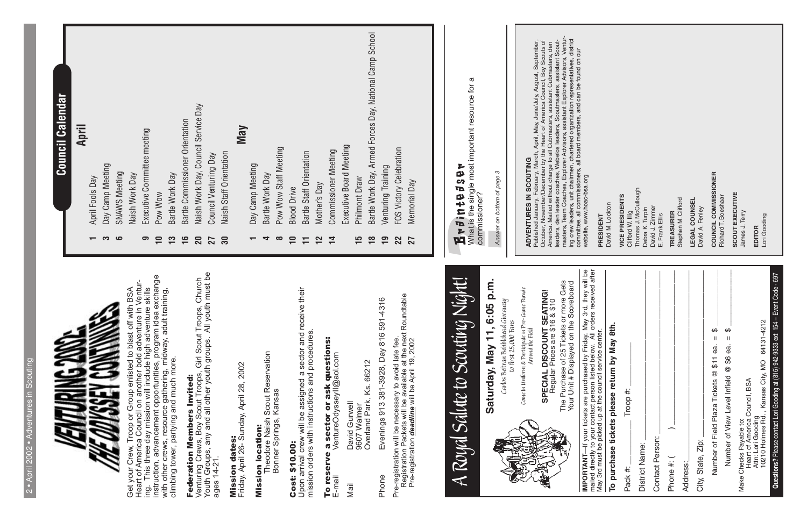| ŋ<br>I          |
|-----------------|
| ۰               |
|                 |
| -               |
| ŀ<br>-<br>í     |
| i               |
| -               |
| I               |
| ь<br>1          |
| I               |
| I               |
|                 |
|                 |
| ţ.              |
| -               |
|                 |
| ٠<br>١          |
| r<br>н          |
| I<br>h          |
| h<br>-          |
| ł               |
|                 |
| -               |
| I               |
| ÷<br>ı          |
| h               |
| ь               |
| $\tilde{}$<br>ł |
| ï<br>×          |
| a               |
|                 |
|                 |
|                 |
|                 |
| 1               |
| ь<br>×          |
| I               |
| 1               |
| ь.              |
| ٠               |
|                 |
| ь<br>-          |
| h               |
| I<br>-          |
| I<br>١          |
| ÷               |
| ۰               |
|                 |
|                 |
|                 |
| ı               |
|                 |



**April**

- April Fools Day **1** April Fools Day
- Day Camp Meeting **3** Day Camp Meeting က
- **SNAWS Meeting 6** SNAWS Meeting Naish Work Day  $\bullet$
- Naish Work Day
- Executive Committee meeting **9** Executive Committee meeting  $\sigma$ 
	- Pow Wow **10** Pow Wow  $\overline{1}$
- Bartle Work Day **13** Bartle Work Day  $13$
- Bartle Commissioner Orientation **16** Bartle Commissioner Orientation  $16$
- Naish Work Day, Council Service Day **20** Naish Work Day, Council Service Day 20
- Council Venturing Day **27** Council Venturing Day  $27<sub>30</sub>$
- Naish Staff Orientation **30** Naish Staff Orientation
- **May**
	- Day Camp Meeting **1** Day Camp Meeting  $\overline{\phantom{0}}$ 
		- Bartle Work Day **4** Bartle Work Day  $\blacktriangleleft$
- Pow Wow Staff Meeting **8** Pow Wow Staff Meeting  $\infty$ 
	- **Blood Drive 10** Blood Drive  $\overline{\phantom{0}}$
- **Bartle Staff Orientation 11** Bartle Staff Orientation  $\overline{r}$ 
	- Mother's Day **12** Mother's Day  $\mathbf{r}$
- Commissioner Meeting **14** Commissioner Meeting  $\overline{1}$
- Executive Board Meeting Executive Board Meeting Philmont Draw
	- **15** Philmont Draw  $\frac{c}{1}$
- **18** Bartle Work Day, Armed Forces Day, National Camp School Bartle Work Day, Armed Forces Day, National Camp School  $\frac{8}{10}$ 
	- Venturing Training **19** Venturing Training  $\overline{1}$
- FOS Victory Celebration **22** FOS Victory Celebration 22
	- Memorial Day **27** Memorial Day 27

### Council Calendar **Council Calendar**

ADVENTURES IN SCOUTING<br>Published January, February, March, April, May, June/July, August, September,<br>October, November/December by the Heart of America Council, Boy Scouts of<br>America. Mailed without charge to all Cubmaster masters, Team Coaches, Explorer Advisors, assistant Explorer Advisors, Venturing crew leaders, unit chairmen, chartered organization representatives, district Published January, February, March, April, May, June/July, August, September, leaders, den leader coaches, Webelos leaders, Scoutmasters, assistant Scout-October, November/December by the Heart of America Council, Boy Scouts of America. Mailed without charge to all Cubmasters, assistant Cubmasters, den committee, all commissioners, all board members, and can be found on our website, www.hoac-bsa.org

# Brainteaser

lifford W. Illig<br>homas J. McCullough<br>ebra K. Turpin Thomas J. McCullough **CE PRESIDENTS VICE PRESIDENTS** avid J. Zimmer<br>Frank Ellis David J. Zimmer Debra K. Turpin Clifford W. Illig E. Frank Ellis

sphen M. Clifford Stephen M. Clifford EASURER **TREASURER**

## **ADVENTURES IN SCOUTING**

**GAL COUNSEL LEGAL COUNSEL**

vid A. Fenley David A. Fenley

**JUNCIL COMMISSIONER COUNCIL COMMISSIONER**

hard T. Boeshaar Richard T. Boeshaar

**OUT EXECUTIVE**<br>nes J. Terry **SCOUT EXECUTIVE** James J. Terry

Get your Crew, Troop or Group enlisted to blast off with BSA<br>Heart of America Council on another bold adventure in Ventur-<br>ing. This three day mission will include high adventure skills<br>instruction, advancement opportuniti instruction, advancement opportunities, program idea exchange Heart of America Council on another bold adventure in Ventur-Get your Crew, Troop or Group enlisted to blast off with BSA ing. This three day mission will include high adventure skills with other crews, resource gathering, midway, adult training, climbing tower, partying and much more.

## Federation Members Invited: Federation Members Invited:

**Federation inemiers invited:**<br>Venturing Crews, Boy Scout Troops, Girl Scout Troops, Church<br>Youth Groups, any and all other youth groups. All youth must be<br>ages 14-21. Youth Groups, any and all other youth groups. All youth must be Venturing Crews, Boy Scout Troops, Girl Scout Troops, Church ages 14-21.

Mission dates:<br>Friday, April 26- Sunday, April 28, 2002 Friday, April 26- Sunday, April 28, 2002

What is the single most important resource for a  $\varpi$ **1 r** *f* **i n** *t e f s* **<b>e r**<br>What is the single most important resource for<br>commissioner?<br>Answer on bottom of page 3 commissioner?

**Mission Iocation:**<br>Theodore Naish Scout Reservation<br>Bonner Springs, Kansas Theodore Naish Scout Reservation Bonner Springs, Kansas

#### **Cost: \$10.00:** Cost: \$10.00:

and receive their Upon arrival crew will be assigned a sector and receive their Upon arrival crew will be assigned a sector and r<br>mission orders with instructions and procedures. mission orders with instructions and procedures.

### questions: To reserve a sector or ask questions: a sector or ask To reserve

VentureOdysseyll@aol.com E-mail VentureOdysseyII@aol.com David Gurwell Mail David Gurwell 9607 Walmer  $E$ -mail Mail

9607 Walmer<br>Overland Park, Ks. 66212 Overland Park, Ks. 66212

Evenings 913 381-3928, Day 816 591-4316 Phone Evenings 913 381-3928, Day 816 591-4316 Phone

Pre-registration will be necessary to avoid late fee.<br>Registration Packets will be available at the next Roundtable<br>Pre-registration *deadline* will be April 19, 2002 Registration Packets will be available at the next Roundtable Pre-registration will be necessary to avoid late fee. Pre-registration *deadline* will be April 19, 2002

## *A Royal Salute to Scouting Night!* A Royal Salute to Scouting Night! Saturday, May 11, 6:05 p.m.

**Saturday, May 11, 6:05 p.m.** Carlos Beltran Bobblehead Giveaway

*Carlos Beltran Bobblehead Giveaway to first 25,000 Fans* to first  $25,000$  Fans

Come In Uniform & Participate in Pre-Game Parade<br>Around the Field *Come In Uniform & Participate in Pre-Game Parade Around the Field*

#### **SPECIAL DISCOUNT SEATING!**<br>Regular Prices are \$16 & \$10 **SPECIAL DISCOUNT SEATING!** Regular Prices are \$16 & \$10

**IMPORTANT—If** your tickets are purchased by Friday, May 3rd, they will be<br>mailed directly to your contact person listed below. All orders received after The Purchase of 25 Tickets or more Gets<br>Your Unit # Displayed on the Scoreboard The Purchase of 25 Tickets or more Gets Your Unit # Displayed on the Scoreboard

*Answer on bottom of page 3*

## Mission dates:

## Mission location:

| mailed directly to your contact person listed below. All orders received after<br>May 3rd must be picked up at the council service center. | PRESIDENT                                 |
|--------------------------------------------------------------------------------------------------------------------------------------------|-------------------------------------------|
| To purchase tickets please return by May 8th.                                                                                              | David M. Lockton                          |
| Troop $#$ :<br>Pack #:                                                                                                                     | <b>VICE PRESIDEN</b><br>Clifford W. Illig |
| District Name:                                                                                                                             | Thomas J. McCul<br>Debra K. Turpin        |
| Contact Person:                                                                                                                            | David J. Zimmer<br>E. Frank Ellis         |
| Phone #: (                                                                                                                                 | <b>TREASURER</b>                          |
| Address:                                                                                                                                   | Stephen M. Cliffo                         |
| City, State, Zip:                                                                                                                          | <b>LEGAL COUNSE</b><br>David A. Fenley    |
| Number of Field Plaza Tickets @ \$11 ea. = \$                                                                                              | COUNCIL COMM                              |
| Number of View Level Infield @ \$6 ea. = \$                                                                                                | Richard T. Boesha                         |
| Heart of America Council, BSA<br>Make Checks Payable to:                                                                                   | <b>SCOUT EXECUT</b><br>James J. Terry     |
| 10210 Holmes Rd., Kansas City, MO 64131-4212<br>Attn: Lori Gooding                                                                         | Lori Gooding<br>EDITOR                    |
| Questions? Please contact Lori Gooding at (816) 942-9333 ext: 154 - Event Code - 697                                                       |                                           |

**IMPORTANT**—If your tickets are purchased by Friday, May 3rd, they will be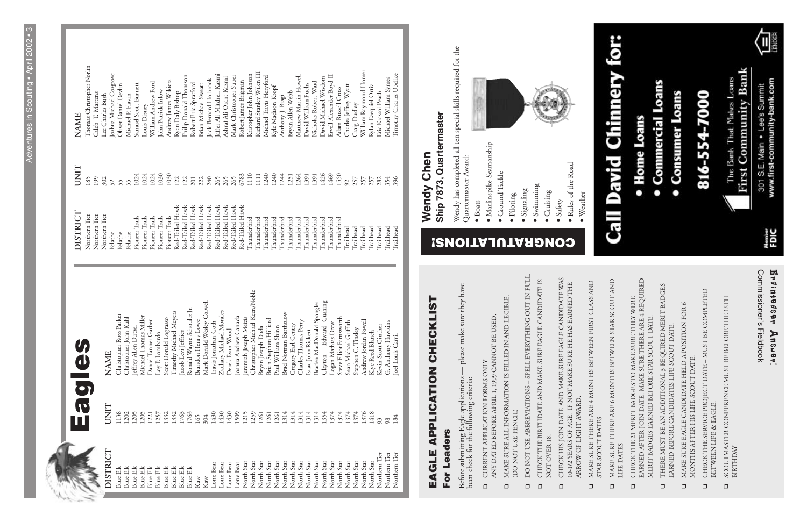## ш

| Eagl                        |                                                | DISTRICT                 | UNIT       | <b>NAME</b>                                 |
|-----------------------------|------------------------------------------------|--------------------------|------------|---------------------------------------------|
|                             |                                                | Northern Tier            | 185        | Thomas Christopher Norlin                   |
|                             |                                                | Northern Tier            | 199<br>302 | Caleb T. Martens                            |
| <b>JNIT</b>                 | <b>NAME</b>                                    | Northern Tier<br>Pelathe | 52         | Joshua Michael Cosgrove<br>Lee Charles Bush |
| .138                        | Christopher Ross Parker                        | Pelathe                  | 55         | Oliver Daniel Devlin                        |
| 1202                        | Christopher John Kuhl                          | Pelathe                  | 55         | Michael P. Flavin                           |
| .205                        | Jeffrey Allen Dutzel                           | Pioneer Trails           | 1024       | Samuel Scott Burnett                        |
| 1205                        | Michael Thomas Miller                          | Pioneer Trails           | 1024       | Louis Disney                                |
| 1221<br>1257                | Daniel Tanner Garber                           | Pioneer Trails           | 1024       | William Andrew Ford                         |
|                             | Loy P. Lombardo                                | Pioneer Trails           | 1030       | John Patrick Inlow                          |
| 1332<br>1332<br>1763<br>165 | Scott Donald Lograsso                          | Pioneer Trails           | 1030       | Andrew James Wikiera                        |
|                             | Timothy Michael Meyers                         | Red-Tailed Hawk          | 122        | Ryan Daly Bishop                            |
|                             | acob Levi Jeffries                             | Red-Tailed Hawk          | 122        | Philip Donald Thomson                       |
|                             | Ronald Wayne Schoultz Jr.                      | Red-Tailed Hawk          | 201        | Robert Eric Spratford                       |
|                             | <b>Brandon Henry Lowe</b>                      | Red-Tailed Hawk          | 222        | Brian Michael Sweatt                        |
| 304                         | Mark Donald Wesley Colwell                     | Red-Tailed Hawk          | 240        | ack Bernard Holbrook                        |
| 1430                        | Travis Jonathan Goth                           | Red-Tailed Hawk          | 265        | affer Ali Mitchell Kazmi                    |
| 1430                        | Zachary Michael Morales                        | Red-Tailed Hawk          | 265        | Ashraf Ali Orant Kazmi                      |
|                             | Derek Evan Wood                                | Red-Tailed Hawk          | 265        | Mark Christopher Super                      |
| 1430<br>1509<br>1215        | Ioshua Andrew Canada                           | Red-Tailed Hawk          | 6783       | Robert James Brigman                        |
|                             | Jeremiah Joseph Meizis                         | Thunderbird              | 1110       | Kristopher John Johnson                     |
|                             | Christopher Michael Keen/Noble                 | Thunderbird              | 111        | Richard Stanley Wilen III                   |
|                             | Stephen Hilliard<br>Bryan Joseph Duda<br>Brian | Thunderbird              | 1240       | Michael Travis Heryford                     |
| 1259<br>1261<br>1261        | Paul William Shinn                             | Thunderbird              | 1240       | Kyle Madison Kropf                          |
| 1314                        | Norman Bartholow<br><b>Brad</b>                | Thunderbird              | 1244       | Anthony J. Biagi                            |
| 1314                        | Gregory Earl Gentry                            | Thunderbird              | 1251       | Bryan Allen Webb                            |
| 1314                        | Charles Thomas Perry                           | Thunderbird              | 1264       | Matthew Martin Howell                       |
| 1314                        | John Rickert<br>Isaac                          | Thunderbird              | 1391       | David William Fuchs                         |
| 1314                        | Braden MacDonald Spangler                      | Thunderbird              | 1391       | Nicholas Robert Ward                        |
| 1354                        | Cushing<br>Edward<br>Clayton                   | Thunderbird              | 1426       | David Michael Wisdom                        |
| 1374                        | Logan Mathias Drew                             | Thunderbird              | 1469       | Ervell Alexander Boyd II                    |
| 1374                        | Steve Elliot Farnsworth                        | Thunderbird              | 1550       | Adam Russell Gross                          |
| 1374                        | Michael Griffith<br>Sean                       | Trailhead                | 92         | Charles Jeffrey Wyatt                       |
| 1374                        | Stephen C. Tinsley                             | Trailhead                | 257        | Craig Dudley                                |
| 1376<br>1418                | Andrew Jordan Powell                           | Trailhead                | 257        | William Raymond Homer                       |
|                             | Klye Reed Blanch                               | Trailhead                | 257        | Rylan Ezequiel Ortiz                        |
| 93                          | Kevin Scott Ginther                            | Trailhead                | 282        | Eric Krassoi Peach                          |
| 984                         | G. Anthony Hawkins                             | Trailhead                | 354        | Michael William Symes                       |
|                             | Joel Louis Carril                              | <b>Trailhead</b>         | 396        | Timothy Charles Updike                      |

Thomas Christopher Notlin<br>Caleb T. Martens<br>Lee Charles Bush<br>Joshua Michael Cosgrove<br>Oliver Daniel Devlin<br>Michael P. Flavin Craig Dudley<br>William Raymond Homer<br>Rylan Ezequiel Ortiz<br>Eric Krassoi Peach<br>Michael William Symes<br>Timothy Charles Updike Robert James Brigman<br>Kristopher John Johnson<br>Richard Stanley Wilen III<br>Michael Travis Heryford<br>Kyle Madison Kropf Anthony J. Biagi<br>Bryan Allen Webb<br>Matthew Martin Howell<br>David William Fuchs<br>David Michael Wisdom<br>David Michael Wisdom<br>Ervell Alexander Boyd II Jack Bernard Holbrook<br>Jaffer Ali Mitchell Kazmi<br>Ashraf Ali Orant Kazmi<br>Mark Christopher Super Louis Disney<br>William Andrew Ford<br>John Patrick Inlow<br>Andrew James Wikiera<br>Ryan Daly Bishop Robert Eric Spratford<br>Brian Michael Sweatt Charles Jeffrey Wyatt Samuel Scott Burnett Philip Donald Thom Adam Russell Gross **NAME** 

> - please make sure they have Before submitting Eagle applications — please make sure they have Before submitting Eagle applications<br>been check for the following criteria: been check for the following criteria:

- CURRENT APPLICATION FORMS ONLY ANY DATED BEFORE APRIL 1, 1999 CANNOT BE USED. ANY DATED BEFORE APRIL 1, 1999 CANNOT BE USED. ❑ CURRENT APPLICATION FORMS ONLY –  $\Box$
- ❑ MAKE SURE ALL INFORMATION IS FILLED IN AND LEGIBLE. MAKE SURE ALL INFORMATION IS FILLED IN AND LEGIBLE.<br>(DO NOT USE PENCIL)  $\Box$
- DO NOT USE ABBREVIATIONS SPELL EVERYTHING OUT IN FULL. ❑ DO NOT USE ABBREVIATIONS – SPELL EVERYTHING OUT IN FULL. (DO NOT USE PENCIL)  $\Box$
- ❑ CHECK THE BIRTHDATE AND MAKE SURE EAGLE CANDIDATE IS CHECK THE BIRTHDATE AND MAKE SURE EAGLE CANDIDATE IS NOT OVER 18. NOT OVER 18.  $\Box$
- CHECK HIS JOIN DATE AND MAKE SURE EAGLE CANDIDATE WAS 10-1/2 YEARS OF AGE. IF NOT MAKE SURE HE HAS EARNED THE ARROW OF LIGHT AWARD. ❑ CHECK HIS JOIN DATE AND MAKE SURE EAGLE CANDIDATE WAS 10-1/2 YEARS OF AGE. IF NOT MAKE SURE HE HAS EARNED THE ARROW OF LIGHT AWARD.  $\Box$

| DISTRICT                                                                      | UNIT              | <b>NAME</b>          |
|-------------------------------------------------------------------------------|-------------------|----------------------|
| Blue Elk                                                                      | 138               | Christoph            |
| ĔĬ<br>Blue.                                                                   | 1202<br>1205      | Christoph            |
| Blue Elk                                                                      |                   | Jeffrey All          |
| Elk<br>Blue:                                                                  | 20                | Michael <sup>1</sup> |
| Elk<br>Blue:                                                                  | 22                | Daniel Ta            |
| Blue Elk                                                                      | 257<br>332<br>763 | Loy P. Lo.           |
| Elk<br>Blue:                                                                  |                   | Scott Don            |
| <b>Blue Elk</b>                                                               |                   | Timothy              |
| <b>Blue Elk</b>                                                               |                   | Jacob Lev            |
| Elk<br>Blue <sup>1</sup>                                                      | 763               | Ronald W             |
| Kaw                                                                           | 165               | Brandon              |
| Kaw                                                                           | 304               | Mark Do              |
| one Bear                                                                      | 1430              | Travis Jon           |
| one Bear                                                                      | 1430              | Zachary 1            |
| one Bear                                                                      | 1430              | Derek Eva            |
| one Bear                                                                      | 509               | Joshua Ar            |
| Star<br>North                                                                 | 215               | Jeremiah             |
| Star<br>North                                                                 | 259               | Christoph            |
| Star<br>North                                                                 | 261               | Bryan Jos            |
| Star<br>North                                                                 | 261               | Brian Step           |
| Star<br>North                                                                 | 261               | Paul Willi           |
| Star<br>North                                                                 | 314               | <b>Brad Nor</b>      |
| Star                                                                          |                   | Gregory I            |
| Star<br>$\begin{array}{c} \rm{North}\\ \rm{North}\\ \rm{North}\\ \end{array}$ |                   | ThatlesT             |
| Star                                                                          |                   | Isaac Johr           |
| Star<br>North                                                                 |                   | Braden M             |
| Star<br>North                                                                 |                   | Clayton              |
| Star<br>North                                                                 |                   | Logan Ma             |
| Star<br>North                                                                 |                   | Steve Ellio          |
| Star<br>North                                                                 |                   | Sean Mic             |
| Star<br>North                                                                 |                   | Stephen (            |
| Star<br>North                                                                 |                   | Andrew J             |
| Star<br>North                                                                 |                   | Klye Reec            |
| Tier<br>Northern                                                              | 93                | Kevin Scc            |
| Tier<br>Northern                                                              | 98                | G. Antho             |
| Tier<br>Northern                                                              | 184               | Joel Louis           |

Wendy has completed all ten special skills required for the Wendy has completed all ten special skills required for the

- Quartermaster Award: Quartermaster Award:
	- Boats
		-
- · Marlinspike Seamanship • Marlinspike Seamanship
	- Ground Tackle
		- Piloting
		-
		- Signaling
- Swimming
	- Cruising
	-
	-
- Safety
	- Rules of the Road
	- Weather





| $\frac{1}{2}$ | <b>NAME</b> | Christopher Ross Parker | Christopher John Kuhl | Jeffrey Allen Dutzel | Michael Thomas Miller<br>Daniel Tanner Garber | Loy P. Lombardo | Scott Donald Lograsso | Timothy Michael Meyers | Jacob Levi Jeffries | Ronald Wayne Schoultz Jr. | Brandon Henry Lowe | Mark Donald Wesley Colwell | Iravis Jonathan Goth | Zachary Michael Morales | Derek Evan Wood | Joshua Andrew Canada | eremiah Joseph Meizis | Christopher Michael Keen/Noble | Bryan Joseph Duda | Brian Stephen Hilliard | Paul William Shinn | Brad Norman Bartholow | Gregory Earl Gentry | Charles Thomas Perry | Isaac John Rickert | Braden MacDonald Spangler | Cushing<br>Edward<br>Clayton | Logan Mathias Drew | Steve Elliot Farnsworth | Sean Michael Griffith | Stephen C. Tinsley | Andrew Jordan Powell | Klye Reed Blanch | Kevin Scott Ginther | G. Anthony Hawkins | Joel Louis Carril |  |  |
|---------------|-------------|-------------------------|-----------------------|----------------------|-----------------------------------------------|-----------------|-----------------------|------------------------|---------------------|---------------------------|--------------------|----------------------------|----------------------|-------------------------|-----------------|----------------------|-----------------------|--------------------------------|-------------------|------------------------|--------------------|-----------------------|---------------------|----------------------|--------------------|---------------------------|------------------------------|--------------------|-------------------------|-----------------------|--------------------|----------------------|------------------|---------------------|--------------------|-------------------|--|--|
| $\mathbf{r}$  |             | 1138                    | 1202                  | 1205                 | 1205<br>1221                                  | 1257            | 1332                  | 332                    | 1763                | 1763                      | 165                | 304                        | 1430                 | 1430                    | 1430            | 1509                 | 1215                  | 1259                           | 1261              | 261                    | 1261               | 314                   |                     | 314                  | 314                | 314                       | 1354                         | 374                | 1374                    | 1374                  | 1374               | 1376                 | 1418             | 93                  | 98                 | 84                |  |  |
|               | DISTR       | <b>Blue Elk</b>         | <b>Blue Elk</b>       | <b>Blue Elk</b>      | <b>Blue Elk</b><br><b>Blue Elk</b>            | Blue Elk        | <b>Blue Elk</b>       | <b>Blue Elk</b>        | <b>Blue Elk</b>     | <b>Blue Elk</b>           | Kaw                | Kaw                        | Lone Bear            | Lone Bear               | Lone Bear       | Lone Bear            | North Star            | North Star                     | Star<br>North     | Star<br>North          | Star<br>North      | Star<br>North         | Star<br>North       | Star<br>North        | Star<br>North      | Star<br>North             | Star<br>North                | Star<br>North      | North Star              | Star<br>North         | Star<br>North      | North Star           | North Star       | Northern Tier       | Northern Tier      | Northern Tier     |  |  |

## **EAGLE APPLICATION CHECKLIST** EAGLE APPLICATION CHECKLIS For Leaders **For Leaders**

| www.first-community-bank.com<br>301 S.E. Main . Lee's Summit | Member<br>FDIC | <b>Commissioner's</b><br><b>Frainteaser</b><br>Fieldbook<br>Answer.                                                                                         |
|--------------------------------------------------------------|----------------|-------------------------------------------------------------------------------------------------------------------------------------------------------------|
| <b>First Community Bank</b><br>The Bank That Makes Loans     |                | SCOUTMASTER CONFERENCE MUST BE BEFORE THE 18TH<br>BIRTHDAY<br>$\Box$                                                                                        |
| 816-554-7000                                                 |                | <b>Q CHECK THE SERVICE PROJECT DATE - MUST BE COMPLETED</b><br>BETWEEN LIFE & EAGLE.                                                                        |
|                                                              |                | <b>Q MAKE SURE EAGLE CANDIDATE HELD A POSITION FOR 6</b><br>MONTHS AFTER HIS LIFE SCOUT DATE.                                                               |
| • Commercial Loans<br>• Consumer Loans                       |                | THERE MUST BE AN ADDITIONAL 3 REQUIRED MERIT BADGES<br>EARNED BEFORE CANDIDATES LIFE SCOUT DATE                                                             |
| • Home Loans                                                 |                | EARNED AFTER JOIN DATE. MAKE SURE THERE ARE 4 REQUIRED<br>Q CHECK THE 21 MERIT BADGES TO MAKE SURE THEY WERE<br>MERIT BADGES EARNED BEFORE STAR SCOUT DATE. |
| <b>Call David Chinnery for:</b>                              |                | Q MAKE SURE THERE ARE 6 MONTHS BETWEEN STAR SCOUT AND<br>LIFE DATES.                                                                                        |
|                                                              |                | STAR SCOUT DATES.                                                                                                                                           |

❑ MAKE SURE THERE ARE 4 MONTHS BETWEEN FIRST CLASS AND

 $\Box$ 

MAKE SURE THERE ARE 4 MONTHS BETWEEN FIRST CLASS AND

#### **CONGRATULATIONS!**

#### Ship 7873, Quartermaster **Ship 7873, Quartermaster Wendy Chen Wendy Chen**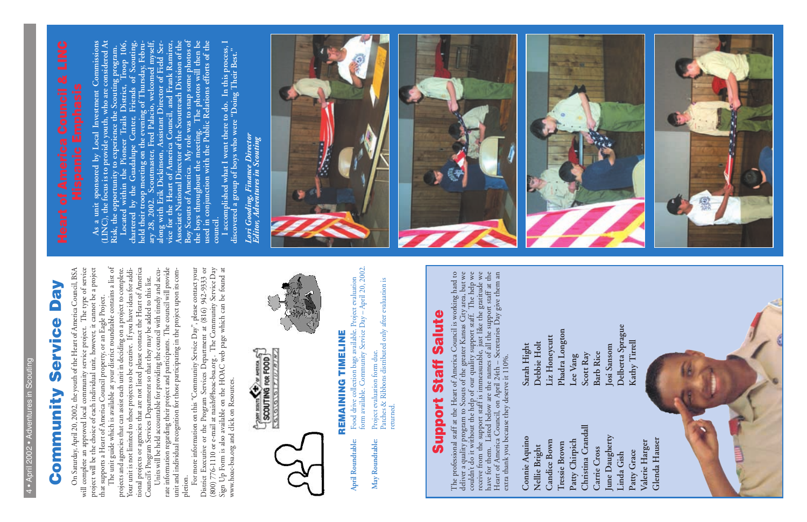**As a unit sponsored by Local Investment Commissions (LINC), the focus is to provide youth, who are considered At Risk, the opportunity to experience the Scouting program.**

As a unit sponsored by Local Investment Commissions<br>(LINC), the focus is to provide youth, who are considered At<br>Risk, the opportunity to experience the Scouting program.<br>Chartered by the Guadalupe Center, Friends of Scout the boys throughout the meeting. The photos will then be<br>used in conjunction with the Public Relations efforts of the **Located within the Pioneer Trails District, Troop 106, chartered by the Guadalupe Center, Friends of Scouting, held their troop meeting on the evening of Thursday, February 28, 2002. Scoutmaster, Fred Palacio, welcomed myself, along with Erik Dickinson, Assistant Director of Field Service for the Heart of America Council, and Frank Ramirez, Associate National Director of the Scoutreach Division of the Boy Scouts of America. My role was to snap some photos of the boys throughout the meeting. The photos will then be used in conjunction with the Public Relations efforts of the**

council.<br>I accomplished what I went there to do. In this process, I<br>discovered a group of boys who were "Doing Their Best." **I accomplished what I went there to do. In this process, I discovered a group of boys who were "Doing Their Best."**

Lori Gooding, Finance Director<br>Editor, Adventures in Scouting *Lori Gooding, Finance Director Editor, Adventures in Scouting*

## **Community Service Day** VeQ Service Community







The professional staff at the Heart of America Council is working hard to<br>deliver a quality program to Scouts of the greater Kansas City area, but we<br>couldn't do it without the help of our quality support staff. The help w The professional staff at the Heart of America Council is working hard to deliver a quality program to Scouts of the greater Kansas City area, but we couldn't do it without the help of our quality support staff. The help we receive from the support staff is immeasurable, just like the gratitude we have for them. Listed below are the names of all the support staff at the Heart of America Council, on April 24th – Secretaries Day give them an extra thank you because they deserve it 110%.

June Daugherty **June Daugherty Glenda Hauser** Glenda Hausen **Patty Grace Valerie Harger Carrie Cross Linda Gish**

will complete an approved local community service project. The type of service project will be the choice of each individual unit, however, it cannot be a project that supports a Heart of America Council property, or an Ea On Saturday, April 20, 2002, the youth of the Heart of America Council, BSA On Saturday, April 20, 2002, the youth of the Heart of America Council, BSA will complete an approved local community service project. The type of service project will be the choice of each individual unit, however, it cannot be a project that supports a Heart of America Council property, or an Eagle Project.

Your unit is not limited to these projects so be creative. If you have ideas for additional projects or agencies that are not listed please contact the Heart of America The unit guide which is available at your district roundtable contains a list of projects and agencies that can assist each unit in deciding on a project to complete. Your unit is not limited to these projects so be creative. If you have ideas for additional projects or agencies that are not listed please contact the Heart of America Council's Program Services Department so that they may be added to this list. Council's Program Services Department so that they may be added to this list.

rate information regarding their project and participants. The council will provide<br>unit and individual recognition for those participating in the project upon its com-Units will be held accountable for providing the council with timely and accu-Units will be held accountable for providing the council with timely and accurate information regarding their project and participants. The council will provide unit and individual recognition for those participating in the project upon its com-

pletion.<br>For more information on this "Community Service Day", please contact your<br>District Executive or the Program Services Department at (816) 942-9333 or<br>(800) 776-1110 or e-mail at naish@hoac-bsa.org . The Community S For more information on this "Community Service Day", please contact your District Executive or the Program Services Department at (816) 942-9333 or (800) 776-1110 or e-mail at naish@hoac-bsa.org . The Community Service Day Sign Up Form is also available on the HOAC web page which can be found at www.hoac-bsa.org and click on Resources.





## REMAINING TIMELINE **REMAINING TIMELINE**

- form available. Community Service Day April 20, 2002. form available. Community Service Day – April 20, 2002. Food drive collection bags available. Project evaluation Food drive collection bags available. Project evaluation Project evaluation form due. April Roundtable: May Roundtable: **April Roundtable: May Roundtable:**
	- Project evaluation form due.<br>Patches & Ribbons distributed only after evaluation is Patches & Ribbons distributed only after evaluation is returned.

## **Support Staff Salute Staff Salute** Support

Delberta Sprague **Delberta Sprague** Kathy Tirrell **Kathy TirrellJosi Sansom Barb Rice**

| Sarah Hight   | Debbie Holt   | Liz Honeycutt       | Phadra Longton | Lee Vang       | Scott Ray          |
|---------------|---------------|---------------------|----------------|----------------|--------------------|
| Connie Aquino | Nellie Bright | <b>Candice Bown</b> | Tressie Brown  | Patty Chirpich | Christina Crandall |

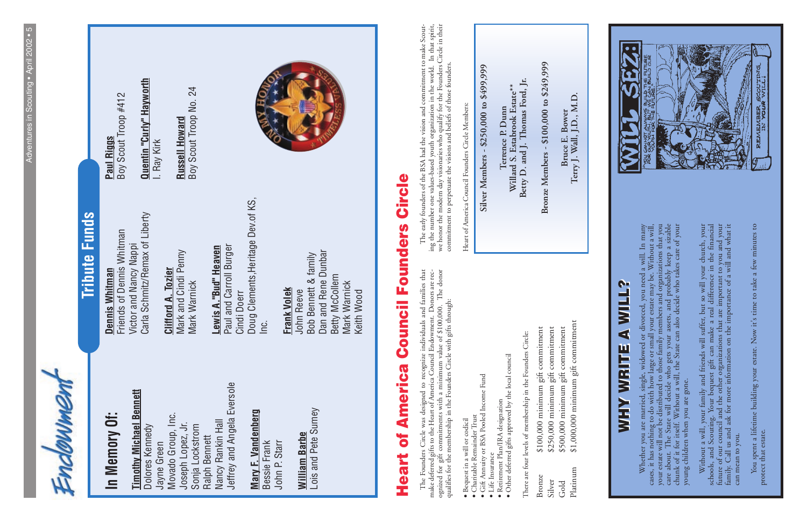#### **WHY WRITE A WILL? WHY WRITE A WILL? WILL?**  $\blacktriangleleft$ **WHY WRITE**

Whether you are married, single, widowed or divorced, you need a will. In many<br>cases, it has nothing to do with how large or small your estate may be. Without a will,<br>your estate will not be distributed to those family mem Whether you are married, single, widowed or divorced, you need a will. In many cases, it has nothing to do with how large or small your estate may be. Without a will, your estate will not be distributed to those family members and organizations that you care about. The State will decide who gets your assets, and probably keep a sizable chunk of it for itself. Without a will, the State can also decide who takes care of your young children when you are gone. young children when you are gone.

## **Tribute Funds Tribute Funds**

### **In Memory Of:**  In Memory Of:

## **Timothy Michael Bennett Timothy Michael Bennett**

Jeffrey and Angela Eversole Jeffrey and Angela Eversole Movado Group, Inc. Movado Group, Inc. Nancy Rankin Hall Nancy Rankin Hall Joseph Lopez, Jr. Joseph Lopez, Jr. Sonja Lockstrom Dolores Kennedy Dolores Kennedy Sonja Lockstrom Ralph Bennett Ralph Bennett Jayne Green

### Mary F. Vandenberg **Mary F. Vandenberg**

#### Lois and Pete Sumey Lois and Pete Sumey **William Barbe William Barbe**

Carla Schmitz/Remax of Liberty Carla Schmitz/Remax of Liberty Friends of Dennis Whitman Friends of Dennis Whitman Victor and Nancy Nappi Victor and Nancy Nappi Dennis Whitman **Dennis Whitman**

#### **Clifford A. Tozier Clifford A. Tozier**

Mark and Cindi Penny Mark and Cindi Penny Mark Warnick Mark Warnick

## Lewis A."Bud" Heaven **Lewis A."Bud" Heaven**

Bessie Frank John P. Starr John P. Starr

Dan and Rene Dunbar Dan and Rene Dunbar Bob Bennett & family Bob Bennett & family Betty McCollem Betty McCollem Mark Warnick Mark Warnick John Reeve Keith Wood

#### Boy Scout Troop #412 Boy Scout Troop #412 **Paul Riggs**

Quentin "Curly" Hayworth **Quentin "Curly" Hayworth**

24 Boy Scout Troop No. 24 Boy Scout Troop No. **Russell Howard Russell Howard**



## Circle **Heart of America Council Founders CircleCouncil Founders America**  $\overline{\bullet}$ Heart

Doug Clements,Heritage Dev.of KS, Doug Clements, Heritage Dev. of KS, Paul and Carroll Burger Paul and Carroll Burger Cindi Doerr Inc.

## **Frank Volek**

I. Ray Kirk

Without a will, your family and friends will suffer, but so will your church, your schools, and Scouting. Your bequest gift can make a real difference in the financial future of our council and the other organizations that Without a will, your family and friends will suffer, but so will your church, your schools, and Scouting. Your bequest gift can make a real difference in the financial future of our council and the other organizations that are important to you and your family. Call us and ask for more information on the importance of a will and what it can mean to you. can mean to you. You spent a lifetime building your estate. Now it's time to take a few minutes to protect that estate. You spent a lifetime building your estate. Now it's time to take a few minutes to protect that estate.



The Founders Circle was designed to recognize individuals and families that make deferred gifts to the Heart of America Council Endowment. Donors are recognized for gift commitments with a minimum value of \$100,000. The do The Founders Circle was designed to recognize individuals and families that make deferred gifts to the Heart of America Council Endowment. Donors are recognized for gift commitments with a minimum value of \$100,000. The donor qualifies for the membership in the Founders Circle with gifts through:

- · Bequest in a will or codicil • Bequest in a will or codicil
- Charitable Remainder Trust
- Gift Annuity or BSA Pooled Income Fund
- Charitable Remainder Trust<br>• Gift Annuity or BSA Pooled Income Fund<br>• Life Insurance<br>• Retirement Plan/IRA designation
	- Retirement Plan/IRA designation
- · Other deferred gifts approved by the local council • Other deferred gifts approved by the local council

There are four levels of membership in the Founders Circle: There are four levels of membership in the Founders Circle:

The early founders of the BSA had the vision and commitment to make Scouting the number one values-based youth organization in the world. In that spirit, we honor the modern day visionaries who qualify for the Founders Cir we honor the modern day visionaries who qualify for the Founders Circle in their The early founders of the BSA had the vision and commitment to make Scouting the number one values-based youth organization in the world. In that spirit, commitment to perpetuate the visions and beliefs of those founders. commitment to perpetuate the visions and beliefs of those founders.

Heart of America Council Founders Circle Members: Heart of America Council Founders Circle Members: Silver Members - \$250,000 to \$499,999 **Silver Members - \$250,000 to \$499,999**

Betty D. and J. Thomas Ford, Jr. **Betty D. and J. Thomas Ford, Jr. Willard S. Estabrook Estate\*\*** Willard S. Estabrook Estate\* Terrence P. Dunn **Terrence P. Dunn**

Bronze Members - \$100,000 to \$249,999 **Bronze Members - \$100,000 to \$249,999**

**Terry J. Wall, J.D., M.D.** Bruce E. Bower<br>Terry J. Wall, J.D., M.D. **Bruce E. Bower**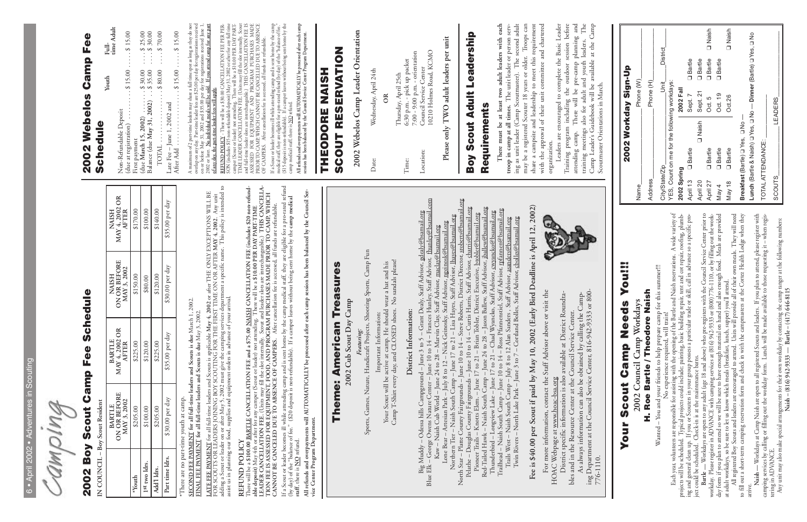| ï<br>١<br>⋍      |  |
|------------------|--|
| ٠                |  |
|                  |  |
| ۰<br>I           |  |
| h<br>1<br>í      |  |
| I                |  |
| I                |  |
|                  |  |
| ï<br>×<br>н      |  |
| ï<br>١<br>h      |  |
| _                |  |
| ÷<br>-<br>I      |  |
| 4                |  |
| ч<br>ь<br>۰      |  |
| a<br>÷           |  |
| ۰                |  |
|                  |  |
| ï                |  |
| ы<br>d<br>ı<br>- |  |
| d<br>ŀ<br>ь,     |  |
| ï                |  |
| ь<br>۰<br>ŀ      |  |
| ÷<br>ï           |  |
| a                |  |
|                  |  |
| Ï<br>l<br>١<br>J |  |
|                  |  |

Camping

#### 2002 Webelos Camp Fee **2002 Webelos Camp Fee** Schedule **Schedule**

**Youth Full-**

Youth

| time Adult                                                             |
|------------------------------------------------------------------------|
| Non-Refundable Deposit                                                 |
| due at registration) $\dots \dots \dots$ \$ 15.00 $\dots$ \$ 15.00     |
| First payment                                                          |
| 95.00                                                                  |
| 30.000<br>(due March 15, 2002)<br>Balance (due May 31, 2002)  \$ 35.00 |
| $\ldots$ . $\frac{1}{2}$ 70.00                                         |
| Late Fee - June 1, 2002 and                                            |
| After Add $\ldots \ldots \ldots$ \$ 15.00 $\ldots$ \$ 15.00            |

A maximum of 2 part-time leaders may share a full time spot as long as they do not overlap on any day. Part-time leader fees are \$25.00 per day for registrations received on or before May 31, 2002 and \$35.00 per day for r A maximum of 2 part-time leaders may share a full time spot as long as they do not overlap on any day. Part-time leader fees are \$25.00 per day for registrations received on or before May 31, 2002 and \$35.00 per day for registrations received June 1, 2002 or later. **No individual meals will be sold. If you attend camp for any part of any day, the part-time leader fees will apply.**

**REFUND POLICY** - There will be a \$30.00 CANCELLATION FEE PER PER-SON (includes \$15 non-refundable deposit) May 31, 2002 or after for any full time camper (Scout or leader) not attending. There will be a \$10.00 PER DAY PAR **REFUND POLICY** - There will be a \$30.00 CANCELLATION FEE PER PER-SON (includes \$15 non-refundable deposit) May 31, 2002 or after for any full time camper (Scout or leader) not attending. There will be a \$10.00 PER DAY PART-TIME LEADER CANCELLATION FEE. (Units may fill the slot internally. Scout and full-time leader slots are interchangeable.) THIS CANCELLATION FEE IS ASSESSED FOR EQUIPMENT AND PROGRAM PURCHASES MADE PRIOR TO CAMP, WHICH CANNOT BE CANCELLED DUE TO ABSENCE OF CAMPERS. After cancellation fee is accessed, all funds are refundable.

If a Scout or leader becomes ill while attending camp and is sent home by the camp medical staff, they are eligible for a pro-rated refund (by day) of the "balance of fee." (\$15 deposit is non-refundable). If a camper leaves without being sent home by the If a Scout or leader becomes ill while attending camp and is sent home by the candical staff, they are eligible for a pro-rated refund (by day) of the "balance of it (\$15 deposit is non-refundable). If a camper leaves wit camp medical staff, there is  $\underline{\text{NO}}$  refund.

All refunds and overpayments will AUTOMATICALLY be processed after each camp session has been balanced by the Council Service Center Program Department. **All refunds and overpayments will AUTOMATICALLY be processed after each camp session has been balanced by the Council Service Center Program Department.**

2002 Webelos Camp Leader Orientation **2002 Webelos Camp Leader Orientation**

Wednesday, April 24th Date: Wednesday, April 24th Date:

Please only TWO adult leaders per unit **Please only TWO adult leaders per unit**

#### Boy Scout Adult Leadership **Boy Scout Adult Leadership** Requirements **Requirements**

There must be at least two adult leaders with each<br>troop in camp at all times. The unit leader or person serv-<br>ing as unit leader (Camp Scoutmaster). The second adult<br>may be a registered Scouter 18 years or older. Troops c share a campsite and leadership to meet this requirement<br>with the approval of their unit committee and chartered **There must be at least two adult leaders with each troop in camp at all times.** The unit leader or person serving as unit leader (Camp Scoutmaster). The second adult may be a registered Scouter 18 years or older. Troops can share a campsite and leadership to meet this requirement with the approval of their unit committee and chartered organization. organization.

Training program including the outdoor session before attending camp. There will be pre-camp planning and training meetings also for adult and youth leaders. The Camp Leader's Guidebook will be available at the Camp Leaders are encouraged to complete the Basic Leader Leaders are encouraged to complete the Basic Leader Training program including the outdoor session before attending camp. There will be pre-camp planning and training meetings also for adult and youth leaders. The Camp Leader's Guidebook will be available at the Camp

# 2002 Boy Scout Camp Fee Schedule **2002 Boy Scout Camp Fee Schedule**

IN COUNCIL - Boy Scout Resident **IN COUNCIL – Boy Scout Resident** SECOND FEE PAYMENT for all full-time leaders and Scouts is due March 1, 2002.<br>FINAL FEE PAYMENT for all full-time leaders and Scouts is due May 3, 2002. **SECOND FEE PAYMENT for all full-time leaders and Scouts is due** March 1, 2002.

<u>LATE FEE PAYMENT</u> for all full-time leaders and Scouts is applicable May 4, 2002 or after THE ONLY EXCEPTIONS WILL BE<br>FOR SCOUTS OR LEADERS JOINING BOY SCOUTING FOR THE FIRST TIME ON OR AFTER MAY 4, 2002. Any unit<br>adding adding a Scout or leader on or after May 5, 2002 must give the camping services department a specific name. This policy is intended to **LATE FEE PAYMENT** for all full-time leaders and Scouts is applicable **May 4, 2002** or after THE ONLY EXCEPTIONS WILL BE FOR SCOUTS OR LEADERS JOINING BOY SCOUTING FOR THE FIRST TIME ON OR AFTER **MAY 4, 2002**. Any unit assist us in planning our food, supplies and equipment orders in advance of your arrival.

#### **SCOUT RESERVATION SCOUT RESERVATION** THEODORE NAISH **THEODORE NAISH**

REFUND POLICY<br>There will be a \$100.00 <u>BARTLE</u> CANCELLATION FEE and a \$75.00 <u>NAISH</u> CANCELLATION FEE (includes \$20 non-refund-<br>able deposit) May 4th or after for any camper (Scout or leader) not attending. There will be a **LEADER CANCELLATION FEE.** (Units may fill the slot internally. Scout and leader slots are interchangeable.) **THIS CANCELLA-**There will be a **\$100.00 BARTLE CANCELLATION FEE and a \$75.00 NAISH CANCELLATION FEE (includes \$20 non-refund-TION FEE IS ASSESSED FOR EQUIPMENT, FOOD, AND PROGRAM PURCHASES MADE PRIOR TO CAMP, WHICH CANNOT BE CANCELED DUE TO ABSENCE OF CAMPERS.** After cancellation fee is accessed, all funds are refundable. **able deposit)** May 4th or after for any camper (Scout or leader) not attending. There will be a **\$10.00 PER DAY PART-TIME**

**OR**

Thursday, April 25th<br>6:30 p.m. - pick up packet<br>7:00 - 9:00 p.m. - orientation<br>Council Service Center 10210 Holmes Road, KCMO 10210 Holmes Road, KCMO 7:00 - 9:00 p.m. - orientation Time: 6:30 p.m. - pick up packet Location: Council Service Center Thursday, April 25th Location: Time:

If a Scout or leader becomes ill while attending camp and is sent home by the camp medical staff, they are eligible for a pro-rated refund<br>(by day) of the "balance of fee." (\$20 deposit is non-refundable). If a camper leav If a Scout or leader becomes ill while attending camp and is sent home by the camp medical staff, they are eligible for a pro-rated refund (by day) of the "balance of fee." (\$20 deposit is non-refundable). If a camper leaves without being sent home by the **camp medical staff**, there is **NO** refund.

## **Theme: American Treasures** Theme: American Treasures 2002 Cub Scout Day Camp

Sports, Games, Nature, Handicraft Projects, Shooting Sports, Camp Fun Sports, Games, Nature, Handicraft Projects, Shooting Sports, Camp Fun

Important Information:<br>Your Scout will be active at camp. He should wear a hat and his<br>Camp T-Shirt every day, and CLOSED shoes. No sandals please! Camp T-Shirt every day, and CLOSED shoes. No sandals please! Your Scout will be active at camp. He should wear a hat and his

#### District Information: **District Information:**

Big Muddy – Odessa hills Campground – June 3 to 5 – Grant Dealy, Staff Advisor, <u>gelealy@basmail.org</u><br>Blue Elk – George Owens Nature Center – June 10 to 14 – Frances Hunley, Staff Advisor, <u>thunley@basmail.org</u><br>Iche Elk – Blue Elk – George Owens Nature Center – June 10 to 14 – Frances Hunley, Staff Advisor, fhunley@bsamail.com North Star – Platte County Fairgrounds – June 10 to 14 – Steve Roberts, District Director, sroberts@bsamail.org Pelathe – Douglas County Fairgrounds – June 10 to 14 – Curtis Harris, Staff Advisor, charris@bsamail.org Red-Tailed Hawk – Naish South Camp – June 24 to 28 – Jason Ballew, Staff Advisor, jballew@bsamail.org Trailhead – Naish South Camp – June 10 to 14 – Ross Pfannenstiel, Staff Advisor, rpfannen@bsamail.org Big Muddy – Odessa hills Campground – June 3 to 5 – Grant Dealy, Staff Advisor, gdealy@bsamail.org Thunderbird – Longview Lake – June 17 to 21 – Chad Wyancko, Staff Advisor, cwyancko@bsamail.org Pioneer Trails – Knotts Elem. – June 17 to 21 – Brian Tobler, District Executive, btobler@bsamail.org Northern Tier – Naish South Camp – June 17 to 21 – Lisa Hayes, Staff Advisor, lhayes@bsamail.org Twin Rivers – North Lake Park – June 3 to 7 – Cortland Bolles, Staff Advisor, cbolles@bsamail.org Trails West – Naish South Camp – July 8 to 12 Alan Sanders , Staff Advisor, asanders@bsamail.org Lone Bear – Artesian Park – July 8 to 12 – Nick Geinosky, Staff Advisor, ngeinosk@bsamail.org Kaw – Naish Cub World – June 24 to 28 – Marvin Clay, Staff Advisor, maclay@bsamail.org

**FINAL FEE PAYMENT for all full-time leaders and Scouts is due** May 3, 2002.

Fee is \$40.00 per Scout if paid by May 10, 2002 (Early Bird Deadline is April 12, 2002) **Fee is \$40.00 per Scout if paid by May 10, 2002 (Early Bird Deadline is April 12, 2002)**

## **REFUND POLICY**

For more information, contact the Staff Advisor above or visit the For more information, contact the Staff Advisor above or visit the HOAC Webpage at www.hoac-bsa.org

District specific information is also available at District Roundtables and in the Resource Center at the Council Service Center. As always information can also be obtained by calling the Camping Department at the Council Service Center, 816-942-9333 or 800- HOAC Webpage at <u>www.hoac-bsa.org</u><br>District specific information is also available at District Roundta-<br>bles and in the Resource Center at the Council Service Center.<br>As always information can also be obtained by calling t



**All refunds and overpayments will AUTOMATICALLY be processed after each camp session has been balanced by the Council Ser-**All refunds and overpayments will AUTOMATICALLY be processed after each camp session has been balanced by the Council Service Center Program Department. **vice Center Program Department.**

**2002 Cub Scout Day Camp** *Featuring:* Important Information:

**Naish – (816) 942-9333 — Bartle – (417) 646-8115** 

Naish - (816) 942-9333 - Bartle - (417) 646-8115

| $7/0 - 110.$                                                                                                                                                                                                                                                   | Scoutmaster Orientations in March.           |                                                                  |  |
|----------------------------------------------------------------------------------------------------------------------------------------------------------------------------------------------------------------------------------------------------------------|----------------------------------------------|------------------------------------------------------------------|--|
|                                                                                                                                                                                                                                                                |                                              |                                                                  |  |
| Your Scout Camp Needs You!!!                                                                                                                                                                                                                                   |                                              | 2002 Workday Sign-Up                                             |  |
| 2002 Council Camp Workdays                                                                                                                                                                                                                                     | Name                                         | Phone (W)                                                        |  |
| H. Roe Bartle / Theodore Naish                                                                                                                                                                                                                                 | Address                                      | Phone (H)                                                        |  |
| Wanted - You and your friends to help prepare camp for this summer!!!                                                                                                                                                                                          | City/State/Zip                               | District<br>jsit                                                 |  |
| Each year, volunteers are responsible for assisting with the opening of the Bartle and Naish reservations. A wide variety of<br>No experience required, will train                                                                                             | YES, Count on me for the following workdays: |                                                                  |  |
| projects will be scheduled. Typical projects could include; painting, basic building repair, tent and cot repair, roofing, plumb-                                                                                                                              | 2002 Spring                                  | 2002 Fall                                                        |  |
| ing and general clean up. If you or Scouters in your group possess a particular trade or skill, call in advance so a specific pro-                                                                                                                             | D Bartle<br>April 13                         | <b>Q</b> Bartle<br>Sept. 7                                       |  |
| Bartle — Workdays are open to any adult (age 18 and above) who pre-registers with the Council Service Center prior to<br>ject could be scheduled. Check-in is at the maintenance barns.                                                                        | D Naish<br>April 20                          | <b>Q</b> Bartle<br>Sept. 21                                      |  |
| workday. Please register in ADVANCE with camping services at (816) 942-9333 or (800) 776-1110, or by filling out the work-                                                                                                                                     | <b>Q</b> Bartle<br>April 27                  | D Naish<br><b>Q</b> Bartle<br>Oct. 5                             |  |
| day form if you plan to attend so we will be sure to have enough material on hand and also enough food. Meals are provided                                                                                                                                     | <b>Q</b> Bartle<br>May 4                     | <b>Q</b> Bartle<br>Oct. 19                                       |  |
| at adult workdays, so be sure to let us know which meals (breakfast, lunch, supper) you'll attend.                                                                                                                                                             | <b>Q</b> Bartle<br>May 18                    | 1 Naish<br>Oct.26                                                |  |
| All registered Boy Scouts and leaders are encouraged to attend. Units will provide all of their own meals. They will need<br>to fill out a short-term camping reservation form and check in with the campmasters at the Cortez Health Lodge when they          | Breakfast (Bartle) Q Yes, Q No -             |                                                                  |  |
| arrive.                                                                                                                                                                                                                                                        |                                              | Lunch (Bartle & Naish) D Yes, D No - Dinner (Bartle) D Yes, D No |  |
| Naish — Workdays at Camp Naish are open to all registered Scouts and leaders. If you plan to attend, please register with<br>available to those requesting it - when regis-<br>camping services by calling or filling out the workday form. Lunch will be made | TOTAL ATTENDANCE:                            |                                                                  |  |
| Any unit may also make special arrangements for their own workday by contacting the camp ranger at the following numbers:<br>tering in ADVANCE.                                                                                                                | <b>SCOUTS</b>                                | LEADERS                                                          |  |
|                                                                                                                                                                                                                                                                |                                              |                                                                  |  |

|                 | <b>ON OR BEFORE</b><br>MAY 3, 2002<br><b>BARTLE</b> | <b>MAY 4, 2002 OR</b><br><b>AFTER</b><br><b>BARTLE</b> | <b>ON OR BEFORE</b><br>MAY 3, 2002<br><b>NAISH</b> | MAY 4, 2002 OR<br><b>AFTER</b><br><b>NAISH</b> |
|-----------------|-----------------------------------------------------|--------------------------------------------------------|----------------------------------------------------|------------------------------------------------|
| *Youth          | \$205.00                                            | \$225.00                                               | \$150.00                                           | \$170.00                                       |
| 1st two ldrs.   | \$100.00                                            | \$120.00                                               | \$80.00                                            | \$100.00                                       |
| Add'l Idrs.     | \$205.00                                            | \$225.00                                               | \$120.00                                           | \$140.00                                       |
| Part time ldrs. | \$30.00 per day                                     | \$35.00 per day                                        | \$30.00 per day                                    | \$35.00 per day                                |
|                 |                                                     |                                                        |                                                    |                                                |

youth at camp. \*There are no part-time youth at camp. no part-time  $\overline{T}$ hen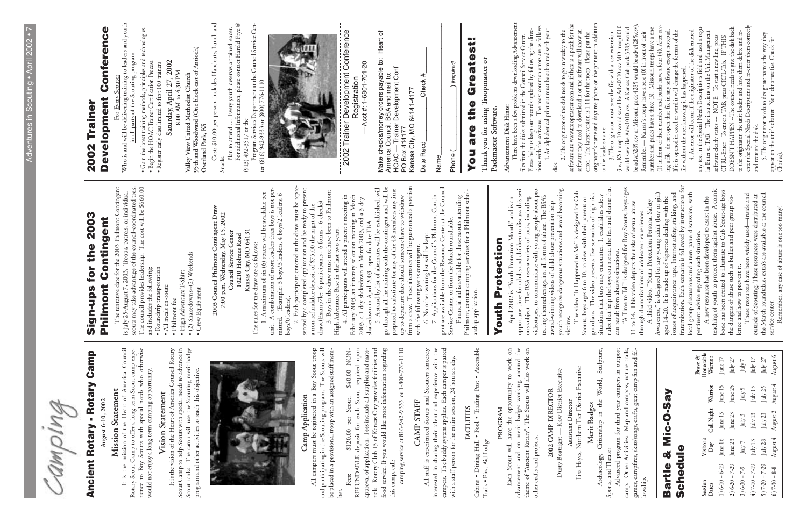to the flucture state.<br>
The origination to the flucture state of the flucture correct<br>
(i.e., KS tree like Advs1010.sev A Kansas Cub peak 3285 would<br>
Nearther — Kansas's troops have a zero (0) in from of their<br>
number and originator's name and daytime phone on the printout in addition be advc3285.csv or Missouri pack 4285 would be advc4285.csv). (1) in front of their number and packs have a four (4). After saventer the Special Needs Descriptions and re-enter them correctly any text in the Special Needs Descriptions field and used a regu-(i.e., KS troop 10 would save like Advs0010.csv MO troop1010 would save like Advs1010.csv. A Kansas Cub pack 3285 would number and packs have a three (3). Missouri troops have a one DOESN'T HAPPEN --The council needs to give the disk back ing a file, do not open that file in any software except notepad. 4. An error will occur if the originator of the disk entered If it is opened in excel or word it will change the format of the lar Enter or TAB. The instructions on the Unit Management to the originator, the unit leader, and have them delete and re-5. The originator needs to designate names the way they<br>appear on the unit's charter. No nicknames (i.e. Chuck for<br>Charles). Remember — Kansas's troops have a zero (0) in front of their 3. The originator must save the file with a .csv extension 5. The originator needs to designate names the way they software clearly states --- NOTE: To start a new line, press CTRL-Enter. To enter a TAB, press CRTL-Tab. IF THIS appear on the unit's charter. No nicknames (i.e. Chuck for file without the user knowing it has happened. and recreate the disk. to the leaders name. to the leaders name. A third video, "Youth Protection: Personal Safety<br>A third video, "Youth Protection: Personal Safety<br>Awareness," is designed for any young adult (boy or girl)<br>ages 14-20. It is made up of vignettes dealing with the<br>issues o pertinent advice regarding each situation.<br>
A new resource has been developed to assist in the<br>
caching of youth to protect them against abuse. A comic<br>
book has been created to illustrate to Cub Scour-age boys<br>
the danger situations that boys may encounter. It establishes safety<br>rules that help the boys counteract the fear and shame that<br>can result from abusive situations.<br>"A Time to Tell" is designed for Boy Scouts, boys ages<br>11 to 14. Thi fraternization. Each scenario is followed by instructions for rules that help the boys counteract the fear and shame that "A Time to Tell" is designed for Boy Scouts, boys ages teaching of youth to protect them against abuse. A comic book has been created to illustrate to Cub Scout-age boys local group discussions and a teen panel discussion, with Awareness," is designed for any young adult (boy or girl) local group discussions and a teen panel discussion, with issues of acquaintance rape, Internet safety, stalking, and the March roundtable, extra's are available at the council These resources have been widely used—inside and situations that boys may encounter. It establishes safety outside of Scouting. These resources were distributed at the dangers of abuse such as bullies and peer group vioages 14-20. It is made up of vignettes dealing with the A new resource has been developed to assist in the A third video, "Youth Protection: Personal Safety 11 to 14. This video depicts the risks of sexual abuse Remember, any case of abuse is one too many! Remember, any case of abuse is one too many! through dramatizations of adolescent experiences.

can result from abusive situations.

|        | 2002 Trainer                                          | Conference<br><b>Development</b> | Who is and will be delivering training to leaders and youth<br>in all parts of the Scouting program<br>For Every Scouter                                                       | · Gain the latest training methods, principles and technologies.<br>· Begin the HOAC Trainer Certification Process. | Saturday, April 27, 2002<br>· Register early class limited to first 100 trainers   | 95th and Woodward (One block east of Antioch)<br>8:00 AM to 4:30 PM<br>Valley View United Methodist Church                                                                        | Cost: \$10.00 per person, includes Handouts, Lunch and<br>Overland Park, KS | Plan to attend  Every youth deserves a trained leader.<br>Snacks | For additional Information, please contact Harold Frye $\mathcal Q$<br>$(913)$ 492-3517 or the | Program Services Department at the Council Service Cen-             | ter (816) 942-9333 or (800) 776-1110                                                                              |                                                                                |                                                     |                                                                                                                   |                                                                                                               |                                                                      | contract control of the Conference<br>Registration                                                                 | Acct #: 1-6801-701-20                                                                                           |                                                              | Make checks/money orders payable to: Heart of<br>America Council, BSA and mail to:<br>HOAC — Trainer Development Conf   | PO Box 414177                                        | Kansas City, MO 64141-4177                                                                             | Check #<br>Date Recd                                   | Name                                                                                                                   | ) [required]<br>Phone (                                                                                | $\frac{11}{9}$<br>Greate<br>the<br>are<br>Vou            | Thank you for using Troopmaster or                                                  | Packmaster Software. | There have been a few problems downloading Advancement<br>Advancement Disk Hints: | files from the disks submitted in the Council Service Center.                                                           | tions with the software. The most common errors are as follows:<br>Please help us keep our records updated by following the direc- | 1. An alphabetical print out must be submitted with your<br>disk.                                               | 2. The originator of the disk needs to go in weekly to the          | software site www.troopmaster.com and if there is a patch for the<br>software they need to download it or the software will show an | error. The latest version is 1.11 for the troop. Please put the originator's name and daytime phone on the printout in addition |
|--------|-------------------------------------------------------|----------------------------------|--------------------------------------------------------------------------------------------------------------------------------------------------------------------------------|---------------------------------------------------------------------------------------------------------------------|------------------------------------------------------------------------------------|-----------------------------------------------------------------------------------------------------------------------------------------------------------------------------------|-----------------------------------------------------------------------------|------------------------------------------------------------------|------------------------------------------------------------------------------------------------|---------------------------------------------------------------------|-------------------------------------------------------------------------------------------------------------------|--------------------------------------------------------------------------------|-----------------------------------------------------|-------------------------------------------------------------------------------------------------------------------|---------------------------------------------------------------------------------------------------------------|----------------------------------------------------------------------|--------------------------------------------------------------------------------------------------------------------|-----------------------------------------------------------------------------------------------------------------|--------------------------------------------------------------|-------------------------------------------------------------------------------------------------------------------------|------------------------------------------------------|--------------------------------------------------------------------------------------------------------|--------------------------------------------------------|------------------------------------------------------------------------------------------------------------------------|--------------------------------------------------------------------------------------------------------|----------------------------------------------------------|-------------------------------------------------------------------------------------|----------------------|-----------------------------------------------------------------------------------|-------------------------------------------------------------------------------------------------------------------------|------------------------------------------------------------------------------------------------------------------------------------|-----------------------------------------------------------------------------------------------------------------|---------------------------------------------------------------------|-------------------------------------------------------------------------------------------------------------------------------------|---------------------------------------------------------------------------------------------------------------------------------|
|        | 2003<br>for the<br>n-ups<br>$\overline{\overline{5}}$ | Contingent<br>Philmont           | The tentative date for the 2003 Philmont Contingent<br>scouts may take advantage of the council-coordinated trek.<br>is July 25-August 7, 2003. Troops, patrols, or individual | The council provides leadership. The cost will be \$660.00<br>and includes the following:                           | · Roundtrip transportation<br>• All meals en-route<br>· Philmont fee               | $\bullet$ (2) Shakedowns--(2) Weekends<br>· High Adventure T-Shirt<br>Equipment<br>$\bullet$ Crew                                                                                 | 2003 Council Philmont Contingent Draw                                       | 7:00 p.m. Wednesday, May 15, 2002<br>Council Service Center      | 10210 Holmes Road                                                                              | Kansas City, MO 64131<br>es for the draw are as follows:<br>The rul | A combination of more leaders than boys is not per-<br>A maximum of six (6) spaces will be available per<br>unit. | (Example: 3 boys/3 leaders, 4 boys/2 leaders, 6<br>boys/0 leaders).<br>mitted. | Each participant entered in the draw must be repre- | sented by a completed application and be ready to present<br>a non-refundable deposit of \$75.00 the night of the | Boys in the draw must not have been to Philmont<br>draw.(Examp7le: 6 participants - 6 forms - 6 checks)<br>3. | High Adventure Base in the last two years.                           | All participants will attend a parent's meeting in<br>February 2003, an itinerary selection meeting in March<br>4. | 2003, a 1-day shakedown in March 2003, and a 3-day<br>shakedown in April 2003 - specific date TBA.              | A stand-by list of alternates will be established, will      | go through all the training with the contingent and will be<br>prepared to substitute for any of the 48 members anytime | up to departure date should someone have to withdraw | crew. These alternates will be guaranteed a position<br>with the following years contingent.<br>from a | No other waiting list will be kept.<br>$\circ$         | gent are available from the Resource Center at the Council<br>Applications for the Council's Philmont Contin-          | Financial aid is available for those scouts attending<br>Service Center, or from the March roundtable. | Philmont, contact camping services for a Philmont schol- | arship application.                                                                 | Protection<br>Youth  | April 2002 is "Youth Protection Month" and is an                                  | opportune time for adults and children to discuss this seri-<br>ous subject. The BSA uses a variety of tools, including | videotapes, to communicate with young people about pro-                                                                            | tecting themselves against all forms of abuse. The BSA's<br>award-winning videos of child abuse prevention help | youth recognize dangerous situations and avoid becoming<br>victims. | re video "It Happened to Me" is designed for Cub<br>Ē                                                                               | guardians. The video presents five scenarios of high-risk<br>Scouts, boys ages 6 to 10, to view with their parents or           |
| emplus | Rotary Camp<br><b>Ancient Rotary -</b>                | August 6-10, 2002                | It is the mission of the Heart of America Council<br>Rotary Scout Camp to offer a long term Scout camp expe-<br><b>Mission Statement</b>                                       | to Boy Scouts with special needs who otherwise<br>would not enjoy a long-term camping opportunity.<br>rience        | It is the vision of the Heart of America Council Rotary<br><b>Vision Statement</b> | Scout Camp to help Scouts with special needs to advance in<br>The camp will use the Scouting merit badge<br>program and other activities to reach this objective.<br>Scout ranks. |                                                                             |                                                                  |                                                                                                |                                                                     |                                                                                                                   |                                                                                |                                                     | All campers must be registered in a Boy Scout troop<br>Camp Application                                           | and participating in the Scouting program. The Scouts will                                                    | be placed in a provisional troop with an assigned staff mem-<br>ber. | \$40.00 NON-<br>\$120.00 per Scout.<br>Fees:                                                                       | REFUNDABLE deposit for each Scout required upon<br>approval of application. Fees include all supplies and mate- | rials. Rotary Club 13 of Kansas City provides facilities and | food service. If you would like more information regarding<br>this camp, call:                                          | camping service at 816-942-9333 or 1-800-776-1110    | CAMP STAFF                                                                                             | All staff is experienced Scouts and Scouters sincerely | interested in sharing their talent and experience with the<br>campers. The buddy system applies. Each camper is paired | with a staff person for the entire session, 24 hours a day.                                            | <b>FACILITIES</b>                                        | Cabins . Dining Hall . Pool . Trading Post . Accessible<br>Trails . First Aid Lodge | <b>PROGRAM</b>       | Each Scout will have the opportunity to work on                                   | advancement and on merit badges working around the<br>theme of "Ancient Rotary". The Scouts will also work on           | other crafts and projects.                                                                                                         | 2002 CAMP DIRECTOR                                                                                              | - Kaw District Executive<br>Dusty Boatright-                        | Lisa Hayes, Northern Tier District Executive<br>Assistant Director                                                                  | Merit Badges                                                                                                                    |

pertinent advice regarding each situation.

lence and how to prevent it.

service center.

ce center.

Archaeology, Citizenship in the World, Sculpture, Sports, and Theater<br>Advanced program for third year campers in outpost Archaeology, Citizenship in the World, Sculpture, Advanced program for third year campers in outpost Sports, and Theater

camp. Other Activities: Map and compass, nature trails, games, campfires, skits/songs, crafts, great camp fun and felcamp. Other Activities: Map and compass, nature trails,<br>games, campfires, skits/songs, crafts, great camp fun and fellowship.

#### Mic-O-Say **Bartle & Mic-O-Say** Schedule **Schedule** Bartle &

Adventures in Scouting • April 2002 • 7

 $\mathbf{h}$ 

Adventures in Scouting . April 2002 . 7

| Session<br>Dates  | /isitor's<br>Day    | Call Night                          | Warrior           | Honorable<br>Brave &<br>Warrior     |
|-------------------|---------------------|-------------------------------------|-------------------|-------------------------------------|
| $1)$ 6-10 – 6-19  | June 16             | June $13$                           | $\rm{June}$ 15    | June 17                             |
| $2(6-20 - 7-29)$  | June 23 $\,$        | June 23                             | June 25 $\,$      | July $27\,$                         |
| $3)$ 6-30 – 7-9   | $\rm\,July$ $\rm 7$ | $\ensuremath{\mathrm{July}}\xspace$ | $\mathrm{July}$ 5 | $\ensuremath{\mathrm{July}}\xspace$ |
| $(4)$ 7-10 – 7-19 | July 13 $\,$        | $\rm\,July$ 13                      | July $15\,$       | July $17\,$                         |
| $5)$ 7-20 – 7-29  | $\rm\,July$ 28      | $\rm\,July$ 23                      | July $25$         | July $27\,$                         |
| $67 - 30 - 8 - 8$ | August 4            | August 2                            | August 4          | August 6                            |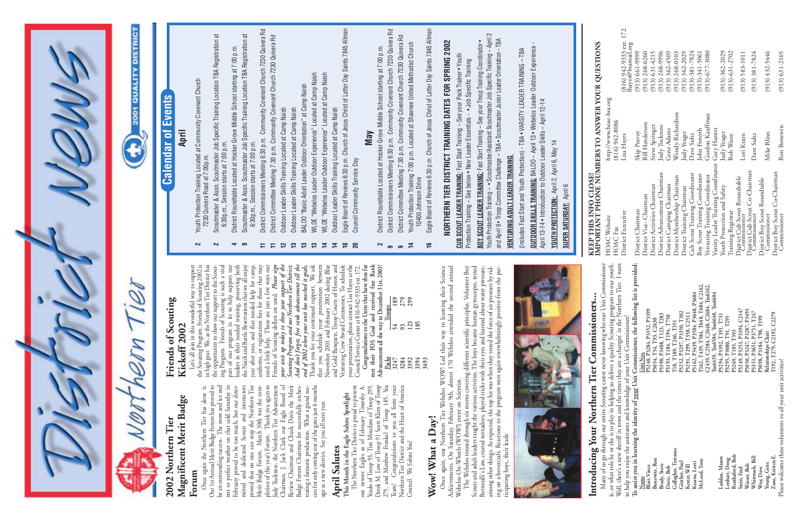Council. We Salute You!

### Wow! What a Day! **Wow! What a Day!**

7. 2000 Concert Controllery, The Webelos WOW! Led their way to learning their Science Achievements. On Saturday, February 9th, almost 170 Webelos attended the second annual Achievements. On Saturday, February 9th, almost 1 The Webelos rotated through six rooms covering different scientific principles. Volunteer Boy Scouts and adult leaders taught the various activities. The boys became human gyroscopes, tested Bernoulli's Law, created tornadoes, played tricks with their eyes and learned about water pressure, among other things. As expected, the top hit was when they tested the force of air pressure by riding on a hovercraft. Reactions to the program were again overwhelmingly positive-from the participating boys, their leade

**KEEP THIS INFO CLOSE!** Many of us go through our entire Scouting career never knowing who our Unit Commissioner is, or what role he or she is to play in helping us deliver a quality Scouting program to our youth. Well, there's a new sheriff in town and the times they are a changin' in the Northern Tier. I want **To assist you in learning the identity of your Unit Commissioner, the following list is provided:**  $\bar{\beta}$ **McLeod, Tom T162, T439, T584, T648, T684, C2162, C2439, C2584, C2648, C2684, Tm6162,**  Introducing Your Northern Tier Commissioners... **Kearns, Lorri P3162, P3439, P3584, P3648, P3684 Tm6439, Tm6584, Tm6648, Tm6684 Introducing Your Northern Tier Commissioners... Stein, Fred P3249, P3253, P3394, C2147 Blair, Vince P3248, P3284, P3352, P3399 Wasser, Bob P3050, P3247, P3287, P3493 Ginther, Paul Paul P3252, P3252, P3350, P3350, T302 Whitenack, Bill P3351, P3651, P3751, T247 Kester, Will P3291, T299, T358, C2511 Brady, Steve P3390, P3488, T123, T283 Laddau, Mason P3294, P3392, T391, T731 Davis, Bob P3193, T184, T194, T750** to help you enjoy the assistants and knowledge of your Unit Commissioner! **Lenhart, Doug P3295, P3080, T91, T295 Woy, Dave P3098, P3184, T98, T199 Bonewits, Ron P3054, T54, T93, C2630 Gallagher, Terrance T18, T189, T246, T351 Reathaford, Bob P3269, T185, T393 Young, Gene Relationships Chair Name Unit Nos.** Many of us go through our **article couring and the USIC Many** of us go through our entire Sooining career never<br>
Many of us go through our entire Sooining us deliver a c<br>
Well, there's a new sheriff in town and the times t w muchada, blanch<br>
Woy, Dave<br>
Young, Gene<br>
Zane, Kristen E.<br>
Please welcome these volunteers to all your unit activit.



- District Committee Meeting 7:30 p.m. Community Covenant Church 7230 Quivera Rd **9** District Committee Meeting 7:30 p.m. Community Covenant Church 7230 Quivera Rd
- **14** Youth Protection Training 7:00 p.m. Located at Shawnee United Methodist Church Youth Protection Training 7:00 p.m. Located at Shawnee United Methodist Church<br>10400 Johnson Drive  $\overline{4}$
- Eagle Board of Reviews 6:30 p.m. Church of Jesus Christ of Latter Day Saints 7845 Allman **16** Eagle Board of Reviews 6:30 p.m. Church of Jesus Christ of Latter Day Saints 7845 Allman 10400 Johnson Drive  $\frac{1}{2}$

KEEP THIS INFO CLOSE!<br>IMPORTANT PHONE NUMBERS TO ANSWER YOUR QUESTIONS **IMPORTANT PHONE NUMBERS TO ANSWER YOUR QUESTIONS**

172

**3394 185**



# NORTHERN TIER DISTRICT TRAINING DATES FOR SPRING 2002 **NORTHERN TIER DISTRICT TRAINING DATES FOR SPRING 2002**

**CUB SCOUT LEADER TRAINING:** Fast Start Training - See your Pack Trainer • Youth **CUB SCOUT LEADER TRAINING:** Fast Start Training – See your Pack Trainer • Youth Protection Training - See below . New Leader Essentials - . Job Specific Training Protection Training – See below • New Leader Essentials - • Job Specific Training

Youth Protection Training - . Scoutmaster/Assistant Scoutmaster Job Specific Training - April 2 Youth Protection Training – • Scoutmaster/Assistant Scoutmaster Job Specific Training – April 2 and April 9 . Troop Committee Challenge - TBA . Scoutmaster Junior Leader Orientation - TBA BOY SCOUT LEADER TRAINING: Fast Start Training - See your Troop Training Coordinator. and April 9 • Troop Committee Challenge – TBA • Scoutmaster Junior Leader Orientation - TBA **BOY SCOUT LEADER TRAINING:** Fast Start Training – See your Troop Training Coordinator •

Please welcome these volunteers to all your unit activities!

## **VENTURING ADULT LEADER TRAINING VENTURING ADULT LEADER TRAINING**

Once again, our Northern Tier Webelos WOW! Led their way to learning their Science Achievements. On Saturday, February 9th, almost 170 Webelos attended the second annual Webelos-On-Wheels (WOW!) event on Scientist.

OUTDOOR SKILLS TRAINING: BALOO – April 13 • Webelos Leader Outdoor Experience -<br>April 13-14 • Introduction to Outdoor Leader Skills – April 12-14 **OUTDOOR SKILLS TRAINING:** BALOO – April 13 • Webelos Leader Outdoor Experience - (Includes Fast Start and Youth Protection) - TBA . VARSITY LEADER TRAINING - TBA (Includes Fast Start and Youth Protection) - TBA • VARSITY LEADER TRAINING – TBA April 13-14 • Introduction to Outdoor Leader Skills – April 12-14

YOUTH PROTECTION: April 2, April 6, May 14 **YOUTH PROTECTION:** April 2, April 6, May 14

SUPER SATURDAY: April 6 **SUPER SATURDAY:** April 6

|                                                                         | ivitary of us go mrough our entire occurring career never knowing who our Commissioner                                        | HOAC Website                                    | http://www.hoac-bsa.org |                                              |  |
|-------------------------------------------------------------------------|-------------------------------------------------------------------------------------------------------------------------------|-------------------------------------------------|-------------------------|----------------------------------------------|--|
| I, there's a new sheriff in town and the times they are a changin' in t | the Northern Tier. I want<br>or what role he or she is to play in helping us deliver a quality Scouting program to our youth. | HOAC Fax                                        | $(816)$ 942-8086        |                                              |  |
|                                                                         | elp you enjoy the assistants and knowledge of your Unit Commissioner!                                                         | District Executive                              | Lisa Hayes              | (816) 942-9333 ext. 172<br>hayes@bsamail.org |  |
|                                                                         | assist you in learning the identity of your Unit Commissioner, the following list is provided:                                | District Chairman                               | Skip Peavey             | $(913) 661 - 9999$                           |  |
| Name                                                                    | P3248, P3284, P3352, P3399<br>Unit Nos.                                                                                       | District Vice-Chairman                          | <b>Bill Henderson</b>   | $(913)$ 268-6260                             |  |
| Bonewits, Ron<br>Blair, Vince                                           | P3054, T54, T93, C2630                                                                                                        | District Activities Chairman                    | Steve Springer          | (913) 6314215                                |  |
| Brady, Steve                                                            | P3390, P3488, T123, T283                                                                                                      | District Advancement Chairman                   | Judy Tuckness           | $(913)$ 268-9996                             |  |
| Davis, Bob                                                              | P3193, T184, T194, T750                                                                                                       | District Camping Chairman                       | Gene Adams              | $(913) 362 - 4509$                           |  |
| Gallagher, Terrance                                                     | [18, Т189, Т246, Т351                                                                                                         | District Membership Chairman                    | Wendy Richardson        | $(913)$ 268-0103                             |  |
| Ginther, Paul                                                           | P3252, P3297, P3350, T302                                                                                                     | District Training Chairman                      | Judy Yeager             | $(913) 362 - 2029$                           |  |
| Kester, Will                                                            | C2511<br>P3291, T299, T358,                                                                                                   | Cub Scout Training Coordinator                  | Dave Sultz              | $(913) - 381 - 7824$                         |  |
| Kearns, Lorri                                                           | P3162, P3439, P3584, P3648, P3684                                                                                             |                                                 |                         |                                              |  |
| McLeod, Tom                                                             | [162, T439, T584, T648, T684, C2162,                                                                                          | Boy Scout Training Coordinator                  | John Forsyth            | $(913) - 341 - 5061$                         |  |
|                                                                         | C2439, C2584, C2648, C2684, Tm6162,                                                                                           | Venturing Training Coordinator                  | Gordon Kauffman         | $(913) - 677 - 3080$                         |  |
|                                                                         | Im6439, Tm6584, Tm6648, Tm6684                                                                                                | Varsity Leader Training Coordinator Gary Hunter |                         |                                              |  |
| Laddau, Mason                                                           | P3294, P3392, T391, T731                                                                                                      | Youth Protection and Safety                     | Judy Yeager             | $(913) - 362 - 2029$                         |  |
| Lenhart, Doug                                                           | I295<br>P3295, P3080, T91,                                                                                                    |                                                 |                         |                                              |  |
| Reathaford, Bob                                                         | P3269, T185, T393                                                                                                             | Training Registrar                              | Bob Wasse               | $(913) - 631 - 2702$                         |  |
| Stein, Fred                                                             | P3249, P3253, P3394, C2147                                                                                                    | Digrict Çub Scout Roundtable<br>Commissioner    | Lori Kearn              | $(913) 583 - 1011$                           |  |
| Wasser, Bob                                                             | P3050, P3247, P3287, P3493                                                                                                    |                                                 |                         |                                              |  |
| Whitenack, Bill                                                         | ., T247<br>P3351, P3651, P3751                                                                                                | District Cub Scout Co-Chairman<br>Commissioner  | Dave Sultz              | $(913)$ 381-7824                             |  |
| Woy, Dave                                                               | <b>T199</b><br>P3098, P3184, T98, T                                                                                           | District Boy Scout Roundtable                   |                         |                                              |  |
| Young, Gene                                                             | Relationships Chair                                                                                                           | Commissioner                                    | Mike Blinn              | $(913) 432 - 5446$                           |  |
| Zane, Kristen E.                                                        | C2279<br>I192, T279, C2192,                                                                                                   | District Boy Scout Co-Chairman                  |                         |                                              |  |
| ase welcome these volunteers to all your unit activities!               |                                                                                                                               | Commissioner                                    | Ron Bonewits            | $(913) 631 - 2165$                           |  |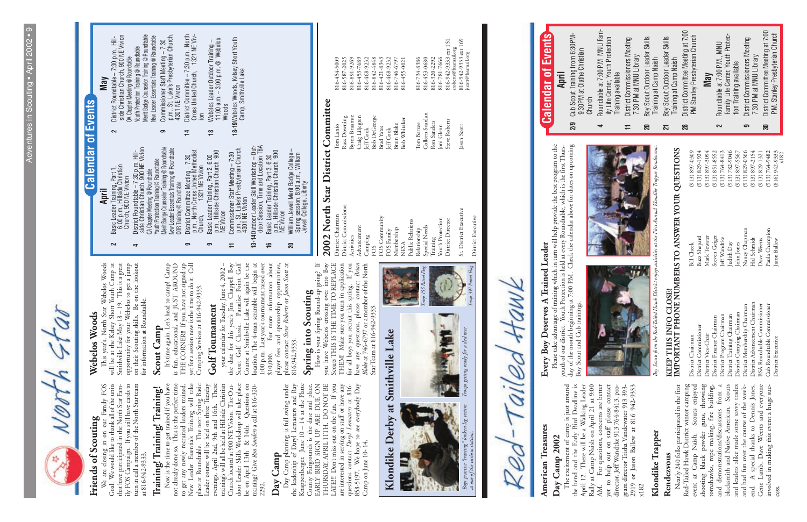

## 2002 North Star District Committee **2002 North Star District Committee**

### Friends of Scouting **Friends of Scouting**

We are closing in on our Family FOS<br>Goal. We would like to thank all of the units<br>that have participated in the North Star Fan-<br>ily FOS Campaign. If you still have cards to<br>turn in call a member of the North Star team<br>at 8 We are closing in on our Family FOS Goal. We would like to thank all of the units that have participated in the North Star Family FOS Campaign. If you still have cards to turn in call a member of the North Star team at 816-942-9333.

## Training! Training! Training! **Training! Training! Training!**

Now is the time to get trained if you have not already done so. This is the perfect time to get any newly recruited leaders trained. New Leader Essentials Training will take place at Roundtable. The next Spring Basic Leader course will be held on three Tuesday evenings, April 2nd, 9th and 16th. These training's will all be held at Hillside Christian Church located at 900 NE Vivion. The Outdoor Leader Skills Workshop will take place be on April 13th & 14th. Questions on training? Give *Ron Sanders* a call at 816-320- Now is the time to get trained if you have<br>not already done so. This is the perfect time<br>to get any newly recuried leaders trained.<br>New Leader Essentials Training will take<br>place at Roundtable. The next Spring Basic<br>Leader

| $2002$ in the plane in the community |                      |                                              |
|--------------------------------------|----------------------|----------------------------------------------|
| District Chairman                    | Tom Lanio            | 816-454-5009                                 |
| District Commissioner                | Russ Downing         | 816-587-2025                                 |
| Activities                           | <b>Byron Braamse</b> | 816-891-9269                                 |
| Advancement                          | Craig Liljegren      | 816-453-7689                                 |
| Camping                              | leff Cook            | 816-468-9232                                 |
| FOS                                  | <b>Bob DeGeorge</b>  | 816-842-4848                                 |
| FOS Community                        | <b>Brad Yates</b>    | 816-421-8343                                 |
| FOS Family                           | Jeff Cook            | 816-468-9232                                 |
| Membership                           | Brain Blake          | 816-746-6797                                 |
| <b>NESA</b>                          | <b>Bob Whitaker</b>  | 816-455-0021                                 |
| Public Relations                     |                      |                                              |
| Relationship                         | Tom Barzee           | 816-734-8386                                 |
| Special Needs                        | Colleen Scanlan      | 816-453-0680                                 |
| Training                             | Ron Sanders          | 816-320-2292                                 |
| Youth Protection                     | Joni Glenn           | 816-781-7666                                 |
| District Director                    | <b>Steve Roberts</b> | 816-942-9333 ext 151<br>sroberts@bsamail,org |
| Sr. District Executive               | Jason Scott          | 816-942-9333 ext 169<br>jscott@bsamail.org   |
| District Executive                   |                      |                                              |

AMR 00

**Day Camp**<br>
Day Camp planning is full swing under<br>
the leadership of Daryl Lemasters and Ray<br>
Knappenberger. June 10 – 14 at the Platte<br>
County Fairgrounds is the date and place.<br>
EARLY BIRD SIGN UP ARE DUE ON<br>
THURSDAY, A exaction contributes of the serving on staff or have any questions contact *Daryl Lemasters* at 816-888-5197. We hope to see everybody Day Camp on June 10-14. Day Camp planning is full swing under the leadership of Daryl Lemasters and Ray Knappenberger. June 10 – 14 at the Platte County Fairgrounds is the date and place. EARLY BIRD SIGN UP ARE DUE ON THURSDAY, APRIL 11TH. DO NOT BE LATE!!! Don't miss out on the fun. If you LATE!!!! Don't miss out on the fun. If you are interested in serving on staff or have any questions contact *Daryl Lemasters* at 816- 858-5197. We hope to see everybody Day Camp on June 10- 14.

#### Webelos Woods **Webelos Woods**

This year's, North Star Webelos Woods<br>will be at the Kelsey Short Youth Camp at<br>Smithville Lake May 18 – 19. This is a great<br>opportunity for your Webelos to get a jump<br>on their Scouting skills. Be on the lookout<br>for inform This year's, North Star Webelos Woods will be at the Kelsey Short Youth Camp at Smithville Lake May 18 – 19. This is a great opportunity for your Webelos to get a jump on their Scouting skills. Be on the lookout for information at Roundtable.

#### Scout Camp **Scout Camp**

It's time again. Let's head to camp! Camp<br>is fun, educational, and JUST AROUND<br>THE CORNER!! If you have not signed up<br>yet for a session now is the time to do it. Call<br>Camping Services at 816-942-9333. It's time again. Let's head to camp! Camp is fun, educational, and JUST AROUND THE CORNER!! If you have not signed up yet for a session now is the time to do it. Call Camping Services at 816-942-9333.

#### Golf Tournament **Golf Tournament**

your calendar for Tuesday, June 4, 2002 – the date for this year's Jim Chappell Boy<br>Scout Golf Classic. Paradise Point Golf<br>Course at Smithville Lake will again be the controller of the definition. The 4-man scramble will \$10,000. For more information about<br>player fees and sponsorship opportunities,<br>please contact *Steve Robert*s or *Jason Scott* at<br>816.942.9333. your calendar for Tuesday, June 4, 2002 – the date for this year's Jim Chappell Boy Scout Golf Classic. Paradise Point Golf Course at Smithville Lake will again be the location. The 4-man scramble will begin at 1:00 p.m. Last year's tournament raised over \$10,000. For more information about player fees and sponsorship opportunities, please contact *Steve Roberts* or *Jason Scott* at 816.942.9333.

## Spring into Scouting **Spring into Scouting**

How is your Spring Round-up going? If<br>you have Webelos crossing over into Boy<br>Scouts THIS IS THE TIME TO REPLACE<br>THEM Make sure you turn in application<br>for all boys you recruit this spring. If you<br>have any questions, plea How is your Spring Round-up going? If you have Webelos crossing over into Boy Scouts THIS IS THE TIME TO REPLACE THEM! Make sure you turn in application for all boys you recruit this spring. If you have any questions, please contact *Brian Blake* at 746-6797 or a member of the North Star Team at 816-942-9333.

**April**<br>Basic Leader Training, Part 1,<br>6:00 p.m., Hillside Christian<br>Church, 900 NE Vivion **2** Basic Leader Training, Part 1, 6:00 p.m., Hillside Christian Church, 900 NE Vivion **4** District Roundtable – 7:30 p.m. Hill-

 $\sim$ 

#### **May**<br>District Roundtable – 7:30 p.m., Hill-<br>side Christian Church, 900 NE Vivion<br>OA Chapter Meeting @ Roundtable<br>Youth Protection Training @ Roundtable<br>Merit Badge Counselor Training @ Roundtable<br>New Leader Essentials Tra p.m., St. Luke's Presbyterian Church, District Committee - 7:30 p.m. North<br>Cross United Church, 1321 NE Viv-Commissioner Staff Meeting – 7:30<br>p.m., St. Luke's Presbyterian Church,<br>4301 NE Vivion side Christian Church, 900 NE Vivion Merit Badge Counselor Training @ Roundtable **14** District Committee – 7:30 p.m. North Cross United Church, 1321 NE Viv-New Leader Essentials Training @ Roundtable **2** District Roundtable – 7:30 p.m., Hill-Webelos Leader Outdoor Training –<br>11:00 a.m. – 3:00 p.m. @ Webelos<br>Woods **18-19**Webelos Woods, Kelsey Short Youth<br>Camp, Smithville Lake **18-19**Webelos Woods, Kelsey Short Youth 11:00 a.m. – 3:00 p.m. @ Webelos **9** Commissioner Staff Meeting – 7:30 **18** Webelos Leader Outdoor Training – Youth Protection Training @ Roundtable OA Chapter Meeting @ Roundtable Camp, Smithville Lake 4301 NE Vivion **Events** ion  $\sim$  $\sigma$ 보  $\approx$ p.m., Hillside Christian Church, 900

- District Roundtable 7:30 p.m. Hill-<br>side Christian Church, 900 NE Vivion<br>OA Chapter Meeting @ Roundtable<br>Youth Protection Training @ Roundtable<br>Merit Badge Counselor Training @ Roundtable<br>New Leader Essentials Training @ side Christian Church, 900 NE Vivion Merit Badge Counselor Training @ Roundtable New Leader Essentials Training @ Roundtable Youth Protection Training @ Roundtable OA Chapter Meeting @ Roundtable COR Training @ Roundtable
	- District Committee Meeting 7:30<br>p.m., North Cross United Methodist<br>Church, 1321 NE Vivion p.m., North Cross United Methodist **9** District Committee Meeting – 7:30 **9** Basic Leader Training, Part 2, 6:00 Church, 1321 NE Vivion  $\sigma$  $\sigma$
- p.m., St. Luke's Presbyterian Church, Basic Leader Training, Part 2, 6:00<br>p.m., Hillside Christian Church, 900<br>NE Vivion<br>Commissioner Staff Meeting – 7:30<br>p.m., St. Luke's Presbyterian Church,<br>4301 NE Vivion **11** Commissioner Staff Meeting – 7:30  $\pm$ 
	- **13-14** Outdoor Leader Skill Workshop Out-<br>door Session, Time and Location TBA door Session, Time and Location TBA **13-14**Outdoor Leader Skill Workshop – Out-4301 NE Vivion
		- Basic Leader Training, Part 3, 6:30<br>p.m., Hillside Christian Church, 900<br>NE Vivion p.m., Hillside Christian Church, 900 **16** Basic Leader Training, Part 3, 6:30  $\frac{1}{2}$  $\overline{20}$ 
			- **20** William Jewell Merit Badge College William Jewell Merit Badge College<br>Spring session, 8:00 a.m., William<br>Jewell College, Liberty Spring session, 8:00 a.m., William Jewell College, Liberty

## **Calendar of Events** Calendar of

*Boys practice "treating" broken-leg victim at one of the various stations.* ing" b<br>s static s practice "treatin<br>me of the various

Patrol Flag

397.

Ĵ

 $\binom{n}{k}$ 

 $155$   $Put$ 

## ŧ Klondike Derby at Smithville Lake **Klondike Derby at Smithville Lake**

## **American Treasures American Treasures**

 $-40^\circ$ 

The excitement of camp is just around<br>the bend and the Early Bird Deadline is<br>April 12. There will be a Walking Leader<br>Rally at Camp Naish on April 21 at 9:00<br>AM. For questions, concerns are better yet to help out on staff please contact<br>director, Jeff Wandtke 913 764-8413, pro-<br>gram director Trisha Vandewater 913 393-<br>2919 or Jason Ballew at 816 942-9333 The excitement of camp is just around the bend and the Early Bird Deadline is April 12. There will be a Walking Leader Rally at Camp Naish on April 21 at 9:00 AM. For questions, concerns are better yet to help out on staff please contact director, Jeff Wandtke 913 764-8413, program director Trisha Vandewater 913 393- 2919 or Jason Ballew at 816 942-9333 Day Camp 2002 **Day Camp 2002** x182

#### **Klondike Trapper**  Klondike Trapper

## KEEP THIS INFO CLOSE!<br>IMPORTANT PHONE NUMBERS TO ANSWER YOUR QUESTIONS **IMPORTANT PHONE NUMBERS TO ANSWER YOUR QUESTIONS KEEP THIS INFO CLOSE!**

District Advancement Chairman<br>BSA Roundtable Commissioner<br>Cub Roundtable Commissioner<br>District Executive District Chairman<br>District Commissioner<br>District Vice-Chair **Rendezvous**<br>
Nearly 240 folks participated in the first<br>
I Red-Tailed Hawk District winter camping<br>
I revent at Camp Naish. Scouts enjoyed<br>
I shooting black powder guns, throwing<br>
I romahawks, rope making, fire building,<br> Red-Tailed Hawk District winter camping event at Camp Naish. Scouts enjoyed shooting black powder guns, throwing tomahawks, rope making, fire building, and demonstrations/discussions from a blacksmith and Native American. Scouts and leaders alike made some savvy trades and had fun over the course of the weekend. A special thanks to Dennis Jones, Gene Lamb, Dave Weerts and everyone involved in making this event a huge sucinvolved in making this event a huge suc-

Nancy Chapman<br>Hal Schmidt<br>Dave Weers<br>Paula Champion<br>Jason Ballew Buzz Shepard<br>Mark Towster<br>Steven Geiger<br>Jeff Wandtke<br>Judith Day John Jones **Bill** Cheek

 $\begin{array}{l} (913) \ 829-1924 \ (913) \ 857-3094 \ (913) \ 851-8552 \ (913) \ 764-8413 \ (913) \ 782-9046 \ (913) \ 897-5567 \ (913) \ 897-5567 \ (913) \ 897-2154 \ (913) \ 897-2154 \ (913) \ 897-2154 \ (913) \ 897-1321 \ (913) \ 829-1321 \ (913) \ 829-1321 \ (913)$ 

District Executive Jason Ballew Jason Ballew (816) 942-9333 **zment** Chairman

District Chairman Bill Cheek (913) 897-0309 District Commissioner Buzz Shepard (913) 829-1924 District Vice-Chair Mark Towster (913) 897-3094 District Finance Chairman Steven Geiger (913) 851-8552 District Program Chairman Jeff Wandtke (913) 764-8413 District Training Chairman Judith Day (913) 782-9046 District Camping Chairman John Jones (913) 897-5567 District Membership Chairman Nancy Chapman (913) 829-0366 District Advancement Chairman Hal Schmidt (913) 897-2154 BSA Roundtable Commissioner Dave Weerts (913) 829-1321 Cub Roundtable Commissioner Paula Champion (913) 764-9482 District Finance Chairman<br>District Program Chairman<br>District Training Chairman<br>District Camping Chairman<br>District Membership Chairman

*Boy Scouts form the Red-Tailed Hawk District enjoys activities at the First Annual Klondike Trapper Rendezvous.* rm the Red-Tailed Hawk District Scouts for Boy

 $-214.4$ 

Please take advantage of training which in turn will help provide the best program to the<br>youth of our district. Youth Protection is held at every Roundtable, which is the first Thurs-<br>day of the month beginning at 7:00 P. youth of our district. Youth Protection is held at every Roundtable, which is the first Thursday of the month beginning at 7:00 P.M. Check the calendar above for dates on upcoming Boy Scout and Cub trainings.





Nearly 240 folks participated in the first



Church

| 4     | Roundtable at 7:00 P.M MNU Fam-                                                              |
|-------|----------------------------------------------------------------------------------------------|
|       | ily Life Center, Youth Protection<br>Training available                                      |
| $\mp$ | District Commissioners Meeting<br>7:30 PM at MNU Library                                     |
| 20    | Boy Scout Outdoor Leader Skills<br>Training at Camp Naish                                    |
| 21    | Boy Scout Outdoor Leader Skills<br>Training at Camp Naish                                    |
| 88    | District Committee Meeting at 7:00<br>PM Stanley Presbyterian Church                         |
|       | <b>May</b>                                                                                   |
| 2     | Roundtable at 7:00 P.M., MNU<br>Family Life Center, Youth Protec-<br>tion Training available |
| ෙ     | District Commissioners Meeting<br>7:30 PM at MNU Library                                     |
| వె    | District Committee Meeting at 7:00<br>P.M. Stanley Presbyterian Church                       |

 $(913)$  897-0309

## Please take advantage of training which in turn will help provide the best program to the Every Boy Deserves A Trained Leader **Every Boy Deserves A Trained Leader**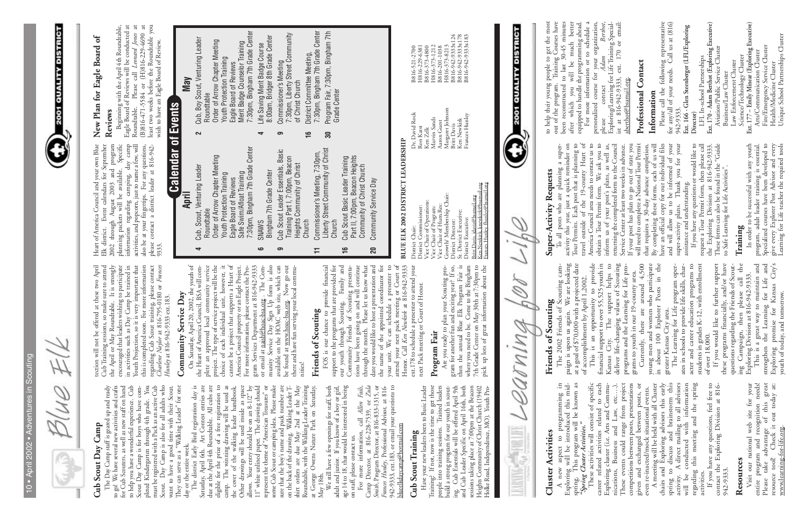| D)<br>ï<br>h<br>⋍<br>٠           |  |
|----------------------------------|--|
| ٠<br>I<br>b<br>I                 |  |
| I                                |  |
| ļ<br>d                           |  |
| ï<br>w<br>i<br>₫<br>ŀ<br>۷<br>a, |  |
| ÷<br>۰                           |  |
| ļ<br>۰<br>I<br>÷                 |  |
| ь<br>۰<br>ï<br>ë<br>۹            |  |
|                                  |  |
| I<br>ì<br>I<br>-<br>é            |  |
| m<br>Í                           |  |
| ۰<br>۰<br>-<br>ı                 |  |
| d                                |  |
|                                  |  |
| ï<br>١                           |  |
|                                  |  |

Blue Elk



#### Camp **Cub Scout Day Camp** Cub Scout Day

The Day Camp suff is geared up and ready<br>to go! We have several new activities and ready<br>to go! We have several new activities and cafes<br>for Cub Scouters, as well as new staff on hand<br>pleted Kindergarten through 4th grade. The Day Camp staff is geared up and ready to go! We have several new activities and crafts for Cub Scouters, as well as new staff on hand to help you have a wonderful experience. Cub Scout Day Camp is for boys who have completed Kindergarten through 4th grade. You must be registered with a Pack as an active Cub Scout. Day Camp is also for all adults who want to have a good time with their Scout. They can serve as a "Walking Leader" for one day or the entire week.

The district Early Bird registration day is Saturday, April 6th. Art Contest entries are due at the April 4th Roundtable. All cubs are eligible for the prize of a free registration to camp. The winning drawing will be used as the cover of the walking leader handbook. Other drawings will be used inside as space allows. Your entry should be on an 8-1/2" by 11" white unlined paper. The drawing should represent the theme of "American Treasures" or some Cub Scout or camping idea. Please make sure that the boy's name and pack number are on the back of the drawing. Walking Leader Tshirt orders are due May 2nd at the May Roundtable, with the Walking Leader Training at George Owens Nature Park on Saturday, Ocher drawings will be used inside as space<br>
11" white unlimed paper. The drawing should<br>
11" white unlimed paper. The drawing should<br>
some Cub Scout or camping idea. Please make<br>
some Cub Scout or camping idea. Please ma

Camp Director, at 816-228-7539, or Zula<br>Smith, Program Director, at 816-833-1315, or<br>Frances Hunley, Professional Advisor, at 816-<br>942-9333, ext.183, or email your questions to<br>blueelkdaycamp@hotmail.com For more information, call *Allen Fails*, Camp Director, at 816-228-7539, or *Zula Smith*, Program Director, at 816-833-1315, or *Frances Hunley*, Professional Advisor, at 816- 942-9333, ext.183, or email your questions to blueelkdaycamp@hotmail.com

#### Cub Scout Training **Cub Scout Training**

Have your new leaders been to Basic Leader<br>Training? If not, now is the time to get those<br>people into training sessions. Trained leaders<br>build a strong program for our youth in scout-<br>ing. Cub Essentials will be offered Ap Have your new leaders been to Basic Leader Training? If not, now is the time to get those people into training sessions. Trained leaders build a strong program for our youth in scouting. Cub Essentials will be offered April 9th and Cub Leader Specific on April 16th, both sessions taking place at 7:00pm at the Beacon Heights Community of Christ Church (19402 Holke Road, Independence, MO). Youth Pro-

rection will not be offered at these two April<br>Cub Training sessions, so make sure to attend<br>the April or May Roundtable. It is strongly<br>encouraged that leaders wishing to participate<br>in activities such as Day Camp be tra tection will not be offered at these two April Cub Training sessions, so make sure to attend the April or May Roundtable. It is strongly encouraged that leaders wishing to participate in activities such as Day Camp be trained in Youth Projection, so it is very important that this is completed soon. For more information regarding Cub Scout training, please contact *Charlene Naylor* at 816-795-0180 or *Frances Hunley* at 816-942-9333 ext.183.

### Community Service Day **Community Service Day**

We still have a few openings for staff, both adult and junior. If you know of a boy or girl, age 14 to 18, that would be interested in being on staff, please contact us.

gram Services Department at 816-942-9333<br>or email at <u>naish@hoac-bsa.org</u> . The Com-<br>munity Service Day Sign Up form is also<br>available on the HOAC web site, which can<br>be found at <u>www.hoac-bsa.org</u>. Now go out<br>there and ha On Saturday, April 20, 2002, the youth of<br>the Heart of America Council, BSA will com-<br>plete an approved local community service<br>project. The type of service project will be the<br>choice of each individual unit, however, it<br>c On Saturday, April 20, 2002, the youth of the Heart of America Council, BSA will complete an approved local community service project. The type of service project will be the choice of each individual unit, however, it cannot be a project that supports a Heart of America Council property or an Eagle Project. For more information, please contact the Program Services Department at 816-942-9333 or email at naish@hoac-bsa.org . The Community Service Day Sign Up form is also available on the HOAC web site, which can be found at www.hoac-bsa.org. Now go out there and have fun serving your local commu-

#### Friends of Scouting **Friends of Scouting**

FOS is our chance to provide financial<br>support to the programs that are provided for<br>our youth through Scouting. Family and<br>Community Friends of Scouting presenta-<br>tions have been going on and will continue<br>through the mon attend your next pack meeting or Court of<br>Honor. Call *Ken Newkirk* at 816-942-9333<br>ext.178 to schedule a presenter to attend your<br>next Pack meeting or Court of Honor. FOS is our chance to provide financial support to the programs that are provided for our youth through Scouting. Family and Community Friends of Scouting presentations have been going on and will continue through the month. Please let us know what date you would like to host a presentation and the name of the appointed coordinator for your unit. We can schedule a presenter to  $\mathbf{c}$ attend your next pack meeting or Court of Honor. Call *Ken Newkirk* at 816-942-9333 ext.178 to schedule a presenter to attend your schedule a presenter next Pack meeting or Court of Honor. your unit. We can

#### Program Fair **Program Fair**

Are you ready to plan your Soouting pro-<br>gram for another fun and exciting year? If so,  $\Gamma$  then the annual Blue Elk Program Fair is S<br>where you need to be. Come to the Bingham  $\Gamma$ <br>7th Grade Center on May 30th at 7:30pm Are you ready to plan your Scouting program for another fun and exciting year? If so, then the annual Blue Elk Program Fair is where you need to be. Come to the Bingham 7th Grade Center on May 30th at 7:30pm to pick up lots of great information about the

Heart of America Council and your own Blue Elk district. Event calendars for September 2002 through August 2003 and program planning packets will be available. Specific information regarding camping, day camp activities, and popcorn, just to name a few, will also be at your fingertips. For any questions, please contact a district leader at 816-942- Heart of America Council and your own Blue I<br>Elk district. Event calendars for September I<br>2002 through August 2003 and program I<br>planning packets will be available. Specific<br>information regarding camping, day camp I<br>activ

#### $\mathfrak{h}^0$ **New Plan for Eagle Board of** New Plan for Eagle Board

**Reviews**<br>Beginning with the April 4th Roundtable,<br>Eagle Board of Reviews will be conducted at<br>Roundtable. Please call *Leonard Jones* at<br>(B)816-471-5584 or (H)816-229-4690 at<br>least two weeks before the Roundtable you<br>wish Beginning with the April 4th Roundtable, Eagle Board of Reviews will be conducted at Roundtable. Please call *Leonard Jones* at (B)816-471-5584 or (H)816-229-4690 at least two weeks before the Roundtable you wish to have an Eagle Board of Review.

- 7:30pm, Bingham 7th Grade Center 7:30pm, Bingham 7th Grade Center Roundtable<br>Order of Arrow Chapter Meeting<br>Youth Protection Training Order of Arrow Chapter Meeting Cub, Scout, Venturing Leader **4** Cub, Scout, Venturing Leader Eagle Board of Reviews<br>Safe Swim/Afloat Training Safe Swim/Afloat Training Youth Protection Training Eagle Board of Reviews
	- Basic **9** Cub Scout Leader Essentials, Basic Cub Scout Leader Essentials, Bas<br>Training Part I, 7:00pm, Beacon Training Part I, 7:00pm, Beacon **6** SNAWS Bingham 7th Grade Center  $\bullet$
- Commissioner's Meeting, 7:30pm,<br>Liberty Street Community of Christ **11** Commissioner's Meeting, 7:30pm, Heights Community of Christ Heights Community of Christ Church  $\overline{1}$ 
	- Liberty Street Community of Christ **16** Cub Scout Basic Leader Training **Church**  $\frac{6}{1}$ 
		- Cub Scout Basic Leader Training<br>Part II, 7:00pm, Beacon Heights<br>Community of Christ Church Part II, 7:00pm, Beacon Heights Community of Christ Church  $20$ 
			- Community Service Day **20** Community Service Day

Roundtable<br>Order of Arrow Chapter Meeting<br>Youth Protection Training<br>Eagle Board of Reviews<br>Merit Badge Counselor Training Order of Arrow Chapter Meeting Youth Protection Training Eagle Board of Reviews

## BLUE ELK 2002 DISTRICT LEADERSHIP **BLUE ELK 2002 DISTRICT LEADERSHIP**

District Director:  $\frac{1}{2}$ Sr. District Executive: Ken Newkirk B816-942-9333x178 District Executive: Frances Hunley B816-942-9333x183 District Commissioner: Ron Karst H816-229-6381 Vice Chair of Program: Marvin Sands H816-373-1212 Growth/ Membership Chair: Margaret Johnson H816-373-8213 District Chair: Dr. David Rock B816-521-2700 Vice Chair of Operations: Ken Zelk B816-373-4800 Vice Chair of Hum.Res: Aaron Guest B816-201-1038 вани глассинт.<br>itt Davis, jdavis@bsamail.org<br>en Newkirk, knewkirk@bsamail.org<br>ances Hunley, fhunley@bsamail.org Ken Newkirk, knewkirk@bsamail.org District Chair:<br>District Commissioner:<br>Vice Chair of Operations:<br>Vice Chair of Program:<br>Vice Chair of Hum.Res:<br>Growth/ Membership Chair:<br>District Direcor: Britt Davis, jdavis@bsamail.org Sr. District Executive:<br>District Executive: Britt Davis,

Dr. David Rock<br>Ron Karst<br>Ken Zelk<br>Marvin Sands<br>Marvin Sands<br>Margaret Johnson<br>Britt Davis<br>Ken Newkirk<br>Ken Newkirk

B816-521-2700<br>
H816-229-6381<br>
B816-373-4800<br>
H816-373-1212<br>
H816-201-1038<br>
B816-373-8213<br>
B816-942-9333x124<br>
B816-942-9333x124<br>
B816-942-9333x178<br>
B816-942-9333x178

 $\mathcal{P}^{\varphi}_{1}$ 

These cativities will consist of specific<br>These activities will consist of specific<br>Exploring cluster (i.e. Arts and Commurications, Business and Law, etc....).<br>These events could range from project<br>Since events could rang A new aspect to programming in Exploring will be introduced this mid-<br>spring. This program will be known as<br>"Spring Cluster Activities." **Resources**<br>Visit our national web site for your<br>entire program and recognition needs!<br>Please take advantage of this great<br>resource tool! Check it out today at: Exploring will be introduced this midspring. This program will be known as These activities will consist of specific career related activities related to each Exploring cluster (i.e. Arts and Communications, Business and Law, etc….). These events could range from project competitions between posts, presentations given and exchanged between posts, or A meeting will be held with all Cluster chairs and Exploring advisors this early spring to discuss and brainstorm this activity. A direct mailing to all advisors will be conducted with information regarding this meeting and the spring<br>activities. regarding this meeting and the spring  $\mathbf{c}$ If you have any questions, feel free to 816contact the Exploring Division at 816- Visit our national web site for your entire program and recognition needs! Please take advantage of this great resource tool! Check it out today at: even re-inacted/mock situational events. If you have any questions, feel free<br>contact the Exploring Division at 81<br>942-9333. *"Spring Cluster Activities."*  www.learning-for-life.org. www.learning-for-life.org.

Friends of Scouting **Friends of Scouting**

If you would like to further support These forms an also be found in the "Guidese programs financially, and/or have to Safe Learning for Life Activities".<br>questions regarding the Friends of Scout-<br>ing Campaign, then please The 2002 Friends of Scouting campaign is upon us again. We are looking at a goal of \$70,000 with a projected date of accomplishment by April 1,2002. This is an opportunity to provide<br>This is an opportunity to provide<br>Kansas City. The support below is<br>deliver life-changing values of Scouting<br>programs and the Learning for Life pro-<br>grams to youth in our 19-county area.<br>C The Learning for Life program operates in schools to provide life skills, character and career education programs to students in grades K-12, with enrollment of over 18,000. The 2002 Friends of Scouting campaign is upon us again. We are looking at a goal of \$70,000 with a projected date This is an opportunity to provide financial support to over 55,525 youth in Kansas City. The support helps to deliver life-changing values of Scouting programs and the Learning for Life pro-Currently, there are around 4,500 young men and women who participate in about 100 Explorer Posts in the The Learning for Life program operates in schools to provide life skills, character and career education programs to students in grades K-12, with enrollment If you would like to further support these programs financially, and/or have questions regarding the Friends of Scouting Campaign, then please call the This is a great way to maintain and strengthen the Learning for Life and Exploring promise for Kansas City's grams to youth in our 19-county area. Exploring Division at 816-942-9333. of accomplishment by April 1,2002. youth of today, and tomorrow. youth of today, and tomorrow. greater Kansas City area. greater Kansas City area. of over 18,000.

### **Super-Activity Requests Super-Activity Requests**

| obtain a Tour Permit form. We ask you to<br>J  | personalized course for your organization,                                             |
|------------------------------------------------|----------------------------------------------------------------------------------------|
| inform us of your post's plans, as well as,    | Berthot,<br>Exploring/Learning for Life Training Special-<br>Adam<br>contact<br>please |
| returning the completed form to the Council    | ist at 816-942-9333, ext. 170 or email:                                                |
| Service Center at least two weeks in advance.  | aberthot@bsamail.org.                                                                  |
| If your post has plan to go out of state you   |                                                                                        |
| will need to complete a National Tour Permit   | Professional Contact                                                                   |
| that requires a 30-day advance completion.     |                                                                                        |
| By completing these forms, each of us will     | Information                                                                            |
| have an official copy for our individual files | Please call the following representative                                               |
| and will allow us to be informed of your       | for any/all of your needs. Call us at (816)                                            |
| super-activity plans. Thank you for your       | 942-9333.                                                                              |
| assistance and understanding.                  | Ext. 166 - Glen Steenberger (LFL/Exploring                                             |
| If you have any questions or would like to     | Director)                                                                              |
| request a Tour Permit form, then please call   | LFL In-school Partnerships                                                             |
| the Exploring Division at 816-942-9333.        | Ext. 170 - Adam Berthot (Exploring Executive)                                          |
| These forms can also be found in the "Guide    | Aviation/Public Service Cluster                                                        |
| to Safe Learning for Life Activities".         | Business/Law Cluster                                                                   |
|                                                | Law Enforcement Cluster                                                                |
| Training                                       | Science/Technology Cluster                                                             |
| In order to be successful with any youth       | Ext. 177 - Emily Minear (Exploring Executive)                                          |
| program, adult leader training is essential.   | Arts/Communication Cluster                                                             |
| Specialized courses have been developed to     | Fire/Emergency Service Cluster                                                         |
| give every Explorer Post Advisor and every     | Health/Medicine Cluster                                                                |
| Learning for Life teacher the required tools   | Unique School Partnerships Cluster                                                     |

to help their young people to get the most<br>out of the program. Training Courses have<br>been reconstructed to last 30-45 minutes<br>after which you will be much better<br>equipped to handle the programming ahead.<br>For more informati equipped to handle the programming ahead. been reconstructed to last 30-45 minutes after which you will be much better For more information or to schedule a

#### **May Calendar of Events Calendar of Events April**

**2** Cub, Boy Scout, Venturing Leader

 $\sim$ 

Cub, Boy Scout, Venturing Leader

Merit Badge Counselor Training 7:30pm, Bingham 7th Grade Center

7:30pm, Bingham 7th Grade Center

**4** Life Saving Merit Badge Course

 $\overline{\phantom{a}}$ 

Life Saving Merit Badge Course

8:00am, Bridger 8th Grade Center

8:00am, Bridger 8th Grade Center

**9** Commissioner's Meeting

 $\sigma$ 

7:30pm, Liberty Street Community

Commissioner's Meeting<br>7:30pm, Liberty Street Community<br>of Christ Church

of Christ Church **16** District Committee Meeting, 7:30pm, Bingham 7th Grade Center

District Committee Meeting,<br>7:30pm, Bingham 7th Grade Center

 $\frac{9}{7}$ 

**30** Program Fair, 7:30pm, Bingham 7th

 $30$ 

Program Fair, 7:30pm, Bingham 7th

Grade Center

**Grade Center** 

Frances Hunley, fhunley@bsamail.org

#### A new aspect to programming in **Cluster Activities Cluster Activities**

To all posts who are planning a superactivity this year, just a quick reminder on Tour Permits. Each post that is planning to travel outside of the 19-county Heart of America Council area needs to contact us to obtain a Tour Permit form. We ask you to inform us of your post's plans, as well as, returning the completed form to the Council Service Center at least two weeks in advance. If your post has plan to go out of state you will need to complete a National Tour Permit that requires a 30-day advance completion. By completing these forms, each of us will have an official copy for our individual files and will allow us to be informed of your super-activity plans. Thank you for your If you have any questions or would like to request a Tour Permit form, then please call the Exploring Division at 816-942-9333. These forms can also be found in the "Guide In order to be successful with any youth program, adult leader training is essential. If you have any questions or would like<br>request a Tour Permit form, then please c<br>the Exploring Division at  $816-942-933$ <br>These forms can also be found in the "Gui<br>to Safe Learning for Life Activities". to Safe Learning for Life Activities". super-activity plans. Thank<br>assistance and understanding. assistance and understanding.

to help their young people to get the most out of the program. Training Courses have

 $\sum_{i}^{2001}$  QUALITY DISTRICT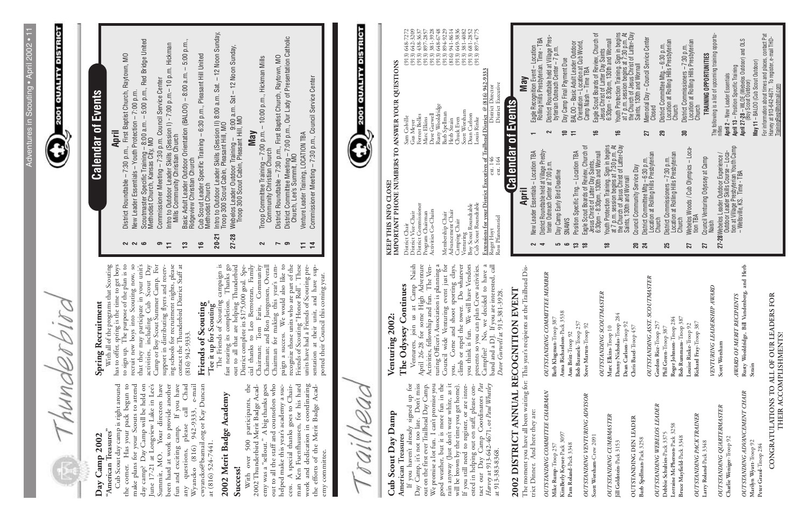**2001 QUALITY DISTRICT** 

hunderbira E

#### "American Treasures" **"American Treasures" Day Camp 2002**  Day Camp 2002

Cub Scout day camp is right around<br>the corner. Has your pack begun to<br>make plans for your Scouts to attend<br>day camp? Day Camp will be held on<br>June 17-21 at Longview Lake in Lee's<br>Summit, MO. Your directors have Summit, MO. rour directors have<br>been hard at work to provide another<br>fun and exciting camp. If you have<br>any questions, please call Chad<br>Wyancko (816) 942-9333, e-mail Cub Scout day camp is right around the corner. Has your pack begun to make plans for your Scouts to attend day camp? Day Camp will be held on June 17-21 at Longview Lake in Lee's Summit, MO. Your directors have been hard at work to provide another fun and exciting camp. If you have any questions, please call Chad Wyancko (816) 942-9333, e-mail cwyancko@bsamail.org or Kay Duncan cwyancko@bsamail.org or Kay Duncan at (816) 524-7441. at (816) 524-7441.

## 2002 Merit Badge Academy **2002 Merit Badge Academy**

**Success!**<br>With over 500 participants, the<br>2002 Thunderbird Merit Badge Acad-<br>emy was a "sellout." A big thanks goes<br>out to all the staff and counselors who<br>helped make this year's academy a suc-<br>cess. A special thanks goe work and dedication in coordinating<br>the efforts of the Merit Badge Acad-With over 500 participants, the 2002 Thunderbird Merit Badge Academy was a "sellout." A big thanks goes out to all the staff and counselors who helped make this year's academy a success. A special thanks goes to Chairman Ken Fuenfhaussen, for his hard work and dedication in coordinating the efforts of the Merit Badge Academy committee. emy committee.

#### **Spring Recruitment Spring Recruitment**

With all of the programs that Scouting<br>has to offer, spring is the time to get boys<br>to sign up. The purpose of the plan is to<br>recruit new boys into Scouting now, so<br>that they may participate in your unit's<br>catrivities, in With all of the programs that Scouting has to offer, spring is the time to get boys to sign up. The purpose of the plan is to recruit new boys into Scouting now, so that they may participate in your unit's activities, including Cub Scout Day Camp or Boy Scout Summer Camp. For support in distributing flyers and reserving schools for recruitment nights, please contact the Thunderbird District Staff at (816) 942-9333.

### Friends of Scouting **Friends of Scouting**

The Friends of Scouting campaign is<br>fast nearing its completion. Thanks go<br>out to all that are helping Thunderbird<br>District complete its \$175,000 goal. Spe-<br>cial thanks to Leo Berroteran, Family<br>Chairman; Tom Faris, Commun Chairman; and Ron Juergensen, Overall<br>Chairman; and Ron Juergensen, Overall<br>paign a success. We would also like to<br>recognize those units who are part of the<br>Friends of Scouting "Honor Roll". These<br>units have had a Friends fast nearing its completion. Thanks go out to all that are helping Thunderbird District complete its \$175,000 goal. Special thanks to Leo Berroteran, Family Chairman; Tom Faris, Community Chairman; and Ron Juergensen, Overall Chairman for making this year's campaign a success. We would also like to recognize those units who are part of the Friends of Scouting "Honor Roll". These units have had a Friends of Scouting presentation at their unit, and have supported their Council this coming year.

The Friends of Scouting campaign is Tee it up for Scouting"<br>The Friends of Scouting **"Tee it up for Scouting"** 

## **Calendar of Events Calendar of Events**

## Cub Scout Day Damp **Cub Scout Day Damp**

American Treasures<br>
If you haven't already signed up for<br>
If you haven't already signed up for<br>
Day Camp, it's not too late. Don't miss<br>
We promise a lot fun. I can't promise you<br>
good weather, but it is more fun in the<br>
r Day Camp, it's not too late. Don't miss out on the first ever Trailhead Day Camp. We promise a lot fun. I can't promise you good weather, but it is more fun in the rain anyway (Just don't wear white, as it will be brown by the time you get home). If you still need to register, or are interested in helping out on staff, please contact our Day Camp Coordinators *Pat Harvey* at 913-642-4671, or *Paul Whatley* at 913-383-8368.

#### The Odyssey Continues **The Odyssey Continues Venturing 2002:**  Venturing 2002:

OUTSTANDING COMMITTEE CHAIRMAN *OUTSTANDING COMMITTEE CHAIRMAN* KimBerly Keyser-Pack 3097 **KimBerly Keyser**-Pack 3097 Mike Rump-Troop 257 **Mike Rump**-Troop 257

**OUTSTANDING VENTURING ADVISOR** *OUTSTANDING VENTURING ADVISOR* Pam Roland-Pack 3348 **Pam Roland**-Pack 3348

Barb Klugman-Troop $387\,$ Anna Richardson-Pack $3538\,$ **Anna Richardson**-Pack 3538 **Barb Klugman**-Troop 387 Bob Baranek-Troop $257\,$ **Bob Baranek**-Troop 257 Steve Marten-Troop 92 **Steve Marten**-Troop 92 Ann Britt-Troop 92 **Ann Britt**-Troop 92

- **2** District Roundtable 7:30 p.m., First Baptist Church, Raytown, MO
- **2** New Leader Essentials Youth Protection 7:00 p.m.
- **April**<br>District Roundtable 7:30 p.m., First Baptist Church, Raytown, MO<br>New Leader Essentials Youth Protection 7:00 p.m.<br>Scoutmaster Specific Training 8:00 a.m. 5:00 p.m., Red Bridge United<br>Methodist Church, Kan **6** Scoutmaster Specific Training – 8:00 a.m. – 5:00 p.m., Red Bridge United NNG
	- Methodist Church, Kansas City, MO
- Commissioner Meeting 7:30 p.m. Council Service Center **9** Commissioner Meeting – 7:30 p.m. Council Service Center
	- Intro to Outdoor Leader Skills (Session I) 7:00 p.m.– 10 p.m. Hickman<br>Mills Community Christian Church **11** Intro to Outdoor Leader Skills (Session I) - 7:00 p.m.– 10 p.m. Hickman Mills Community Christian Church  $\circ$  =
- **13** Basic Adult Leader Outdoor Orientation (BALOO) 8:00 a.m. 5:00 p.m., Basic Adult Leader Outdoor Orientation (BALOO) – 8:00 a.m. – 5:00 p.m.,<br>Ridgeview Christian Church Ridgeview Christian Church  $\mathbf{r}$ 
	- **16** Cub Scout Leader Specific Training 6:30 p.m., Pleasant Hill United Cub Scout Leader Specific Training - 6:30 p.m., Pleasant Hill United<br>Methodist Church Methodist Church  $16$
- **20-21** Intro to Outdoor Leader Skills (Session II) 8:00 a.m. Sat. 12 Noon Sunday, Intro to Outdoor Leader Skills (Session II) 8:00 a.m. Sat. – 12 Noon Sunday,<br>Troop 300 Scout Cabin, Pleasant Hill, MO Troop 300 Scout Cabin, Pleasant Hill, MO  $20 - 21$ 
	- **27-28** Webelos Leader Outdoor Training 9:00 a.m. Sat 12 Noon Sunday, Webelos Leader Outdoor Training - 9:00 a.m. Sat - 12 Noon Sunday,<br>Troop 300 Scout Cabin, Pleasant Hill, MO Troop 300 Scout Cabin, Pleasant Hill, MO  $27 - 28$
- 
- **May**<br>Troop Committee Training 7:00 p.m. 10:00 p.m., Hickman Mills<br>Community Christian Church **2** Troop Committee Training – 7:00 p.m. – 10:00 p.m., Hickman Mills Community Christian Church

 $\sim$ 

- District Roundtable 7:30 p.m., First Baptist Church, Raytown, MO **7** District Roundtable – 7:30 p.m., First Baptist Church, Raytown, MO  $\sim$   $\circ$
- **9** District Committee Meeting 7:00 p.m., Our Lady of Presentation Catholic District Committee Meeting – 7:00 p.m., Our Lady of Presentation Catholic<br>Church, Lee's Summit, MO Church, Lee's Summit, MO  $74$ 
	- Venture Leader Training, LOCATION TBA **11** Venture Leader Training, LOCATION TBA
- **14** Commissioner Meeting 7:30 p.m., Council Service Center Service Center Commissioner Meeting - 7:30 p.m., Council

railheac

# 2002 DISTRICT ANNUAL RECOGNITION EVENT **2002 DISTRICT ANNUAL RECOGNITION EVENT**

The moment you have all been waiting for: This year's recipients at the Trailhead District Dinner. And here they are: The moment you have all been waiting for: This year's recipients at the Trailhead District Dinner. And here they are:

Venturers, join us at Camp Naish<br>April 26-28 for some High Adventure<br>Activities, fellowship and fun. The Ven-<br>turing Officer's Association is planning a<br>Council wide Venturing event just for<br>you. Come and shoot sporting cl you. Come and shoot sporting clays,<br>climb or repel the tower. Do whatever<br>you think is fun. We will have Vendors<br>presents so you can plan Crew activities.<br>Campfire? No, we decided to have a<br>band and a DJ. If you are intere days, Venturers, join us at Camp Naish April 26-28 for some High Adventure Activities, fellowship and fun. The Venturing Officer's Association is planning a Council wide Venturing event just for you. Come and shoot sporting clays, climb or repel the tower. Do whatever you think is fun. We will have Vendors presents so you can plan Crew activities. Campfire? No, we decided to have a band and a DJ. If you are interested, call *Dave Gurwell* at 913-381-3928.

**American Treasures** If you haven't already signed up for

# KEEP THIS INFO CLOSE!<br>IMPORTANT PHONE NUMBERS TO ANSWER YOUR OUESTIONS **KEEP THIS INFO CLOSE!**

**2001 QUALITY DISTRICT** 

*OUTSTANDING COMMITTEE MEMBER*

**OUTSTANDING COMMITTEE MEMBER** 

- 
- 
- 
- **4** District Roundtable held at Village Presbynsuruct roomaaboo mera at vinage riv<br>terian Outreach Center at 7:00 p.m. terian Outreach Center at 7:00 p.m.
- 
- 
- **5** Day Camp Early Bird Deadline
- **5** Day Camp Early Bird Deadline<br>**6** SNAWS<br>**13** Position Specific Trng. Location TBA<br>**18** Eagle Scout Boards of Review, Church of<br>Jesus Christ of Latter Day Saints, **13** Position Specific Trng. – Location TBA

| Scott Worsham-Crew 2091         |                                             | Jesus Christ of Latter Day Saints,                                                                                                |   | Eagle Scout Boards of Review, Church of<br>$\frac{1}{2}$                             |
|---------------------------------|---------------------------------------------|-----------------------------------------------------------------------------------------------------------------------------------|---|--------------------------------------------------------------------------------------|
|                                 | OUTSTANDING SCOUTMASTER                     | 6:30pm - 8:30pm, 130th and Wornall                                                                                                |   | Jesus Christ of Latter Day Saints                                                    |
| OUTSTANDING CUMBMASTER          | Marc Elkins-Troop 10                        |                                                                                                                                   |   | 6:30pm - 8:30pm, 130th and Wornall                                                   |
| Jill Goldstein-Pack 3153        | Danny Nicholas-Troop 284                    | Youth Protection Training. Sign in begins<br>at 7 p.m. session begins at 7:30 p.m. At<br>the Church of Jesus Christ of Latter-Day |   | Youth Protection Training. Sign in begins<br><u>۾</u>                                |
|                                 | Dean Carlson-Troop 92                       | Saints, 130th and Wornall                                                                                                         |   | at 7 p.m. session begins at 7:30 p.m. At<br>the Church of Jesus Christ of Latter-Day |
| OUTSTANDING DEN LEADER          | Chris Basel-Troop 457                       | Council Community Service Day<br>20                                                                                               |   |                                                                                      |
| Barb Spellman-Pack 3258         |                                             | District Committee $Mtg - 6:30$ p.m.<br>$\overline{24}$                                                                           |   | Saints, 130th and Wornall                                                            |
|                                 | OUTSTANDING ASST. SCOUTMASTER               | Location at Rolling Hills Presbyterian                                                                                            |   | Memorial Day - Council Service Center<br>27                                          |
| OUTSTANDING WEBELOS LEADER      | Gordon Rice-Troop 257                       | Church                                                                                                                            |   | Closed                                                                               |
| Debbie Schulties-Pack 3375      | Phil Green-Troop 387                        | District Commissioners - 7:30 p.m.<br>25                                                                                          |   | District Committee Mtg. - 6:30 p.m.<br>29                                            |
| Lorraine McPherson-Pack 3258    | Roger Johnson-Troop 284                     | Location at Rolling Hills Presbyterian                                                                                            |   | Location at Rolling Hills Presbyterian<br>Church                                     |
| Bruce Mayfield-Pack 3348        | Bob Rummans-Troop 387                       | Church                                                                                                                            | ౙ | District Commissioners - 7:30 p.m.                                                   |
|                                 | Louise Rinke-Troop 92                       | Webelos Woods / Cub Olympics - Loca-<br>27                                                                                        |   | Location at Rolling Hills Presbyterian                                               |
| <b>OUTSTANDING PACK TRAINER</b> | Richard Fray-Troop 387                      | tion TBA                                                                                                                          |   | Church                                                                               |
| Larry Roland-Pack 3348          |                                             | Council Venturing Odyssey at Camp<br>27                                                                                           |   | TRAINING OPPORTUNITIES                                                               |
|                                 | VENTURING LEADERSHIP AWARD                  | Naish                                                                                                                             |   | The following is a list of upcoming training opportu-                                |
| OUTSTANDING QUARTERMASTER       | Scott Worsham                               | 27-28 Webelos Leader Outdoor Experience /                                                                                         |   |                                                                                      |
| Charlie Weniger-Troop 92        |                                             | Outdoor Leader Skills Course - Loca-                                                                                              |   | April 2 - New Leader Essentials                                                      |
|                                 | AWARD OF MERIT RECIPIENTS                   | tion at Village Presbyterian Youth Camp                                                                                           |   | April 13 - Position Specific Training                                                |
| OUTSTANDING ADVANCEMENT CHAIR   | Rusty Wooldridge, Bill Vandenberg, and Herb | - Wellsville, KS. Time - TBA                                                                                                      |   | <b>April 27-28</b> – WLOE (Webelos Outdoor) and OLS<br>(Boy Scout Outdoor)           |
| Marilyn Wyatt-Troop 92          | Strain                                      |                                                                                                                                   |   | May 11 - BALOO (Cub Scout Outdoor)                                                   |
| Peter Grassl-Troop 284          |                                             |                                                                                                                                   |   |                                                                                      |
|                                 |                                             |                                                                                                                                   |   | For information about times and places, contact Pat                                  |
|                                 | CONGRATULATIONS TO ALL OF OUR LEADERS FOR   |                                                                                                                                   |   | Harvey at 913-642-4671. To register, e-mail THD-                                     |
|                                 | THEIR ACCOMPLISHMENTS!                      |                                                                                                                                   |   | TrainingReg@hotmail.com                                                              |

**18** Eagle Scout Boards of Review, Church of

- Orientation Location at Cub World, **10** Day Camp Final Payment Due  $\sim$  $R = 1$
- District Roundtable held at Village Pres-<br>byterian Outreach Center 7 p.m.<br>Day Camp Final Payment Due<br>BALOO Basic Adult Leader Outdoor<br>Orientation Location at Cub World,<br>Camp Naish Time TBA **2** District Roundtable held at Village Pres-
- byterian Outreach Center 7 p.m.
- **11** BALOO Basic Adult Leader Outdoor

Camp Naish – Time TBA

|            | IMPORTANT PHONE NUMBERS TO ANSWER YOUR QUESTIONS                               |                           |                                        |                    |
|------------|--------------------------------------------------------------------------------|---------------------------|----------------------------------------|--------------------|
|            | District Chair                                                                 |                           | Sam Colville                           | $(913) 648 - 7272$ |
|            | District Vice-Chair                                                            |                           | Gus Meyer                              | $(913)$ 642-3209   |
|            | District Commissioner                                                          |                           | Forrest Bolles                         | $(913)$ 438-3637   |
|            | Program Chairman                                                               |                           | Marc Elkins                            | $(913) 897 - 2857$ |
|            | Activities Co-Chairs                                                           |                           | Dave Gurwell                           | $(913)$ 381-3928   |
|            |                                                                                |                           | Rusty Wooldridge                       | $(913) 648 - 6748$ |
|            | Membership Chair                                                               |                           | Barb Spellman                          | $(913) 894-9229$   |
|            | Advancement Chair                                                              |                           | Herb Strain                            | (816) 941-8614     |
|            | Camping Chair                                                                  |                           | Chuck Even                             | $(913)$ 649-3836   |
| Venturing  |                                                                                |                           | Scott Worsham                          | $(913)$ 381-4082   |
|            | Boy Scout Roundtable                                                           |                           | Dean Carlson                           | $(913)$ 681-2852   |
|            | Cub Scout Roundtable                                                           |                           | Louis Rinke                            | $(913)$ 897-4775   |
|            | Extensions for your District Executives of Trailhead District @ (816) 942-9333 |                           |                                        |                    |
| Roger Hoyt |                                                                                | ext. 146                  | District Director                      |                    |
|            | Ross Pfannenstiel                                                              | ext. 164                  | District Executive                     |                    |
|            |                                                                                |                           |                                        |                    |
|            |                                                                                | <b>Calendar of Events</b> |                                        |                    |
|            | April                                                                          |                           | <b>May</b>                             |                    |
|            | New Leader Essentials - Location TBA                                           |                           | Eagle Recognition Event - Location     |                    |
|            | District Roundtable held at Village Presby-                                    |                           | Rolling Hills Presbyterian. Time - TBA |                    |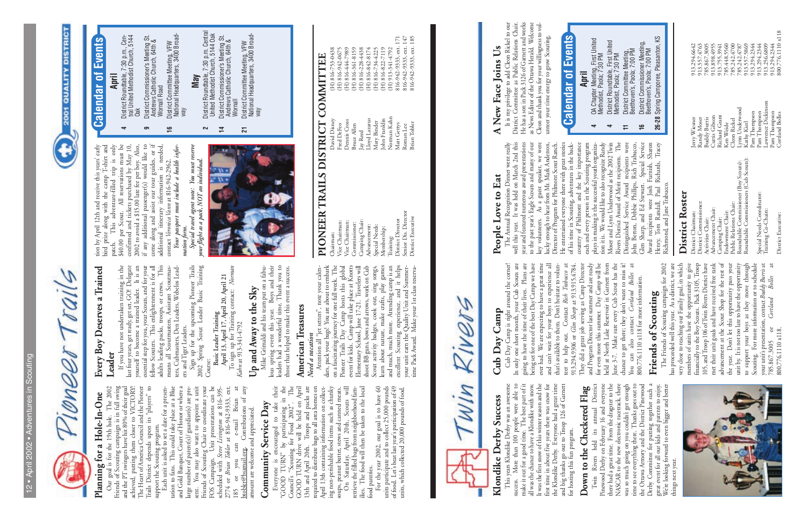Vioneer

# **2001 QUALITY DISTRICT**

### **April**

- District Roundtable, 7:30 p.m., Cen-<br>tral United Methodist Church, 5144<br>Oak **4** District Roundtable, 7:30 p.m., Central United Methodist Church, 5144  $\blacktriangleleft$
- **9** District Commissioner's Meeting St. District Commissioner's Meeting St.<br>Andrews Catholic Church, 64th &<br>Wornall Road Andrews Catholic Church, 64th & Wornall Road ဓာ
- District Committee Meeting, VFW<br>National Headquarters, 3400 Broad-National Headquarters, 3400 Broad-**16** District Committee Meeting, VFW way  $\frac{6}{1}$

District Roundtable, 7:30 p.m. Central<br>United Methodist Church, 5144 Oak **2** District Roundtable, 7:30 p.m. Central United Methodist Church, 5144 Oak District Commissioner's Meeting St.<br>Andrews Catholic Church, 64th &<br>Wornall **14** District Commissioner's Meeting St. Andrews Catholic Church, 64th &

 $\overline{1}$ 

District Committee Meeting, VFW<br>National Headquarters, 3400 Broad-<br>way National Headquarters, 3400 Broad-**21** District Committee Meeting, VFW  $\overline{21}$ 

#### **May**

# PIONEER TRAILS DISTRICT COMMITTEE **PIONEER TRAILS DISTRICT COMMITTEE**

 $\sim$ 

Training:<br>District Director<br>Senior Dis. Director<br>District Executive Commissioner:<br>Camping Chair: Chairman:<br>Vice Chairman:<br>Vice Chairman: Advancement:<br>Special Needs: Membership:

 $816\hbox{-}942\hbox{-}9333, \hbox{\scriptsize ext. 171} \\ 816\hbox{-}942\hbox{-}9333, \hbox{\scriptsize ext. 147} \\ 816\hbox{-}942\hbox{-}9333, \hbox{\scriptsize ext. 187} \\$ District Director Matt Gettys 816-942-9333, ext. 171 Senior Dis. Director Roman Lee 816-942-9333, ext.  $147$ (H) 816-444-7989<br>(H) 816-361-8159<br>(H) 816-238-4438<br>(H) 816-842-8174<br>(H) 816-734-4225 (H) 816-753-0438<br>(H) 816-942-0675  $(H)$  913-341-4792 Chairman: David Disney (H) 816-753-0438 Vice Chairman: Fred DeFeo (H) 816-942-0675 Vice Chairman: Dennis Cross (H) 816-444-7989 Commissioner: Bruce Allen (H) 816-361-8159 Camping Chair: Jay Reed (H) 816-228-4438 Advancement: Lloyd Lazarus (H) 816-842-8174 Special Needs: Mary Binder (H) 816-734-4225 Membership: John Franklin (H) 816-822-7119 Training: Norman Kahn (H) 913-341-4792 Demis Cross<br>Bruce Allen<br>Jay Reed<br>Lloyd Lazarus<br>Mary Binder<br>John Franklin<br>Norman Kahn<br>Norman Lee<br>Roman Lee<br>Roman Lee David Disney<br>Fred DeFeo

## Planning for a Hole-In-One **Planning for a Hole-In-One**

## Community Service Day **Community Service Day**

District Executive Brian Tobler 816-942-9333, ext. 185

Win Rivers

Everyone is encouraged to take their<br>
"GOOD TURN" by participating in the<br>
Council's "Scouting for Food 2002". The<br>
GOOD TURN drive will be held on April<br>
13th and April 20th. Troops and packs are<br>
required to distribute b Everyone is encouraged to take their "GOOD TURN" by participating in the Council's "Scouting for Food 2002". The GOOD TURN drive will be held on April 13th and April 20th. Troops and packs are required to distribute bags to all area homes on April 13th containing information on collecting non-perishable food items such as chunky On Saturday, April 20th, Scouts will soups, peanut butter, stews and canned meats.

soups, peanut butter, stews and canned meats.<br>On Saturday, April 20th, Scouts will<br>retrieve the filled bags from neighborhood fam-<br>ilies. The food will then be taken to the local retrieve the filled bags from neighborhood families. The food will then be taken to the local ilies. The food<br>food pantries. food pantries.

Our goal is for the 19th hole. The 2002 Friends of Scouting campaign is in full swing and the PT swingers have hit 80% of their goal achieved, putting them closer to VICTORY! The Heart of America Council and the Pioneer Trails District depends upon its "players" to support the Scouting program.

Our goal is for the 19th hole. The 2002 **Leader**<br>Friends of Scouting campaign is in full swing If pothare not undertaken training in the<br>addreed, putting them doser to VICTORY. last for years, get ready, get sets, GCO Dele e-mail Brian at<br>Contributions of any Each unit is asked to set a date for a presentation to fans. This could take place at a Blue and Gold Banquet, Court of Honor or where a large number of parent(s)/ guardian(s) are present. You may also want to appoint a unit Friends of Scouting Chair to coordinate your FOS Campaign. Unit presentations can be scheduled with *Steve Livingston* at 816-395- 2774 or *Brian Tobler* at 816-942-9333, ext. 185 or you can e-mail Brian at btobler@bsamail.org. Contributions of any amount are welcome and appreciated. amount are welcome and appreciated.  $can$ 185 or you can<br>btobler@bsamail.org.

For the year 2002, our goal is to have 60 units participate and to collect 25,000 pounds of food. Let's beat last year's participation of 49 units, which collected 20,000 pounds of food. For the year 2002, our goal is to have 60 units participate and to collect 25,000 pounds of food. Let's beat last year's participation of 49 units, which collected 20,000 pounds of food.

## Every Boy Deserves a Trained **Every Boy Deserves a Trained**

If you have not undertaken training in the last four years, get ready, get set, GO! Delegate yourself to become a trained leader. It is an essential step for you, your Scouts, and for your fellow Scouters. This enlightenment is for all adults leading packs, troops, or crews. This means all Scoutmasters, Assistant Scoutmasters, Cubmasters, Den Leaders, Webelos Leadyous.... w occurries a cancel reaction of the seential step for you, your Scouts, and for your scand is efflow Scouters. This enlightenment is for all and the seads, troops, or crews. This ens all Scoutmareers, Assistant S

Norman To sign up for Training contact: *Norman* **April 13, April 17, April 20, April 21** To sign up for Training contact:<br>  $Kahn$  at 913-341-4792 *Kahn* at 913-341-4792

## $\rm{Up}$  and Away to the  $\rm{Sky}$ **Up and Away to the Sky**

Mike Grimaldi and his team put on a fabu-<br>lous spring event this year. Boys and their<br>leaders had a wonderful time. Thank you to<br>those that helped to make this event a success. Mike Grimaldi and his team put on a fabulous spring event this year. Boys and their leaders had a wonderful time. Thank you to those that helped to make this event a success.

#### **American Treasures American Treasures**

#### Need a vacation *Need a vacation*

Attention all "jet setters", note your calen-<br>Attention all "jet setters", note your calen-<br>on a fascinating journey for one full week. The<br>Pioneer Trails Day Camp hosts this global<br>event for kids. Camp will take place at Attention all "jet setters", note your calendars, pack your bags! You are about to embark on a fascinating journey for one full week. The Pioneer Trails Day Camp hosts this global event for kids. Camp will take place at Knotts Elementary School, June 17-21. Travelers will shoot BB guns, bows and arrows, work on Cub Scout activity badges, cook out, sing songs, learn about nature, make crafts, play games and much, much more. Attending camp is an excellent Scouting experience, and it helps your unit earn the Quality Unit and Summertime Pack Award. Make your 1st class reserva-

tion by April 12th and receive this years' early<br>bird prize along with the camp T-shirt and<br>patch. This adventure-filled trip is only<br>\$40.00 per Scout. All reservations must be<br>confirmed and tickets purchased by May 10,<br>20 tion by April 12th and receive this years' early bird prize along with the camp T-shirt and patch. This adventure-filled trip is only \$40.00 per Scout. All reservations must be confirmed and tickets purchased by May 10, 2002 to avoid a \$15.00 late fee per boy. Also, if any additional passenger(s) would like to come along and assist our tour guides, or if additional itinerary information is needed, contact Veronica Vann at 816-942-2962.<br>Your passport must include a health infor-*Your passport must include a health infor*contact *Veronica Vann* at 816-942-2962.

Special travel agent note: You must reserve<br>your flight as a pack, NOT an individual. *Special travel agent note: You must reserve* mation form. *mation form.*

## A New Face Joins Us **A New Face Joins Us**

It is my privilege to add Cleon Rickel to our<br>District Committee as Public Relations Chair.<br>He has a son in Pack 3126 of Garnett and works<br>as News Editor of the Ottawa Herald. Welcome<br>Cleon and thank you for your willingne It is my privilege to add Cleon Rickel to our District Committee as Public Relations Chair. He has a son in Pack 3126 of Garnett and works as News Editor of the Ottawa Herald. Welcome Cleon and thank you for your willingness to vol-

#### District Roster **District Roster**

District Chairman: Jerry Wiesner 913.294.6642 District Commissioner: Randy Moser 913.557.4763 Activities Chair: Buddy Burris 785.867.3005 Advancement Chair: Curtis Gibson 913.898.4955 Camping Chair: Richard Grant 913.755.3941 Endowment Chair: Ken Weide 785.448.5560 Public Relations Chair: Cleon Rickel 785.242.4700 Roundtable Commissioner (Boy Scouts): Lynn Underwood 785.242.4787 Roundtable Commissioners (Cub Scouts): Kathy Kierl 913.557.5869 District Chairman:<br>District Commissioner:<br>Activities Chair:<br>Activities Chair:<br>Advaning Chair:<br>Camping Chair:<br>Endownen Chair:<br>Public Relations Chair:<br>Roundtable Commissioner (Boy Scouts):<br>Roundtable Commissioner (Boy Scouts

Jerry Wiesner<br>Randy Moser<br>Buddy Burris<br>Curtis Gibson<br>Cleon Rickel<br>Ken Weide

Training Co-Chairs: Lawrence Dickinson 913.256.6809 ppecial Needs Coordinator:<br>Training Co-Chairs:

son

Lym Underwood<br>Kathy Kierl<br>Pam Thompson<br>Pam Thompson<br>Lawrence Dickinss<br>Pam Thompson<br>Cortland Bolles

District Executive:

913.294.6642<br>913.557.4763<br>785.867.3005<br>913.755.3941<br>913.755.3941<br>785.242.4780<br>785.242.4787<br>913.394.2344<br>913.294.2344<br>913.294.2344<br>913.294.2344 District Executive: Cortland Bolles 800.776.1110 x118 Pam Thompson 913.294.2344 Special Needs Coordinator: Pam Thompson 913.294.2344 Pam Thompson 913.294.2344

poow

## Klondike Derby Success **Klondike Derby Success**

ers and Tiger Leaders. Sign up for the upcoming Pioneer Trails 2002 Spring Scout Leader Basic Training

**Basic Leader Training**

This years Klondike Derby was an awesome<br>success. More than 100 people were able to<br>make it out for a good time. The best part of it<br>all was the chance to have a Klondike with snow.<br>It was the first snow of this winter sea This years Klondike Derby was an awesome success. More than 100 people were able to make it out for a good time. The best part of it all was the chance to have a Klondike with snow. It was the first snow of this winter season and the first time in about five years there was snow for the Klondike Derby. Everyone had a great time and big thanks go out to Troop 126 of Garnett for hosting this fun program.

**Down to the Checkered Flag**<br>Twin Rivers held its annual District<br>Pinewood Derby on February 16 and everyone<br>there had a gerat time. From the dragster to the<br>NASCAR to the new electronic racetrack, there<br>was so much going Twin Rivers held its annual District Pinewood Derby on February 16 and everyone there had a great time. From the dragster to the NASCAR to the new electronic racetrack, there was so much going on you couldn't get enough time to see everything there. Thanks goes out to the Ottawa Armory and the District Pinewood Derby Committee for putting together such a great event for all our kids and parents to enjoy. We're looking forward to even bigger and better things next year. things next year.



### Cub Day Camp **Cub Day Camp**

Cub Day Camp is right around the corner!<br>In only one short month, your Cub Scouts are<br>going to have the time of their lives. Plans are<br>being set for one of the best Day Camps we have<br>ever had. We are expecting to have a g Cub Day Camp is right around the corner! In only one short month, your Cub Scouts are going to have the time of their lives. Plans are being set for one of the best Day Camps we have ever had. We are expecting to have a great time and can't wait for your boys to experience all that's available to them. Don't hesitate to volunteer to help out. Contact *Rich Trabucco* at 913.294.9306 or *Glen Sharp* at 913.915.4784. They did a great job serving as Camp Director and Program Director last summer and are ready for even more this summer. Day Camp will be held at North Lake Reservoir in Garnett from June 3-7. Make sure every Cub Scout has the chance to get there; they don't want to miss it! You can also contact *Cortland Bolles* at You can also contact Cortland Boll.<br>800.776.1110 x118 for more information. 800.776.1110 x118 for more information.

### Friends of Scouting **Friends of Scouting**

The Friends of Scouting campaign for 2002<br>has proceeded well this year. As a district, we are<br>very close to reaching our Family goal, in which<br>members of units have the opportunity to give<br>financially to the Boy Scouts. Pa advancement at the Scout Shop for the rest of<br>the year. Don't let this opportunity pass your<br>unit by. It is not too late to have the opportunity<br>to support your boys as they move through<br>Scouting. For more information or t 105, and Troop 106 of Twin Rivers District have<br>met their unit goals and have received free rank has proceeded well this year. As a district, we are very close to reaching our Family goal, in which members of units have the opportunity to give financially to the Boy Scouts. Pack 3105, Troop 105, and Troop 106 of Twin Rivers District have met their unit goals and have received free rank advancement at the Scout Shop for the rest of the year. Don't let this opportunity pass your unit by. It is not too late to have the opportunity to support your boys as they move through Scouting. For more information or to schedule your unit's presentation, contact Buddy Burris at your unit's presentation, contact *Buddy Burris* at 785.867.3005 or *Cortland Bolles* at **Bolles** Cortland  $785.867.3005$  or<br>800.776.1110 x118.  $\rm ^{5}$ 800.776.1110 x118.

## People Love to Eat **People Love to Eat**

key volunteers. As a guest speaker, we were<br>lucky enough to hear from Mr. Mark Anderson,<br>Director of Program for Philmont Scout Ranch.<br>He entertained everyone there with great stories<br>of his time in Scouting, adventures in The Annual Recognition Dinner went really<br>well this year. It was held on March 2nd this<br>year and featured numerous award presentations<br>to the past year's Eagle Scouts and many of our The Annual Recognition Dinner went really well this year. It was held on March 2nd this year and featured numerous award presentations to the past year's Eagle Scouts and many of our key volunteers. As a guest speaker, we were lucky enough to hear from Mr. Mark Anderson, Director of Program for Philmont Scout Ranch. He entertained everyone there with great stories of his time in Scouting, adventures in the backcountry of Philmont and the key importance each and every person in the Scouting program

country or runnom and mery person in the Scouting program<br>plays in making it the successful youth organiza-<br>ion it is. We would like to also recognize Randy<br>Moser and Lynn Underwood as the 2002 Twin<br>Rivers District Award o plays in making it the successful youth organization it is. We would like to also recognize Randy Moser and Lynn Underwood as the 2002 Twin Rivers District Award of Merit recipients. The Distinguished Service Award recipients were John Berton, Debbie Phillips, Rich Trabucco, Glen Sharp, and Ed Stewart. Special Service Award recipients were Josh Furnish, Sharon Henry, Tom Randall, Paul Richards, Tracey Richmond, and Jane Trabucco. Richmond, and Jane Trabucco.

*your flight as a pack, NOT an individual.*



#### **Events Calendar of Events** Calendar of

unteer your time energy to grow Scouting.

unteer your time energy to grow Scouting.



**Down to the Checkered Flag**

The Friends of Scouting campaign for 2002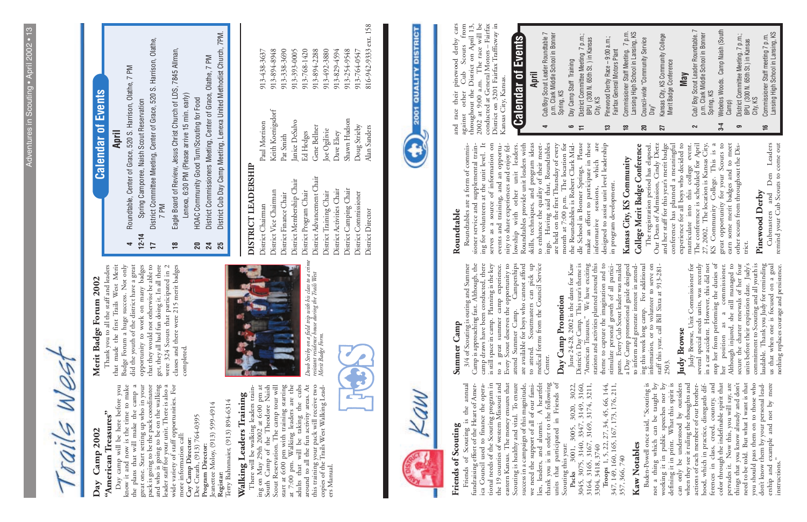#### **Day Camp 2002 Camp 2002** Day

rails Wes

### "American Treasures" **"American Treasures"**

Day camp will be here before you<br>know it and now is the time to make<br>the plans that will make the camp a<br>great one. Start setting up who in your<br>pack is going to be the pack coordinator<br>and who is going to be on the walkin Day camp will be here before you know it and now is the time to make the plans that will make the camp a great one. Start setting up who in your pack is going to be the pack coordinator and who is going to be on the walking leader staff for your unit. There is also a wide variety of staff opportunities. For **Cay Camp Director:**<br>Dee Creath, (913) 764-0395<br>**Program Director:**<br>Jeanettee Moloy, (913) 599-4914<br>**Registar:**<br>Terry Bahnmaier, (913) 894-6314 Dee Creath, (913) 764-0395 more information call: **Cay Camp Director: Program Director:** 

There will be walking leaders training on May 29th 2002 at 6:00 pm at South Camp of the Theodore Naish Scout Reservation. The camp tour will start at 6:00 pm with training starting at 7:00 pm. Walking leaders are the adults that will be taking the cubs around to all the fun activity areas. At this training your pack will receive two copies of the Trails West Walking Lead-Walking Leaders Training<br>
There will be walking leaders train-<br>
ing on May 29th 2002 at 6:00 pm at<br>
South Camp of the Theodore Naish<br>
scout Reservation. The camp tour will<br>
start at 6:00 pm with training starting<br>
at 7:00

Jeanettee Moloy, (913) 599-4914 Terry Bahnmaier, (913) 894-6314



Doub Striby on a field trip with his class to a crime<br>resistant residence house during the Trails West<br>Merit Badge Form. *Doub Striby on a field trip with his class to a crime resistant residence house during the Trails West Merit Badge Form.*



## Roundtable, Center of Grace, 520 S. Harrison, Olathe, 7 PM **4** Roundtable, Center of Grace, 520 S. Harrison, Olathe, 7 PM  $\overline{\phantom{a}}$

## DISTRICT LEADERSHIP **DISTRICT LEADERSHIP**

District Chairman Paul Morrison 913-438-3637 District Vice Chairman Keith Koenigsdorf 913-894-8948 District Finance Chair Pat Smith 913-338-3690 District Membership Chair Janice DeSalvo 913-393-0005 District Program Chair Ed Hedges 913-768-1420 District Advancement Chair Gene Bellner 913-894-2288 District Training Chair Joe Ogilivie 913-492-3880 District Activities Chair Dave Elsey 913-829-4594 District Camping Chair Shawn Hudson 913-254-9548 District Commissioner Doug Strieby 913-764-0547 District Advancement Chair District Membership Chair District Activities Chair District Camping Chair District Vice Chairman District Program Chair District Training Chair District Commissioner District Finance Chair District Chairman District Director

- Keith Koenigsdorf Shawn Hudson Janice DeSalvo Paul Morrison Doug Strieby Gene Bellner Alan Sanders Joe Ogilivie Ed Hedges Dave Elsey Pat Smith
- 816-942-9333 ext. 158 District Director Alan Sanders 816-942-9333 ext. 158 913-894-8948 913-338-3690 913-393-0005 913-768-1420 913-894-2288 913-492-3880 913-254-9548 913-438-3637 913-829-4594 913-764-0547



# **Walking Leaders Training**

## Merit Badge Forum 2002 **Merit Badge Forum 2002**

Badge Forum a huge success. Not only<br>did the youth of the district have a great<br>opportunity to work on many badges 24 Scouts that participated in 2<br>classes and there were 215 merit badges<br>completed. Thank you to all the staff and leaders<br>that made the first Trails West Merit that they would not otherwise be able to<br>get, they all had fun doing it. In all there Thank you to all the staff and leaders that made the first Trails West Merit Badge Forum a huge success. Not only did the youth of the district have a great opportunity to work on many badges that they would not otherwise be able to get, they all had fun doing it. In all there were 324 Scouts that participated in 2 classes and there were 215 merit badges

- **17** District Committee Meeting, Center of Grace, 520 S. Harrison, Olathe, District Committee Meeting, Center of Grace, 520 S. Harrison, Olathe, Spring Camporee, Naish Scout Reservation **12-14** Spring Camporee, Naish Scout Reservation 7 PM  $12 - 14$  $\overline{1}$
- **18** Eagle Board of Review, Jesus Christ Church of LDS, 7845 Allman, Eagle Board of Review, Jesus Christ Church of LDS, 7845 Allman,  $\frac{8}{10}$ 
	- Lenexa, 6:30 PM (Please arrive 15 min. early) Lenexa, 6:30 PM (Please arrive 15 min. early)
- HOAC Community Good Turn/Scouting for Food **20** HOAC Community Good Turn/Scouting for Food  $20$
- District Commissioners Meeting, Center of Grace, Olathe, 7 PM **24** District Commissioners Meeting, Center of Grace, Olathe, 7 PM  $\mathbf{z}$
- District Cub Day Camp Meeting, Lenexa United Methodist Church, 7PM. **25** District Cub Day Camp Meeting, Lenexa United Methodist Church, 7PM. 25

#### Friends of Scouting **Friends of Scouting**

success in a campaign of this magnitude,<br>we need the support of all of our fami-<br>lies, leaders, and alumni. A heartfelt<br>thank you is in order to the following<br>units that participated in Friends of<br>Scouting this year:<br>Packs annual Example and the Scouting program<br>tional needs of the Scouting program in<br>the 19 counties of western Missouri and<br>eastern Kansas. The money ensures that<br>Scouting is healthy and vital. To ensure Friends of Scouting is the annual<br>fundraising effort of the Heart of Amer-<br>ica Council used to finance the opera-Friends of Scouting is the annual fundraising effort of the Heart of America Council used to finance the operational needs of the Scouting program in the 19 counties of western Missouri and eastern Kansas. The money ensures that Scouting is healthy and vital. To ensure success in a campaign of this magnitude, we need the support of all of our families, leaders, and alumni. A heartfelt thank you is in order to the following units that participated in Friends of Scouting this year:

Scouting this year:<br>
Packs 3001, 3005, 3020, 3022,<br>
3045, 3075, 3140, 3347, 3149, 3160,<br>
3164, 3165, 3167, 3169, 3174, 3211,<br>
3304, 3418, 3740<br>
Troops 1, 5, 22, 27, 34, 45, 66, 144, **Packs** 3001, 3005, 3020, 3022, 3045, 3075, 3140, 3347, 3149, 3160, 3164, 3165, 3167, 3169, 3174, 3211,

#### Summer Camp **Summer Camp**

**April**

3/4 of Scouting is outing and Summer<br>Camp is approaching fast. Although, the<br>camp draws have been conducted, there<br>is still space in camp. Planning is the key to a great summer camp experience.<br>Every Scout deserves the opportunity to<br>attend Summer Camp. Camperships<br>are available for boys who cannot afford to attend. Scoutmasters can pick up<br>medical forms from the Council Service 3/4 of Scouting is outing and Summer Camp is approaching fast. Although, the camp draws have been conducted, there is still space in camp. Planning is the key to a great summer camp experience. Every Scout deserves the opportunity to attend Summer Camp. Camperships are available for boys who cannot afford to attend. Scoutmasters can pick up medical forms from the Council Service Center.

### Day Camp Promotion **Day Camp Promotion**

June 24-28, 2002 is the dates for Kaw<br>District's Day Camp. This year's theme is<br>"American Treasures." We have exciting<br>stations and activities planned around this June 24-28, 2002 is the dates for Kaw District's Day Camp. This year's theme is "American Treasures." We have exciting

**Calendar of Events**

**Calendar of Events** 

#### **Roundtable**  Roundtable

mg no vounteers at une unit rever. In<br>serves as a source of information on<br>events and training, and an opportu-<br>inty to share experiences and enjoy fel-<br>lowship with other unit leaders.<br>Roundtables provide unit leaders wit sioner service and supplemental train-<br>ing for volunteers at the unit level. It make an effort to participate in these Roundtables are a form of commis-Roundtables are a form of commissioner service and supplemental training for volunteers at the unit level. It serves as a source of information on events and training, and an opportunity to share experiences and enjoy fellowship with other unit leaders. Roundtables provide unit leaders with skills, techniques, and program ideas to enhance the quality of their meetings. Having said that, Roundtables are held on the first Thursday of every month at 7:00 p.m. The location for the Roundtables is Robert Clark Middle School in Bonner Springs. Please make an effort to participate in these

**2001 QUALITY DISTRICT** 

against other Cub Scouts from<br>throughout the District on April 13,<br>2002 at 9:00 a.m. The race will be<br>conducted at General Motors – Fairfax<br>District on 3201 Fairfax Trafficway in cars and race their pinewood derby cars against other Cub Scouts from throughout the District on April 13, 2002 at 9:00 a.m. The race will be conducted at General Motors – Fairfax District on 3201 Fairfax Trafficway in and race their pinewood derby<br>against other Cub Scouts f Kansas City, Kansas. Kansas City, Kansas.

3304, 3418, 3740

**Troops** 1, 5, 22, 27, 34, 45, 66, 144,

#### **Calendar of Events Calendar of Events April**

**4** Cub/Boy Scout Leader Roundtable 7 p.m. Clark Middle School in Bonner Cub/Boy Scout Leader Roundtable 7<br>p.m. Clark Middle School in Bonner<br>Spring, KS

 $\blacktriangledown$ 

**6** Day Camp Staff Training Day Camp Staff Training

 $\bullet$  $\overline{+}$ 

District Committee Meeting 7 p.m.;<br>BPU (300 N. 65th St. ) in Kansas **11** District Committee Meeting 7 p.m.; BPU (300 N. 65th St. ) in Kansas

> Ferences in class, creed, country, and<br>color through the indefinable spirit that<br>pervades it. Now this, you will say, are<br>things that you know already and don't<br>need to be told. But what I want is that<br>you should pass them Baden-Powell once said, "Scouting is<br>not a thing which can be taught by<br>working it in public speednes nor by<br>defining it in print. What this spirit is can only be understood by outsiders<br>when they see it ruling the thoughts and 347, 149, 160, 165, 167, 173, 176, 211, Baden-Powell once said, "Scouting is not a thing which can be taught by working it in public speeches nor by defining it in print. What this spirit is can only be understood by outsiders when they see it ruling the thoughts and actions of each member of our brotherhood, which in practice, disregards differences in class, creed, country, and color through the indefinable spirit that pervades it. Now this, you will say, are things that you know already and don't need to be told. But what I want is that you should pass them on to those who don't know them by your personal leadership and example and not by mere Troops 1, 5, 22, 27, 34, 45, 66, 144, 7, 149, 160, 165, 167, 173, 176, 211, actions of each member of our brotherhood, which in practice, disregards dif-Kaw Notables **Kaw Notables** 357, 366, 740 357, 366, 740 instructions." 347,

| stations and activities planned around this                                           | are<br>informative sessions, which                                              |                | City, KS                                                              |
|---------------------------------------------------------------------------------------|---------------------------------------------------------------------------------|----------------|-----------------------------------------------------------------------|
| theme to capture the imagination and to                                               | designed to assist unit level leadership                                        | <u>ლ</u>       | Pinewood Derby Race - 9:00 a.m.;                                      |
| stimulate personal growth of all partici-<br>pants. Every Cub Scout leader was mailed | in program development.                                                         |                | Fairfax General Motors Plant                                          |
| a Day Camp promotional guide designed<br>to inform and generate interest in attend-   | Kansas City, KS Community                                                       | $\frac{8}{10}$ | Commissioner Staff Meeting. 7 p.m.                                    |
|                                                                                       | College Merit Badge Conference                                                  | 20             | Lansing High School in Lansing, KS<br>Council-wide "Community Service |
| ing this week long camp. For additional<br>information, or to volunteer to serve on   | The registration period has elapsed.                                            |                | Dav"                                                                  |
| staff this year, call Bill Sixta at 913-281-<br>2503.                                 | Our Dean of Admission, Cindy Dietz<br>and her staff for this year's merit badge | 27             | Kansas City, KS Community College                                     |
|                                                                                       | conference has planned a meaningful                                             |                | Merit Badge Conference                                                |
| Judy Browse                                                                           | experience for all boys who decided to                                          |                | <b>May</b>                                                            |
| Judy Browse, Unit Commissioner for                                                    | matriculate into this college event.                                            |                | Cub/Boy Scout Leader Roundtable. 7                                    |
| several special needs units, was recently                                             | The conference is scheduled for April                                           |                | p.m. Clark Middle School in Bonner                                    |
| in a car accident. However, this did not                                              | 27, 2002. The location is Kansas City,                                          |                | Spring, KS                                                            |
| stop her from performing the duties of                                                | KS Community College. This is a                                                 |                |                                                                       |
| commissioner.<br>$\approx$<br>her position as                                         | great opportunity for your Scouts to                                            | $3-4$          | Webelos Woods. Camp Naish (South                                      |
| Although injured, she still managed to<br>secure the charter renewals of her four     | earn some merit badges and to meet                                              |                | Camp)                                                                 |
|                                                                                       | other scouts from throughout the Dis-                                           |                | District Committee Meeting. 7 p.m.;                                   |
| units before their expiration date. Judy's                                            | trict.                                                                          |                | BPU (300 N. 65th St.) in Kansas                                       |
| commitment to Scouting and all youth is<br>laudable. Thank you Judy for reminding     | Pinewood Derby                                                                  |                | City, KS                                                              |
|                                                                                       |                                                                                 | $\frac{6}{1}$  | Commissioner Staff meeting 7 p.m.                                     |
| us that when one is focused on a goal                                                 | Cubmasters and Den Leaders                                                      |                | Lansing High School in Lansing, KS                                    |
| nothing replaces courage and persistence.                                             | remind your Cub Scouts to come out                                              |                |                                                                       |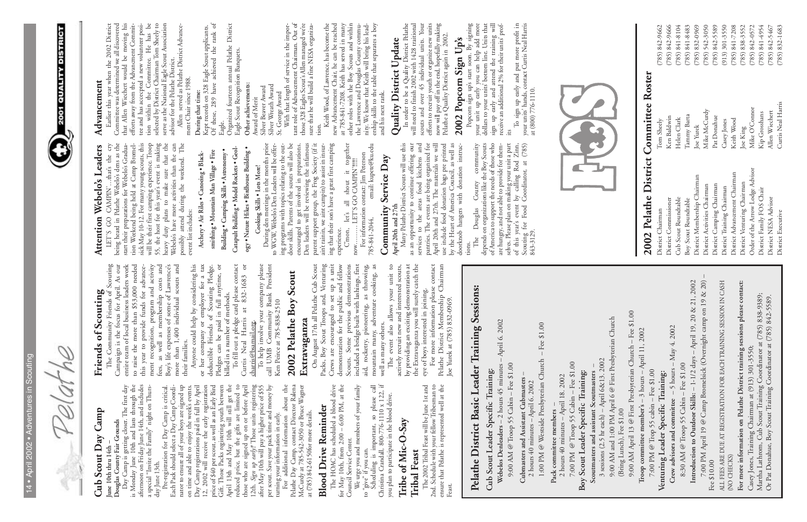| D)<br>ï<br>١<br>⋍<br>×<br>G               |  |
|-------------------------------------------|--|
| I<br>١<br>1                               |  |
| Ï                                         |  |
| Í<br>_                                    |  |
| ï<br>×<br>d<br>N,<br>-                    |  |
| ۰<br>-<br>Í                               |  |
| í<br>d<br>∽<br>ь<br>$\tilde{\phantom{a}}$ |  |
| ï<br>÷<br>۰                               |  |
| 1                                         |  |
| b<br>d<br>ь<br>d<br>ь,<br>I               |  |
| ۰                                         |  |
| -<br>I                                    |  |
| ₫                                         |  |
| ч                                         |  |
|                                           |  |

elathe  $\sqrt{2}$ 



#### Cub Scout Day Camp **Cub Scout Day Camp June 10th thru 14th –**  une 10th thru 14th

## 2002 Pelathe District Committee Roster **2002 Pelathe District Committee Roster**

District Chairman Tom Sheely (785) 842-9662 District Commissioner Ken Baldwin (785) 842-9666 Cub Scout Roundtable Helen Clark (785) 841-8104 Boy Scout Roundtable Tammy Barta (785) 841-8483 District Membership Chairman Joe Yurek (785) 832-0969 District Activities Chairman Mike McCurdy (785) 542-3050 District Camping Chairman Pat Donahue (785) 842-5589 District Training Chairman Casey Jones (913) 301-3550 District Advancement Chairman Keith Wood (785) 841-7208 District Venturing Chairman Joe King (785) 838-3552 Order of the Arrow Lodge Advisor Mike O'Connor (785) 842-0572 District Family FOS Chair Kip Grosshans (785) 841-4954 District NESA Advisor Allen Wiechert (785) 842-5467 Order of the Arrow Lodge Advisor District Advancement Chairman District Membership Chairman District Venturing Chairman District Camping Chairman District Activities Chairman District Training Chairman District Family FOS Chair Cub Scout Roundtable<br>Boy Scout Roundtable District NESA Advisor District Commissioner District Chairman District Executive

Curtis Neal Harris Mike O'Connor Mike McCurdy Allen Wiechert Kip Grosshans Tammy Barta Pat Donahue Ken Baldwin Helen Clark Keith Wood Tom Sheely Casey Jones Joe Yurek Joe King

5589  $(785) 842 - 9662$  $(785) 842 - 9666$  $(785) 841 - 8104$  $(785) 841 - 8483$  $(785) 832 - 0969$  $(785)$  542-3050  $(913)$  301-3550  $(785) 841 - 7208$  $(785) 838 - 3552$  $(785) 8414954$  $(785) 832 - 1683$  $(785) 842 - 0572$  $(785) 842 - 5467$ District Executive Curtis Neal Harris (785) 832-1683  $(785) 842$ 

**Lougas County Fair Grounds**<br>Day Camp is getting closer. The first day<br>is Monday June 10th and lasts through the<br>afternoon on Friday June 14th, and includes<br>a special "Invite the Family" night on Thurs-<br>day June 13th. is Monday June 10th and lasts through the afternoon on Friday June 14th, and includes a special "Invite the Family" night on Thursday June 13th.

day June 15th.<br>
Fre-registration for Day Camp is critical.<br>
Fre-registration for Day Camp Coordirant and Pack should select a Day Camp Coordiration con time and able to enjoy the week's events.<br>
Day Camp registrations pai Pre-registration for Day Camp is critical. Each Pack should select a Day Camp Coordinator to ensure all of your boys are signed up on time and able to enjoy the week's events. Day Camp registrations paid in full by April 12, 2002 will receive the early registration price of \$40 per scout, as well as an Early Bird Gift. Those Packs registering youth between April 13th and May 10th will still get the reduced price, but the gifts are limited to those who are signed up on or before April 12th. *Sign up early!!* Those units registering after May 10th will pay a higher price of \$55 per scout. Save your pack time and money by turning your information in early.

Day Camp is getting closer. The first day Douglas County Fair Grounds **Douglas County Fair Grounds**

## **Blood Drive Reminder Blood Drive Reminder**

The HOAC has scheduled a blood drive<br>for May 10th, from 2:00 – 6:00 PM, at the<br>Council Service Center.<br>We urge you and members of your family The HOAC has scheduled a blood drive for May 10th, from 2:00 – 6:00 PM, at the

### **Tribe of Mic-O-Say**  Tribe of Mic-O-Say

**Tribal Feast**<br>The 2002 Tribal Feast will be June 1st and<br>2nd. Schedule with your fellow Tribesman to<br>ensure that Pelathe is represented well at the The 2002 Tribal Feast will be June 1st and 2nd. Schedule with your fellow Tribesman to ensure that Pelathe is represented well at the Feast.

### Friends of Scouting **Friends of Scouting**

ment recognition, program and activity<br>fees, as well as membership costs and<br>Boy's life expenses of some of Lawrence's<br>more than 1,400 individual scouts and<br>their families. The Community Friends of Scouting<br>Campaign is the focus for April. As our to raise the more than \$53,000 needed<br>this year to provide funds for advance-The Community Friends of Scouting Campaign is the focus for April. As our entire team of local business leaders work entire team of local business leaders work to raise the more than \$53,000 needed this year to provide funds for advancement recognition, program and activity fees, as well as membership costs and Boy's life expenses of some of Lawrence's more than 1,400 individual scouts and their families.

or her company or employer for a tax<br>deductible Friends of Scouting Pledge.<br>Pledges can be paid in full anytime, or<br>billed in a number of methods.<br>To fill out a pledge card please contact<br>Curtis Neal Harris at 832-1683 or<br> Anyone could help by considering his Anyone could help by considering his or her company or employer for a tax deductible Friends of Scouting Pledge. Pledges can be paid in full anytime, or billed in a number of methods.

To help involve your company please<br>call UMB Community Bank President<br>Ken Peirce at 785-838-2510 To help involve your company please call UMB Community Bank President Ken Peirce at 785-838-2510

#### 2002 Pelathe Boy Scout **2002 Pelathe Boy Scout** Extravaganza **Extravaganza**

#### Packs, Boy Scout Troops and, Venturing<br>Crews are encouraged to set up a unit<br>demonstration for the public and fellow aid, rocketry, pioneering, as throwing, mountain many, adventure cooking, as<br>well as many others.<br>The event also allows your unit to On August 17th all Pelathe Cub Scout Scouts. Some previous demonstrations<br>included a bridge built with lashings, first On August 17th all Pelathe Cub Scout Packs, Boy Scout Troops and, Venturing Crews are encouraged to set up a unit demonstration for the public and fellow Scouts. Some previous demonstrations included a bridge built with lashings, first aid, rocketry, pioneering, as throwing, mountain many, adventure cooking, as well as many others.

For additional information about the Pelathe Day Camp, contact Director Ralena McCurdy at 785-542-3050 or Bruce Wagner at (785) 842-6150for more details. at (785) 842-6150for more details.

actively recruit new and interested scouts,<br>by providing an exciting demonstration at<br>the Extravaganza you will surely catch the<br>eye of boys interested in joining. The event also allows your unit to actively recruit new and interested scouts, by providing an exciting demonstration at the Extravaganza you will surely catch the eye of boys interested in joining.

For more information please contact<br>Pelathe District Membership Chairman For more information please contact Pelathe District Membership Chairman Joe Yurek at (785) 832-0969. Joe Yurek at (785) 832-0969.

#### Advancement **Advancement**

Council Service Center. We urge you and members of your family

Scheduling is important, so please call<br>Christina Crandall, 800-776-1110 x 122, if<br>you plan to participate in the blood drive. Scheduling is important, so please call Christina Crandall, 800-776-1110 x 122, if you plan to participate in the blood drive. if you can. to "give" if you can. to "give" if you can<br>Scheduling is i

Eadier this year when the 2002 District<br>Committee was determined we all discovered<br>that Allen Wiechert would be moving his<br>efforts away from the Advancment Commit-<br>tee and has acceepted a new volunteer posi-<br>ton within the Earlier this year when the 2002 District Committee was determined we all discovered that Allen Wiechert would be moving his efforts away from the Advancment Committee and has accecpted a new volunteer position within the Committee. He has be selected by District Chairman Tom Sheely to serve as the National Eagle Scout Association advisor for the Pelathe District.

#### During that time: **During that time:**

Kept records on 328 Eagle Scout applicants.<br>Of these, 289 have achieved the rank of Of these, 289 have achieved the rank of Kept records on 328 Eagle Scout applicants.

Eagle.<br>Organized fourteen annual Pelathe District<br>Eagle Scout Recognition Banquets. Organized fourteen annual Pelathe District Eagle Scout Recognition Banquets.

Other achievements: **Other achievements:**

Award of Merit Award of Merit

Silver Beaver Award Silver Beaver Award

Silver Wreath Award Silver Wreath Award St. George Award

the Lawrence and Douglas County commu-<br>nity. We know that Keith will bring his lead-<br>ership skills to the table that separates a boy<br>and his next rank. Keith Wood, of Lawrence, has become the new Advancement Chair, he can be reached at 785-841-7208. Keith has served in many other roles with the Boy Scouts and within the Lawrence and Douglas County community. We know that Keith will bring his leadership skills to the table that separates a boy and his next rank.

## Quality District Update **Quality District Update**

In order to be a Quality District Pelathe<br>will need to finish 2002 with 1428 traitional<br>scouts and over 45 individual units. Your<br>efforts to recruit youth or organize new units<br>now will pay off in the end, hopefully making In order to be a Quality District Pelathe will need to finish 2002 with 1428 traitional scouts and over 45 individual units. Your efforts to recruit youth or organize new units now will pay off in the end, hopefully making Pelathe a Quality District again in 2002.

## 2002 Popcorn Sign Up's **2002 Popcorn Sign Up's**

Popcorn sign up's start soon. By signing your unit up early you can help add more dollars to your units' bottom line. Units that sign up early and attend the training will receive an additional 2% for their units' prof-Popcorn sign up's start soon. By signing<br>your unit up early you can help add more<br>dollars to your units' bottom line. Units that<br>sign up early and attend the training will<br>receive an additional 2% for their units' prof-<br>it

## Attention Webelo's Leaders **Attention Webelo's Leaders**

To fill out a pledge card please contact Curtis Neal Harris at 832-1683 or charris@bsamail.org.

LET'S GO CAMPIN'...that's the cry<br>being heard in Pelathe Webelo's dens as the (<br>start their preparations for Webelo's dens as the (<br>sick May 10-12. For many young scours, this the will be their first camping experience. Tr LET'S GO CAMPIN'…that's the cry being heard in Pelathe Webelo's dens as the start their preparations for Webelo's Graduation Weekend being held at Camp Bromelsick May 10-12. For many young scouts, this will be their first camping experience. Troop 55, the host for this year's event is making heavy duty plans to make sure that the Webelo's have more activities than the can possibly attend during the weekend. The event list includes: event list includes:

Archery . Air Riles . Canoeing . Black-**Archery • Air Riles • Canoeing • Black-**

smithing . Mountain Man Village . Fire **smithing • Mountain Man Village • Fire**

Building . Camping Skills . Astronomy . **Building • Camping Skills • Astronomy •**

Catapult Building . Model Rockets . Geology • Nature Hikes • Birdhouse Building • **Catapult Building • Model Rockets • Geol-** For information contact: Jim Peterson<br>785-841-2044, email: kupete@ku.edu 785-841-2044, email: kupete@ku.edu For information contact: Jim Peterson

#### Community Service Day **Community Service Day April 20th and 27th**

April 20th and 27th<br>Many Pelathe District Scouts will use this as an opportunity to continue offering our<br>services to the areas food kitchens and Many Pelathe District Scouts will use this as an opportunity to continue offering our services to the areas food kitchens and pantries. The events are being organized for April 20th and 27th. The materials we will use include food donation bags pre printed by the Heart of America Council, as well as doorknob hangers with donation instruc-

tions.<br>The 1<br>depends on<br>of America<br>are hungry<br>selves. Pleas<br>of this ye<br>Scouting 1<br>Scouting 1 The Douglas County community depends on organizations like the Boy Scouts of America to support the needs of those who are hungry, and not able to provide for themselves. Please plan on making your unit a part of this year's event by calling Rod Zinn, Scouting for Food Coordinator, at (785)

Allen served as Pelathe District Advancement Chair since 1988. With that length of service in the important role of Advancement Chairman. Out of those 328 Eagles Scout's Allen managed we're sure that he will build a fine NESA organizaTo sign up early and put more profit in your units' hands, contact Curtis Neal Harris at (800) 776-1110.



**ogy • Nature Hikes • Birdhouse Building •** Cooking Skills . Lots More! **Cooking Skills • Lots More!**

io w w wevers be the seature will be until to a correct Avard<br>ing programs with topics relating to the out-<br>sing togen any the topics of the scouts will also be the with that length of service in the impor-<br>door skills. Pa ing that their son's have a great first camping During den meetings in the months prior<br>WGW, Webelo's Den Leaders will be offer-During den meetings in the months prior to WGW, Webelo's Den Leaders will be offering programs with topics relating to the outdoor skills. Parents of the scouts will also be encouraged to get involved in preparations. Den leaders will be reviewing the infamous parent support group, the Frog Society (if it ain't rainin, we aint campin) to assist in insuring that their son's have a great first camping  $\sigma$ 

together C'mon, let's all shout it together experience.<br>C'mon, let's all shout it tog<br>now..........LET'S GO CAMPIN'!!!!!! now……… LET'S GO CAMPIN'!!!!!! C'mon, let's  $\operatorname*{now}% \left( X\right) \equiv\operatorname*{conv}(\mathbb{R}^{2n})$ 

**Pelathe District Basic Leader Training Sessions:** 

Pelathe District Basic Leader Training Sessions:

**Cub Scout Leader Specific Training:**

Cub Scout Leader Specific Training:

**Webelos Denleaders** – 2 hours 45 minutes – April 6. 2002

Webelos Denleaders-

2 hours  $45$  minutes

April 6. 2002

9:00 AM @ Troop 55 Cabin – Fee \$1.00

 $9:00$  AM @ Troop 55 Cabin – Fee  $\$1.00$ 

**Cubmasters and Assistant Cubmasters** – 2 hours 40 minutes – April 6. 2002

Cubmasters and Assistant Cubmasters<br> $2 \text{ hours } 40 \text{ minutes} - \text{April } 6.2002$ 

1:00 PM @ Westside Presbyterian Church – Fee \$1.00

1:00 PM @ Westside Presbyterian Church - Fee \$1.00

**Pack committee members** –

Pack committee members

2 hours 40 minutes – April 18. 2002 7:00 PM @ Troop 55 Cabin – Fee \$1.00

2 hours 40 minutes - April 18. 2002

7:00 PM @ Troop 55 Cabin - Fee \$1.00

**Boy Scout Leader Specific Training:**

Boy Scout Leader Specific Training:

| 3 sessions (2.5 hr each) – April 6&13. 2002<br>Scoutmasters and assistant Scoutmasters |
|----------------------------------------------------------------------------------------|
| 9:00 AM and 1:00 PM April 6 @ First Presbyterian Church                                |
| (Bring Lunch), Fee \$1.00                                                              |
| 9:00 AM April 13 @ First Presbyterian Church - Fee \$1.00                              |
| Troop committee member's $-$ 3 hours $-$ April 11, 2002                                |
| 7:00 PM @ Trop 55 cabin - Fee \$1.00                                                   |
| Venturing Leader Specific Training:                                                    |
| Crew advisors and committee $-5$ hours $-$ May 4. 2002                                 |
| 8:30 AM @ Troop 55 Cabin – Fee $$1.00$                                                 |
| Introduction to Outdoor Skills: - 1-1/2 days - April 19, 20 & 21, 2002                 |
| 7:00 PM April 19 @ Camp Bromelsick (Overnight camp on 19 & 20) -<br>Fee \$10.00        |
| ALL FEES ARE DUE AT REGISTRATION FOR EACH TRAINING SESSION IN CASH<br>(NO CHECKS)      |
| For more information on Pelathe District training sessions please contact:             |
| Casey Jones, Training Chairman at (913) 301-3550;                                      |
| Martha Lathrom, Cub Scout Training Coordinator at (785) 838-9389;                      |
| Or Pat Donahue, Boy Scout Training Coordinator at (785) 842-5589.                      |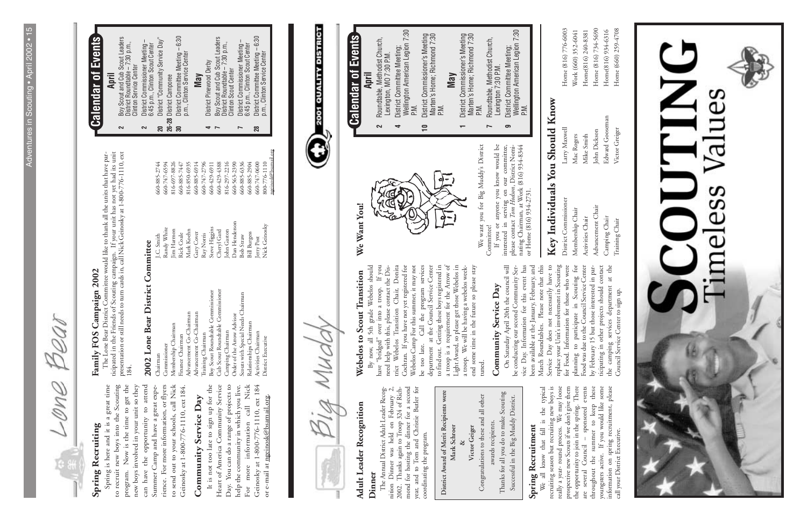Bear ano-

#### Spring Recruiting **Spring Recruiting**

Spring is here and it is a great time to recruit new boys into the Scouting program. Now is the time to get the new boys involved in your unit so they can have the opportunity to attend to send out to your schools, call Nick Spring is here and it is a great time to recruit new boys into the Scouting program. Now is the time to get the new boys involved in your unit so they can have the opportunity to attend Summer Camp and have a great expe-Summer Camp and have a great experience. For more information, or flyers rience. For more information, or flyers to send out to your schools, call Nick Geinosky at 1-800-776-1110, ext 184. Geinosky at 1-800-776-1110, ext 184.

## Community Service Day **Community Service Day**

It is not too late to sign up for the<br>Heart of America Community Service Day. You can do a range of projects to call Nick Geinosky at 1-800-776-1110, ext 184 It is not too late to sign up for the Heart of America Community Service Day. You can do a range of projects to help the community in which you live. help the community in which you live. For more information call Nick Geinosky at 1-800-776-1110, ext 184 or e-mail at ngeinosk@bsamail.org. or e-mail at ngeinosk@bsamail.org. information more  $_{\rm For}$ 

## Family FOS Campaign 2002 **Family FOS Campaign 2002**

The Lone Bear District Committee would like to thank all the units that have participated in the Friends of Scouting campaign. If your unit has not yet had its unit presentation or still needs to turn cards in, call Nick Geinosky at 1-800-776-1110, ext The Lone Bear District Committee would like to thank all the units that have paricipated in the Friends of Scouting campaign. If your unit has not yet had its unit presentation or still needs to turn cards in, call Nick Ge

- Boy Scout and Cub Scout Leaders<br>District Roundtable 7:30 p.m.,<br>Clinton Service Center **2** Boy Scout and Cub Scout Leaders District Roundtable – 7:30 p.m.,
	- **2** District Commissioner Meeting District Commissioner Meeting<br>6:45 p.m., Clinton Scout Center Clinton Service Center  $\sim$
- **20** District "Community Service Day" District "Community Service Day" 6:45 p.m., Clinton Scout Center

660-885-2744<br>660-747-6594 816-697-8826

- 20 District "Communi<br>26-28 District Camporee **26-28** District Camporee ్లె
- District Committee Meeting 6:30<br>p.m., Clinton Service Center **30** District Committee Meeting – 6:30 p.m., Clinton Service Center

#### District Pinewood Derby **4** District Pinewood Derby **May**

- Boy Scout and Cub Scout Leaders<br>District Roundtable 7:30 p.m.,<br>Clinton Scout Center **7** Boy Scout and Cub Scout Leaders District Roundtable – 7:30 p.m., Clinton Scout Center  $\rightarrow$ 
	- **7** District Commissioner Meeting District Commissioner Meeting<br>6:45 p.m., Clinton Scout Center 6:45 p.m., Clinton Scout Center  $\overline{ }$
- **28** District Committee Meeting 6:30 28
- District Committee Meeting 6:30<br>p.m., Clinton Service Center p.m., Clinton Service Center il.org

## 2002 Lone Bear District Committee **2002 Lone Bear District Committee**

## Webelos to Scout Transition **Webelos to Scout Transition**

to find out. Getting these boys registered in<br>a troop is a requirement for the Arrow of<br>Light Award, so please get those Webelos in<br>a troop. We will be having a webelos week-By now, all 5th grade Webelos should have "bridged" over into a troop. If you need help with this, please contact the Disness trict Webelos Transition Chair, Donita Cochran. If you have not yet registered for<br>Webelos Camp For this summer, it may not be too late. Call the program services<br>department at the Council Service Center By now, all 5th grade Webelos should have "bridged" over into a troop. If you need help with this, please contact the District Webelos Transition Chair, Donita Cochran. If you have not yet registered for Webelos Camp For this summer, it may not be too late. Call the program services department at the Council Service Center to find out. Getting these boys registered in a troop is a requirement for the Arrow of Light Award, so please get those Webelos in a troop. We will be having a webelos weekend some time in the future so please stay end some time in the future so please stay tuned.

## Community Service Day **Community Service Day**

Service Day does not necessarily have to<br>replace your Unit's involvement in Scouting planning to participate in Scouting for<br>Food was due to the Council Service Center On Saturday April 20th the council will vice Day. Information for this event has<br>been available at the January, February, and<br>March Roundtables. Please note that this for Food. Information for those who were On Saturday April 20th the council will be conducting our second Community Service Day. Information for this event has been available at the January, February, and March Roundtables. Please note that this Service Day does not necessarily have to replace your Unit's involvement in Scouting for Food. Information for those who were planning to participate in Scouting for Food was due to the Council Service Center be conducting our second Community

by February 15 but those interested in par-<br>ticipating in other projects should contact the camping services department at the<br>Council Service Center to sign up. by February 15 but those interested in participating in other projects should contact the camping services department at the Council Service Center to sign up.

Advancement Chair Camping Chair Training Chair

Edward Gooseman Victor Greiger

John Dickson

Mike Smith

Membership Chair

Activities Chair

We want you for Big Muddy's District We want you for Big Muddy's District

| בטים בסוב בסוב ביש ביו המש         |                     |                                     |
|------------------------------------|---------------------|-------------------------------------|
| Chairman                           | J.C. Smith          | 660-885-2744                        |
| Commissioner                       | Randy White         | 660-747-6594                        |
| Membership Chairman                | Jim Harmon          | 816-697-8826                        |
| Finance Chairman                   | Rick Coale          | 660-885-7447                        |
| Advancement Co-Chairman            | Mark Koehn          | 816-850-6935                        |
| Advancement Co-Chairman            | Gary Cover          | 660-885-6914                        |
| Training Chairman                  | Ray Norris          | 660-747-2796                        |
| Boy Scout Roundtable Commissioner  | Steve Higgins       | 660-429-6911                        |
| Cub Scout Roundtable Commissioner  | Cheryl Gard         | 660-429-4388                        |
| Camping Chairman                   | John Gaston         | 816-297-2216                        |
| Order of the Arrow Advisor         | Dan Henderson       | 660-563-2390                        |
| Scouts with Special Needs Chairman | <b>Bob Straw</b>    | 660-885-6336                        |
| Relationships Chairman             | <b>Bill Burgess</b> | 660-885-2904                        |
| Activities Chairman                | Jerry Post          | 660-747-0600                        |
| District Executive                 | Nick Geinosky       | 800-776-1110                        |
|                                    |                     | $n$ me in or $\alpha$ of $a$ become |

660-429-4388<br>816-297-2216

#### **Calendar of Events Calendar of Events April**  $\sim$

**10** District Commissioner's Meeting Marten's Home; Richmond 7:30 District Commissioner's Meeting<br>Marten's Home; Richmond 7:30<br>P.M.

 $\overline{\phantom{0}}$ 

P.M.<br>Roundtable, Methodist Church,<br>Lexington 7:30 P.M. **7** Roundtable, Methodist Church, Lexington 7:30 P.M.

 $\overline{ }$ 

Wellington American Legion 7:30 Wellington American Legion 7:30<br>P.M.

District Committee Meeting;

District Commissioner Larry Maxwell Home (816) 776-6003 Larry Maxwell Mac Rogers

Key Individuals You Should Know **Key Individuals You Should Know** District Commissioner

Home (816) 776-6003 Work (660) 352-6041  $Home(816) 240-8381$ Membership Chair Mac Rogers Work (660) 352-6041 Activities Chair Mike Smith Home(816) 240-8381

Home (816) 734-5690 Home (660) 259-4708 Advancement Chair John Dickson Home (816) 734-5690 Home(816) 934-6316 Training Chair Victor Greiger Home (660) 259-4708 Camping Chair Edward Gooseman Home(816) 934-6316



## Adult Leader Recognition **Adult Leader Recognition**

ngeinosk@bsamail.org

660-747-0600<br>800-776-1110<br>ngeinosk@bsamai



**Dinner**<br>The Annual District Adult Leader Recognition Dinner was held on February 2,<br>2002. Thanks again to Troop 324 of Rich-<br>mond for hosting the dinner for a second<br>year, and to Tom and Christie Butler for<br>coordinating t The Annual District Adult Leader Recognition Dinner was held on February 2, 2002. Thanks again to Troop 324 of Richmond for hosting the dinner for a second year, and to Tom and Christie Butler for coordinating the program.

#### **Spring Recruitment Spring Recruitment**

 $\mathbb{W}_e$  all know that fall is the typical recruiting season but recruiting new boys is really a year-round process. We may loose prospective new Scouts if we don't give them the opportunity to join in the spring. There<br>are several Council – sponsored events throughout the summer to keep these<br>youngsters active. If you would like some We all know that fall is the typical recruiting season but recruiting new boys is really a year- round process. We may loose prospective new Scouts if we don't give them the opportunity to join in the spring. There are several Council – sponsored events throughout the summer to keep these youngsters active. If you would like some information on spring recruitment, please<br>call your District Executive. information on spring recruitment, please call your District Executive.



# If you or anyone you know would be

interested in serving on our committee, please contact *Tom Hodson*, District Nomi-

Committee!<br>
If you or anyone you know would be<br>
interested in serving on our committee,<br>
please contact *Tom Hodson*, District Nominating Chairman, at Work (816) 934-8344<br>
or Home (816) 934-2731.

**April 2** Roundtable, Methodist Church, Lexington, MO 7:30 P.M. **4** District Committee Meeting;

Roundtable, Methodist Church,<br>Lexington, MO 7:30 P.M.

 $\sim$ 

Wellington American Legion 7:30

**Wellington American Legion 7:30** 

District Committee Meeting;

 $\Rightarrow$ 

P.M.

**9** District Committee Meeting;  $\bullet$ nating Chairman, at Work (816) 934-8344 or Home (816) 934-2731.

**May 1** District Commissioner's Meeting Marten's Home; Richmond 7:30

District Commissioner's Meeting<br>Marten's Home; Richmond 7:30

**Calendar of Events**

**Calendar of** 

Events

**2001 QUALITY DISTRICT** 

| oordinating the program. | District Award of Merit Recipients were<br>Mark Schroer | 8. | Victor Geiger | Congratulations to these and all other | awards recipients. | Thanks for all you do to make Scouting | Successful in the Big Muddy District. |  |
|--------------------------|---------------------------------------------------------|----|---------------|----------------------------------------|--------------------|----------------------------------------|---------------------------------------|--|
|--------------------------|---------------------------------------------------------|----|---------------|----------------------------------------|--------------------|----------------------------------------|---------------------------------------|--|